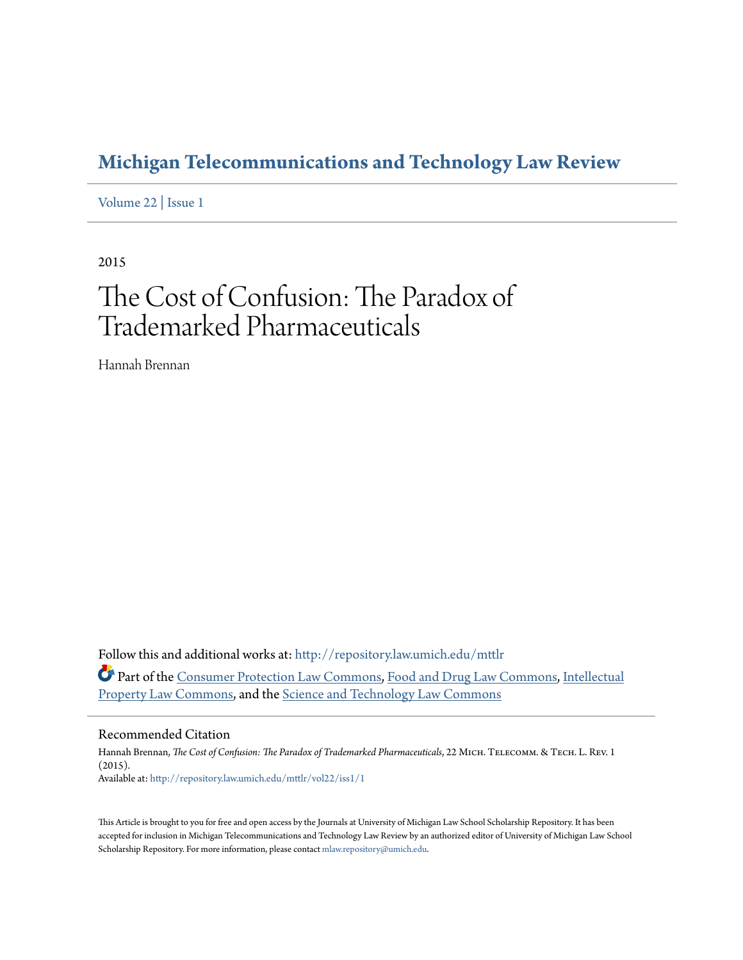# **[Michigan Telecommunications and Technology Law Review](http://repository.law.umich.edu/mttlr?utm_source=repository.law.umich.edu%2Fmttlr%2Fvol22%2Fiss1%2F1&utm_medium=PDF&utm_campaign=PDFCoverPages)**

[Volume 22](http://repository.law.umich.edu/mttlr/vol22?utm_source=repository.law.umich.edu%2Fmttlr%2Fvol22%2Fiss1%2F1&utm_medium=PDF&utm_campaign=PDFCoverPages) | [Issue 1](http://repository.law.umich.edu/mttlr/vol22/iss1?utm_source=repository.law.umich.edu%2Fmttlr%2Fvol22%2Fiss1%2F1&utm_medium=PDF&utm_campaign=PDFCoverPages)

2015

# The Cost of Confusion: The Paradox of Trademarked Pharmaceuticals

Hannah Brennan

Follow this and additional works at: [http://repository.law.umich.edu/mttlr](http://repository.law.umich.edu/mttlr?utm_source=repository.law.umich.edu%2Fmttlr%2Fvol22%2Fiss1%2F1&utm_medium=PDF&utm_campaign=PDFCoverPages) Part of the [Consumer Protection Law Commons](http://network.bepress.com/hgg/discipline/838?utm_source=repository.law.umich.edu%2Fmttlr%2Fvol22%2Fiss1%2F1&utm_medium=PDF&utm_campaign=PDFCoverPages), [Food and Drug Law Commons](http://network.bepress.com/hgg/discipline/844?utm_source=repository.law.umich.edu%2Fmttlr%2Fvol22%2Fiss1%2F1&utm_medium=PDF&utm_campaign=PDFCoverPages), [Intellectual](http://network.bepress.com/hgg/discipline/896?utm_source=repository.law.umich.edu%2Fmttlr%2Fvol22%2Fiss1%2F1&utm_medium=PDF&utm_campaign=PDFCoverPages) [Property Law Commons](http://network.bepress.com/hgg/discipline/896?utm_source=repository.law.umich.edu%2Fmttlr%2Fvol22%2Fiss1%2F1&utm_medium=PDF&utm_campaign=PDFCoverPages), and the [Science and Technology Law Commons](http://network.bepress.com/hgg/discipline/875?utm_source=repository.law.umich.edu%2Fmttlr%2Fvol22%2Fiss1%2F1&utm_medium=PDF&utm_campaign=PDFCoverPages)

### Recommended Citation

Hannah Brennan, *The Cost of Confusion: The Paradox of Trademarked Pharmaceuticals*, 22 MICH. TELECOMM. & TECH. L. REV. 1 (2015). Available at: [http://repository.law.umich.edu/mttlr/vol22/iss1/1](http://repository.law.umich.edu/mttlr/vol22/iss1/1?utm_source=repository.law.umich.edu%2Fmttlr%2Fvol22%2Fiss1%2F1&utm_medium=PDF&utm_campaign=PDFCoverPages)

This Article is brought to you for free and open access by the Journals at University of Michigan Law School Scholarship Repository. It has been accepted for inclusion in Michigan Telecommunications and Technology Law Review by an authorized editor of University of Michigan Law School Scholarship Repository. For more information, please contact [mlaw.repository@umich.edu.](mailto:mlaw.repository@umich.edu)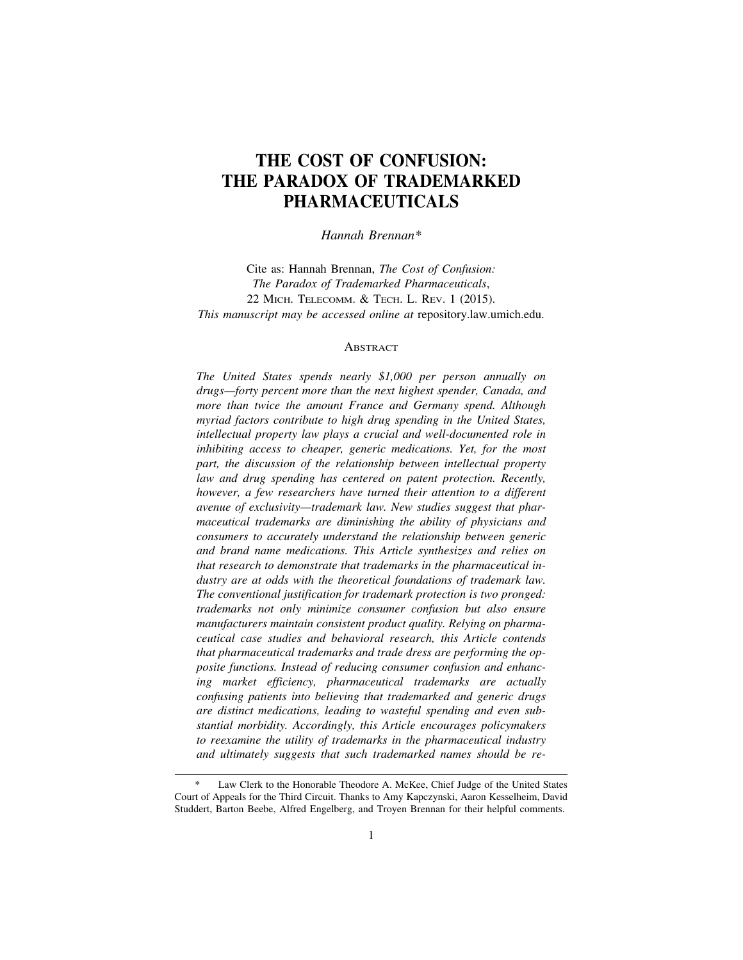## **THE COST OF CONFUSION: THE PARADOX OF TRADEMARKED PHARMACEUTICALS**

*Hannah Brennan\**

Cite as: Hannah Brennan, *The Cost of Confusion: The Paradox of Trademarked Pharmaceuticals*, 22 MICH. TELECOMM. & TECH. L. REV. 1 (2015). *This manuscript may be accessed online at* repository.law.umich.edu.

#### **ABSTRACT**

*The United States spends nearly \$1,000 per person annually on drugs—forty percent more than the next highest spender, Canada, and more than twice the amount France and Germany spend. Although myriad factors contribute to high drug spending in the United States, intellectual property law plays a crucial and well-documented role in inhibiting access to cheaper, generic medications. Yet, for the most part, the discussion of the relationship between intellectual property law and drug spending has centered on patent protection. Recently, however, a few researchers have turned their attention to a different avenue of exclusivity—trademark law. New studies suggest that pharmaceutical trademarks are diminishing the ability of physicians and consumers to accurately understand the relationship between generic and brand name medications. This Article synthesizes and relies on that research to demonstrate that trademarks in the pharmaceutical industry are at odds with the theoretical foundations of trademark law. The conventional justification for trademark protection is two pronged: trademarks not only minimize consumer confusion but also ensure manufacturers maintain consistent product quality. Relying on pharmaceutical case studies and behavioral research, this Article contends that pharmaceutical trademarks and trade dress are performing the opposite functions. Instead of reducing consumer confusion and enhancing market efficiency, pharmaceutical trademarks are actually confusing patients into believing that trademarked and generic drugs are distinct medications, leading to wasteful spending and even substantial morbidity. Accordingly, this Article encourages policymakers to reexamine the utility of trademarks in the pharmaceutical industry and ultimately suggests that such trademarked names should be re-*

Law Clerk to the Honorable Theodore A. McKee, Chief Judge of the United States Court of Appeals for the Third Circuit. Thanks to Amy Kapczynski, Aaron Kesselheim, David Studdert, Barton Beebe, Alfred Engelberg, and Troyen Brennan for their helpful comments.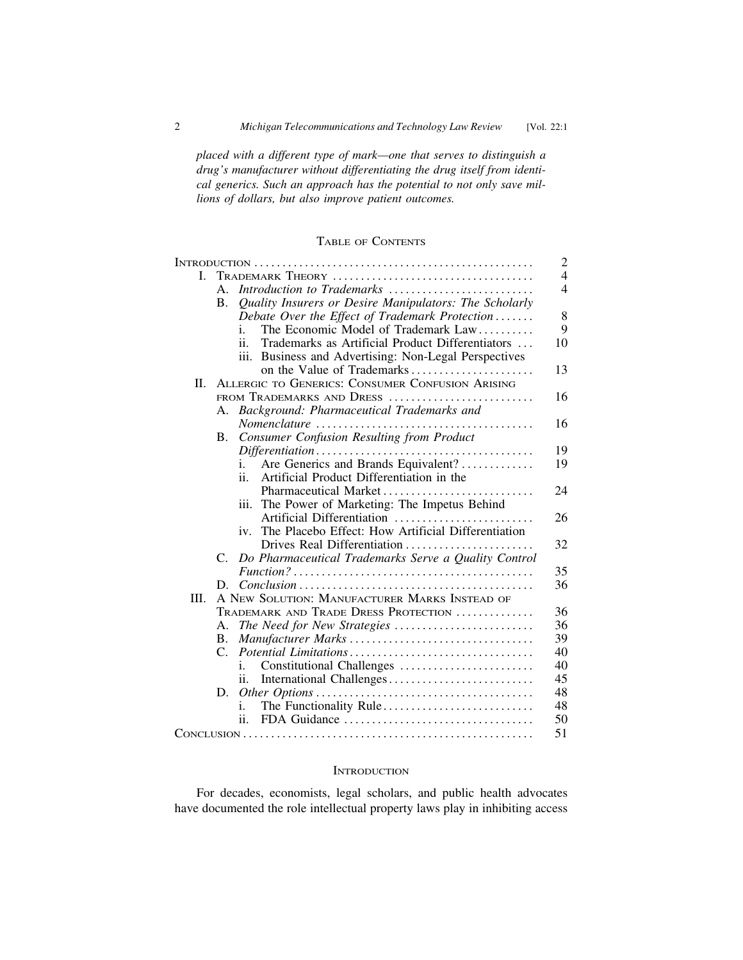*placed with a different type of mark—one that serves to distinguish a drug's manufacturer without differentiating the drug itself from identical generics. Such an approach has the potential to not only save millions of dollars, but also improve patient outcomes.*

TABLE OF CONTENTS

|    |                                                         |                                                                                                        | $\overline{c}$ |
|----|---------------------------------------------------------|--------------------------------------------------------------------------------------------------------|----------------|
| L  |                                                         |                                                                                                        | $\overline{4}$ |
|    | $A_{\cdot}$                                             | Introduction to Trademarks                                                                             | $\overline{4}$ |
|    | <b>B.</b>                                               | Quality Insurers or Desire Manipulators: The Scholarly                                                 |                |
|    |                                                         | Debate Over the Effect of Trademark Protection                                                         | 8              |
|    |                                                         | The Economic Model of Trademark Law<br>Ť.                                                              | 9              |
|    |                                                         | Trademarks as Artificial Product Differentiators<br>ii.                                                | 10             |
|    |                                                         | iii. Business and Advertising: Non-Legal Perspectives                                                  |                |
|    |                                                         |                                                                                                        | 13             |
| П. | <b>ALLERGIC TO GENERICS: CONSUMER CONFUSION ARISING</b> |                                                                                                        |                |
|    | FROM TRADEMARKS AND DRESS                               |                                                                                                        |                |
|    | А.                                                      | Background: Pharmaceutical Trademarks and                                                              |                |
|    |                                                         |                                                                                                        | 16             |
|    | В.                                                      | <b>Consumer Confusion Resulting from Product</b>                                                       |                |
|    |                                                         |                                                                                                        | 19             |
|    |                                                         | Are Generics and Brands Equivalent?<br>1.                                                              | 19             |
|    |                                                         | $\mathbf{ii}$<br>Artificial Product Differentiation in the                                             |                |
|    |                                                         | Pharmaceutical Market                                                                                  | 24             |
|    |                                                         | iii. The Power of Marketing: The Impetus Behind                                                        |                |
|    |                                                         | Artificial Differentiation                                                                             | 26             |
|    |                                                         | The Placebo Effect: How Artificial Differentiation<br>iv.                                              |                |
|    |                                                         | Drives Real Differentiation                                                                            | 32             |
|    | $C_{\cdot}$                                             | Do Pharmaceutical Trademarks Serve a Quality Control                                                   |                |
|    |                                                         | $Function? \ldots \ldots \ldots \ldots \ldots \ldots \ldots \ldots \ldots \ldots \ldots \ldots \ldots$ | 35             |
|    | D.                                                      |                                                                                                        | 36             |
| Ш. | A NEW SOLUTION: MANUFACTURER MARKS INSTEAD OF           |                                                                                                        |                |
|    |                                                         | TRADEMARK AND TRADE DRESS PROTECTION                                                                   | 36             |
|    | А.                                                      | The Need for New Strategies                                                                            | 36             |
|    | В.                                                      |                                                                                                        | 39             |
|    | $\mathcal{C}$ .                                         |                                                                                                        | 40             |
|    |                                                         | Constitutional Challenges<br>1.                                                                        | 40             |
|    |                                                         | Ĥ.                                                                                                     | 45             |
|    | D.                                                      |                                                                                                        | 48             |
|    |                                                         | The Functionality Rule<br>i.                                                                           | 48             |
|    |                                                         | ii.                                                                                                    | 50             |
|    |                                                         |                                                                                                        | 51             |

#### **INTRODUCTION**

For decades, economists, legal scholars, and public health advocates have documented the role intellectual property laws play in inhibiting access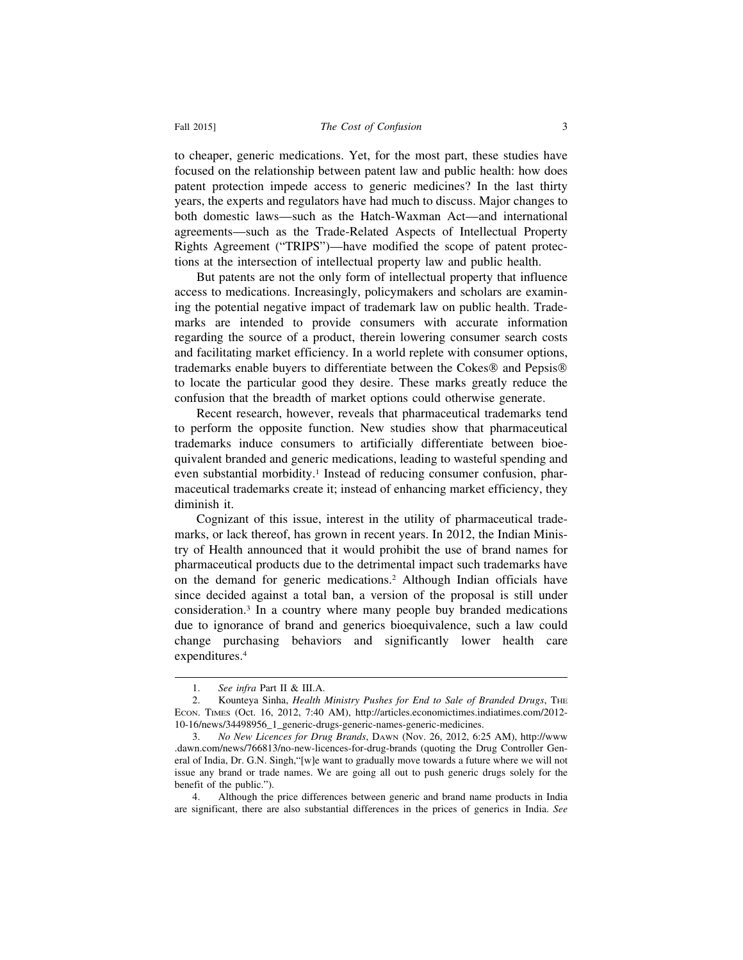to cheaper, generic medications. Yet, for the most part, these studies have focused on the relationship between patent law and public health: how does patent protection impede access to generic medicines? In the last thirty years, the experts and regulators have had much to discuss. Major changes to both domestic laws—such as the Hatch-Waxman Act—and international agreements—such as the Trade-Related Aspects of Intellectual Property Rights Agreement ("TRIPS")—have modified the scope of patent protections at the intersection of intellectual property law and public health.

But patents are not the only form of intellectual property that influence access to medications. Increasingly, policymakers and scholars are examining the potential negative impact of trademark law on public health. Trademarks are intended to provide consumers with accurate information regarding the source of a product, therein lowering consumer search costs and facilitating market efficiency. In a world replete with consumer options, trademarks enable buyers to differentiate between the Cokes® and Pepsis® to locate the particular good they desire. These marks greatly reduce the confusion that the breadth of market options could otherwise generate.

Recent research, however, reveals that pharmaceutical trademarks tend to perform the opposite function. New studies show that pharmaceutical trademarks induce consumers to artificially differentiate between bioequivalent branded and generic medications, leading to wasteful spending and even substantial morbidity.<sup>1</sup> Instead of reducing consumer confusion, pharmaceutical trademarks create it; instead of enhancing market efficiency, they diminish it.

Cognizant of this issue, interest in the utility of pharmaceutical trademarks, or lack thereof, has grown in recent years. In 2012, the Indian Ministry of Health announced that it would prohibit the use of brand names for pharmaceutical products due to the detrimental impact such trademarks have on the demand for generic medications.2 Although Indian officials have since decided against a total ban, a version of the proposal is still under consideration.3 In a country where many people buy branded medications due to ignorance of brand and generics bioequivalence, such a law could change purchasing behaviors and significantly lower health care expenditures.4

<sup>1.</sup> *See infra* Part II & III.A.

<sup>2.</sup> Kounteya Sinha, *Health Ministry Pushes for End to Sale of Branded Drugs*, THE ECON. TIMES (Oct. 16, 2012, 7:40 AM), http://articles.economictimes.indiatimes.com/2012- 10-16/news/34498956\_1\_generic-drugs-generic-names-generic-medicines.

<sup>3.</sup> *No New Licences for Drug Brands*, DAWN (Nov. 26, 2012, 6:25 AM), http://www .dawn.com/news/766813/no-new-licences-for-drug-brands (quoting the Drug Controller General of India, Dr. G.N. Singh,"[w]e want to gradually move towards a future where we will not issue any brand or trade names. We are going all out to push generic drugs solely for the benefit of the public.").

<sup>4.</sup> Although the price differences between generic and brand name products in India are significant, there are also substantial differences in the prices of generics in India. *See*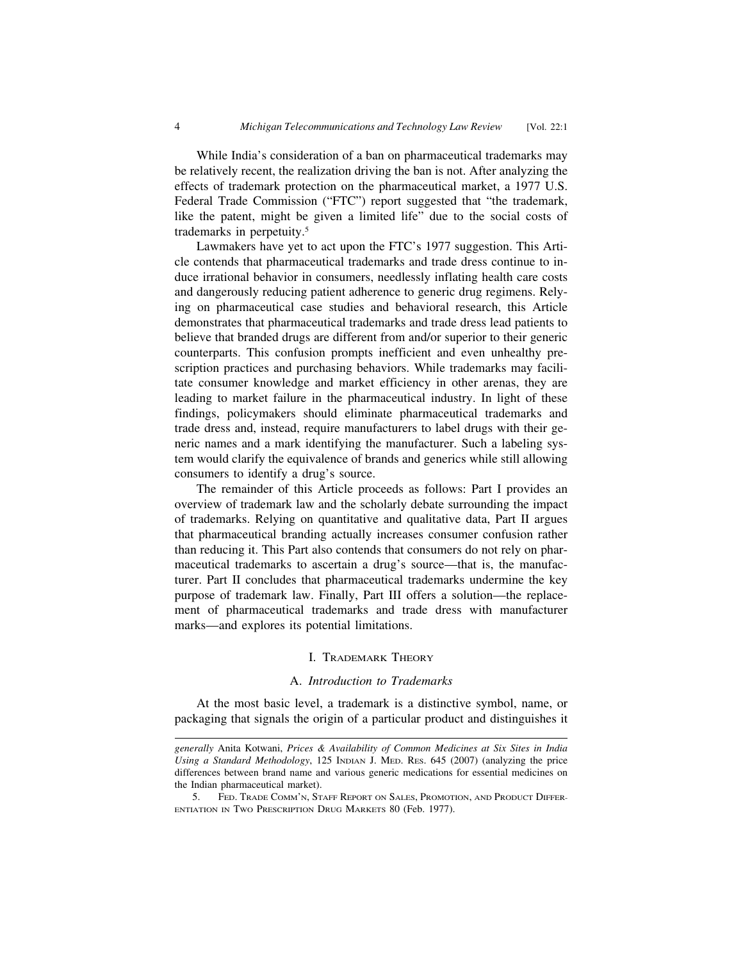While India's consideration of a ban on pharmaceutical trademarks may be relatively recent, the realization driving the ban is not. After analyzing the effects of trademark protection on the pharmaceutical market, a 1977 U.S. Federal Trade Commission ("FTC") report suggested that "the trademark, like the patent, might be given a limited life" due to the social costs of trademarks in perpetuity.5

Lawmakers have yet to act upon the FTC's 1977 suggestion. This Article contends that pharmaceutical trademarks and trade dress continue to induce irrational behavior in consumers, needlessly inflating health care costs and dangerously reducing patient adherence to generic drug regimens. Relying on pharmaceutical case studies and behavioral research, this Article demonstrates that pharmaceutical trademarks and trade dress lead patients to believe that branded drugs are different from and/or superior to their generic counterparts. This confusion prompts inefficient and even unhealthy prescription practices and purchasing behaviors. While trademarks may facilitate consumer knowledge and market efficiency in other arenas, they are leading to market failure in the pharmaceutical industry. In light of these findings, policymakers should eliminate pharmaceutical trademarks and trade dress and, instead, require manufacturers to label drugs with their generic names and a mark identifying the manufacturer. Such a labeling system would clarify the equivalence of brands and generics while still allowing consumers to identify a drug's source.

The remainder of this Article proceeds as follows: Part I provides an overview of trademark law and the scholarly debate surrounding the impact of trademarks. Relying on quantitative and qualitative data, Part II argues that pharmaceutical branding actually increases consumer confusion rather than reducing it. This Part also contends that consumers do not rely on pharmaceutical trademarks to ascertain a drug's source—that is, the manufacturer. Part II concludes that pharmaceutical trademarks undermine the key purpose of trademark law. Finally, Part III offers a solution—the replacement of pharmaceutical trademarks and trade dress with manufacturer marks—and explores its potential limitations.

#### I. TRADEMARK THEORY

#### A. *Introduction to Trademarks*

At the most basic level, a trademark is a distinctive symbol, name, or packaging that signals the origin of a particular product and distinguishes it

*generally* Anita Kotwani, *Prices & Availability of Common Medicines at Six Sites in India Using a Standard Methodology*, 125 INDIAN J. MED. RES. 645 (2007) (analyzing the price differences between brand name and various generic medications for essential medicines on the Indian pharmaceutical market).

<sup>5.</sup> FED. TRADE COMM'N, STAFF REPORT ON SALES, PROMOTION, AND PRODUCT DIFFER-ENTIATION IN TWO PRESCRIPTION DRUG MARKETS 80 (Feb. 1977).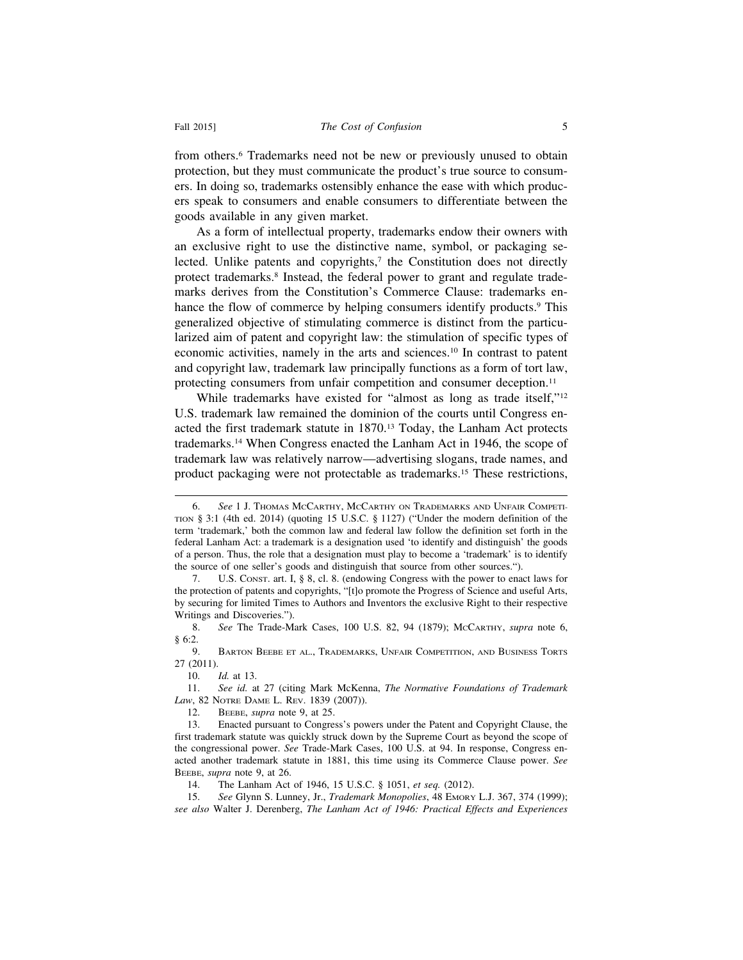from others.6 Trademarks need not be new or previously unused to obtain protection, but they must communicate the product's true source to consumers. In doing so, trademarks ostensibly enhance the ease with which producers speak to consumers and enable consumers to differentiate between the goods available in any given market.

As a form of intellectual property, trademarks endow their owners with an exclusive right to use the distinctive name, symbol, or packaging selected. Unlike patents and copyrights, $\tau$  the Constitution does not directly protect trademarks.8 Instead, the federal power to grant and regulate trademarks derives from the Constitution's Commerce Clause: trademarks enhance the flow of commerce by helping consumers identify products.<sup>9</sup> This generalized objective of stimulating commerce is distinct from the particularized aim of patent and copyright law: the stimulation of specific types of economic activities, namely in the arts and sciences.10 In contrast to patent and copyright law, trademark law principally functions as a form of tort law, protecting consumers from unfair competition and consumer deception.<sup>11</sup>

While trademarks have existed for "almost as long as trade itself,"<sup>12</sup> U.S. trademark law remained the dominion of the courts until Congress enacted the first trademark statute in 1870.13 Today, the Lanham Act protects trademarks.14 When Congress enacted the Lanham Act in 1946, the scope of trademark law was relatively narrow—advertising slogans, trade names, and product packaging were not protectable as trademarks.15 These restrictions,

8. *See* The Trade-Mark Cases, 100 U.S. 82, 94 (1879); MCCARTHY, *supra* note 6,  $§ 6:2.9.9.$ 

BARTON BEEBE ET AL., TRADEMARKS, UNFAIR COMPETITION, AND BUSINESS TORTS 27 (2011).

12. BEEBE, *supra* note 9, at 25.

<sup>6.</sup> *See* 1 J. THOMAS MCCARTHY, MCCARTHY ON TRADEMARKS AND UNFAIR COMPETI-TION § 3:1 (4th ed. 2014) (quoting 15 U.S.C. § 1127) ("Under the modern definition of the term 'trademark,' both the common law and federal law follow the definition set forth in the federal Lanham Act: a trademark is a designation used 'to identify and distinguish' the goods of a person. Thus, the role that a designation must play to become a 'trademark' is to identify the source of one seller's goods and distinguish that source from other sources.").

<sup>7.</sup> U.S. CONST. art. I, § 8, cl. 8. (endowing Congress with the power to enact laws for the protection of patents and copyrights, "[t]o promote the Progress of Science and useful Arts, by securing for limited Times to Authors and Inventors the exclusive Right to their respective Writings and Discoveries.").

<sup>10.</sup> *Id.* at 13.

<sup>11.</sup> *See id.* at 27 (citing Mark McKenna, *The Normative Foundations of Trademark Law*, 82 NOTRE DAME L. REV. 1839 (2007)).

<sup>13.</sup> Enacted pursuant to Congress's powers under the Patent and Copyright Clause, the first trademark statute was quickly struck down by the Supreme Court as beyond the scope of the congressional power. *See* Trade-Mark Cases, 100 U.S. at 94. In response, Congress enacted another trademark statute in 1881, this time using its Commerce Clause power. *See* BEEBE, *supra* note 9, at 26.

<sup>14.</sup> The Lanham Act of 1946, 15 U.S.C. § 1051, *et seq.* (2012).

<sup>15.</sup> *See* Glynn S. Lunney, Jr., *Trademark Monopolies*, 48 EMORY L.J. 367, 374 (1999); *see also* Walter J. Derenberg, *The Lanham Act of 1946: Practical Effects and Experiences*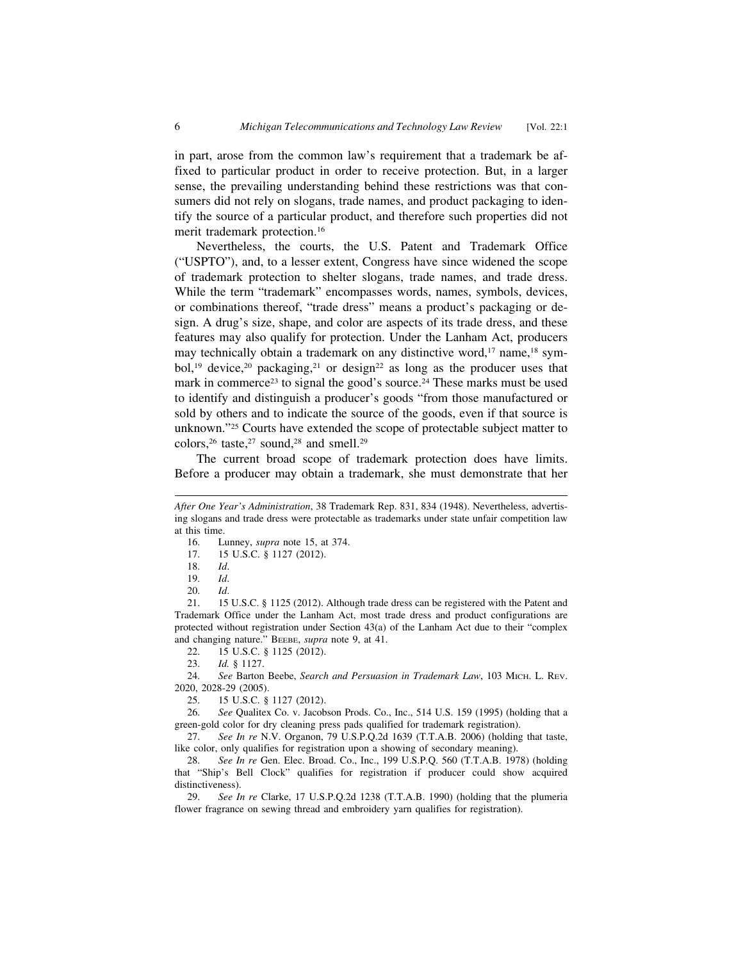in part, arose from the common law's requirement that a trademark be affixed to particular product in order to receive protection. But, in a larger sense, the prevailing understanding behind these restrictions was that consumers did not rely on slogans, trade names, and product packaging to identify the source of a particular product, and therefore such properties did not merit trademark protection.16

Nevertheless, the courts, the U.S. Patent and Trademark Office ("USPTO"), and, to a lesser extent, Congress have since widened the scope of trademark protection to shelter slogans, trade names, and trade dress. While the term "trademark" encompasses words, names, symbols, devices, or combinations thereof, "trade dress" means a product's packaging or design. A drug's size, shape, and color are aspects of its trade dress, and these features may also qualify for protection. Under the Lanham Act, producers may technically obtain a trademark on any distinctive word,<sup>17</sup> name,<sup>18</sup> symbol,<sup>19</sup> device,<sup>20</sup> packaging,<sup>21</sup> or design<sup>22</sup> as long as the producer uses that mark in commerce<sup>23</sup> to signal the good's source.<sup>24</sup> These marks must be used to identify and distinguish a producer's goods "from those manufactured or sold by others and to indicate the source of the goods, even if that source is unknown."25 Courts have extended the scope of protectable subject matter to colors,  $26$  taste,  $27$  sound,  $28$  and smell.  $29$ 

The current broad scope of trademark protection does have limits. Before a producer may obtain a trademark, she must demonstrate that her

16. Lunney, *supra* note 15, at 374.<br>17. 15 U.S.C. § 1127 (2012).

22. 15 U.S.C. § 1125 (2012).<br>23. *Id.* § 1127.

*After One Year's Administration*, 38 Trademark Rep. 831, 834 (1948). Nevertheless, advertising slogans and trade dress were protectable as trademarks under state unfair competition law at this time.

<sup>17. 15</sup> U.S.C. § 1127 (2012).

<sup>18.</sup> *Id*.

<sup>19.</sup> *Id*.

<sup>20.</sup> *Id*.

<sup>21. 15</sup> U.S.C. § 1125 (2012). Although trade dress can be registered with the Patent and Trademark Office under the Lanham Act, most trade dress and product configurations are protected without registration under Section 43(a) of the Lanham Act due to their "complex and changing nature." BEEBE, *supra* note 9, at 41.

<sup>23.</sup> *Id.* § 1127.

<sup>24.</sup> *See* Barton Beebe, *Search and Persuasion in Trademark Law*, 103 MICH. L. REV. 2020, 2028-29 (2005).

<sup>25. 15</sup> U.S.C. § 1127 (2012).

<sup>26.</sup> *See* Qualitex Co. v. Jacobson Prods. Co., Inc., 514 U.S. 159 (1995) (holding that a green-gold color for dry cleaning press pads qualified for trademark registration).

<sup>27.</sup> *See In re* N.V. Organon, 79 U.S.P.Q.2d 1639 (T.T.A.B. 2006) (holding that taste, like color, only qualifies for registration upon a showing of secondary meaning).

<sup>28.</sup> *See In re* Gen. Elec. Broad. Co., Inc., 199 U.S.P.Q. 560 (T.T.A.B. 1978) (holding that "Ship's Bell Clock" qualifies for registration if producer could show acquired distinctiveness).

<sup>29.</sup> *See In re* Clarke, 17 U.S.P.Q.2d 1238 (T.T.A.B. 1990) (holding that the plumeria flower fragrance on sewing thread and embroidery yarn qualifies for registration).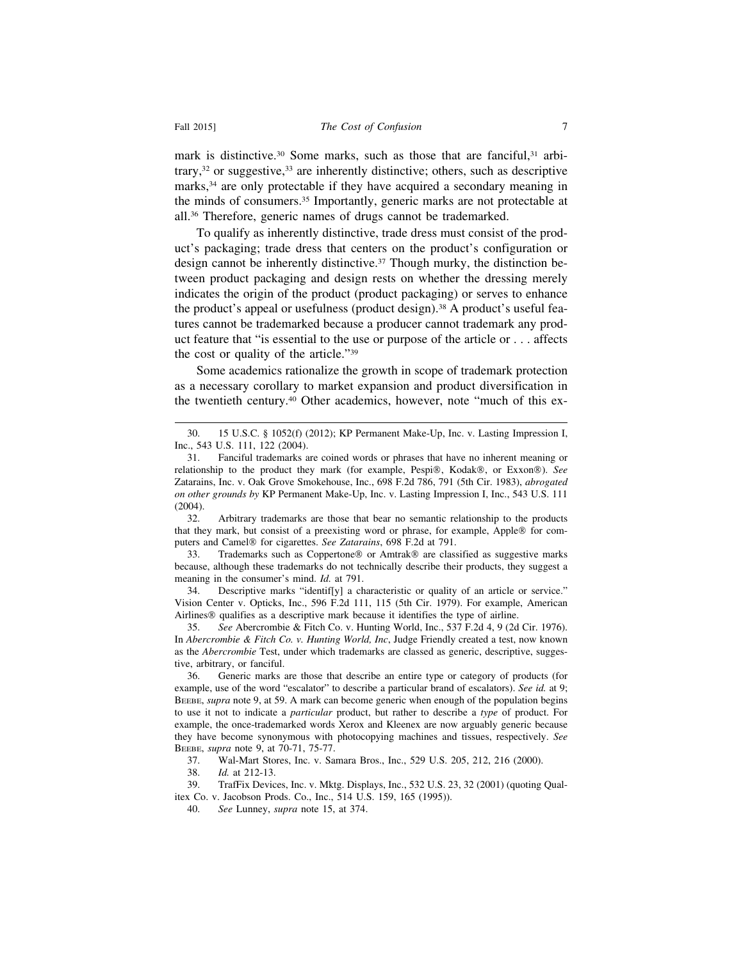mark is distinctive.<sup>30</sup> Some marks, such as those that are fanciful,<sup>31</sup> arbitrary, $32$  or suggestive, $33$  are inherently distinctive; others, such as descriptive marks,<sup>34</sup> are only protectable if they have acquired a secondary meaning in the minds of consumers.35 Importantly, generic marks are not protectable at all.36 Therefore, generic names of drugs cannot be trademarked.

To qualify as inherently distinctive, trade dress must consist of the product's packaging; trade dress that centers on the product's configuration or design cannot be inherently distinctive.<sup>37</sup> Though murky, the distinction between product packaging and design rests on whether the dressing merely indicates the origin of the product (product packaging) or serves to enhance the product's appeal or usefulness (product design).<sup>38</sup> A product's useful features cannot be trademarked because a producer cannot trademark any product feature that "is essential to the use or purpose of the article or . . . affects the cost or quality of the article."39

Some academics rationalize the growth in scope of trademark protection as a necessary corollary to market expansion and product diversification in the twentieth century.40 Other academics, however, note "much of this ex-

32. Arbitrary trademarks are those that bear no semantic relationship to the products that they mark, but consist of a preexisting word or phrase, for example, Apple® for computers and Camel® for cigarettes. *See Zatarains*, 698 F.2d at 791.

33. Trademarks such as Coppertone® or Amtrak® are classified as suggestive marks because, although these trademarks do not technically describe their products, they suggest a meaning in the consumer's mind. *Id.* at 791.

34. Descriptive marks "identif[y] a characteristic or quality of an article or service." Vision Center v. Opticks, Inc., 596 F.2d 111, 115 (5th Cir. 1979). For example, American Airlines® qualifies as a descriptive mark because it identifies the type of airline.

35. *See* Abercrombie & Fitch Co. v. Hunting World, Inc., 537 F.2d 4, 9 (2d Cir. 1976). In *Abercrombie & Fitch Co. v. Hunting World, Inc*, Judge Friendly created a test, now known as the *Abercrombie* Test, under which trademarks are classed as generic, descriptive, suggestive, arbitrary, or fanciful.

36. Generic marks are those that describe an entire type or category of products (for example, use of the word "escalator" to describe a particular brand of escalators). *See id.* at 9; BEEBE, *supra* note 9, at 59. A mark can become generic when enough of the population begins to use it not to indicate a *particular* product, but rather to describe a *type* of product. For example, the once-trademarked words Xerox and Kleenex are now arguably generic because they have become synonymous with photocopying machines and tissues, respectively. *See* BEEBE, *supra* note 9, at 70-71, 75-77.

37. Wal-Mart Stores, Inc. v. Samara Bros., Inc., 529 U.S. 205, 212, 216 (2000).

38. *Id.* at 212-13.

39. TrafFix Devices, Inc. v. Mktg. Displays, Inc., 532 U.S. 23, 32 (2001) (quoting Qualitex Co. v. Jacobson Prods. Co., Inc., 514 U.S. 159, 165 (1995)).

40. *See* Lunney, *supra* note 15, at 374.

<sup>30. 15</sup> U.S.C. § 1052(f) (2012); KP Permanent Make-Up, Inc. v. Lasting Impression I, Inc., 543 U.S. 111, 122 (2004).

<sup>31.</sup> Fanciful trademarks are coined words or phrases that have no inherent meaning or relationship to the product they mark (for example, Pespi®, Kodak®, or Exxon®). *See* Zatarains, Inc. v. Oak Grove Smokehouse, Inc., 698 F.2d 786, 791 (5th Cir. 1983), *abrogated on other grounds by* KP Permanent Make-Up, Inc. v. Lasting Impression I, Inc., 543 U.S. 111 (2004).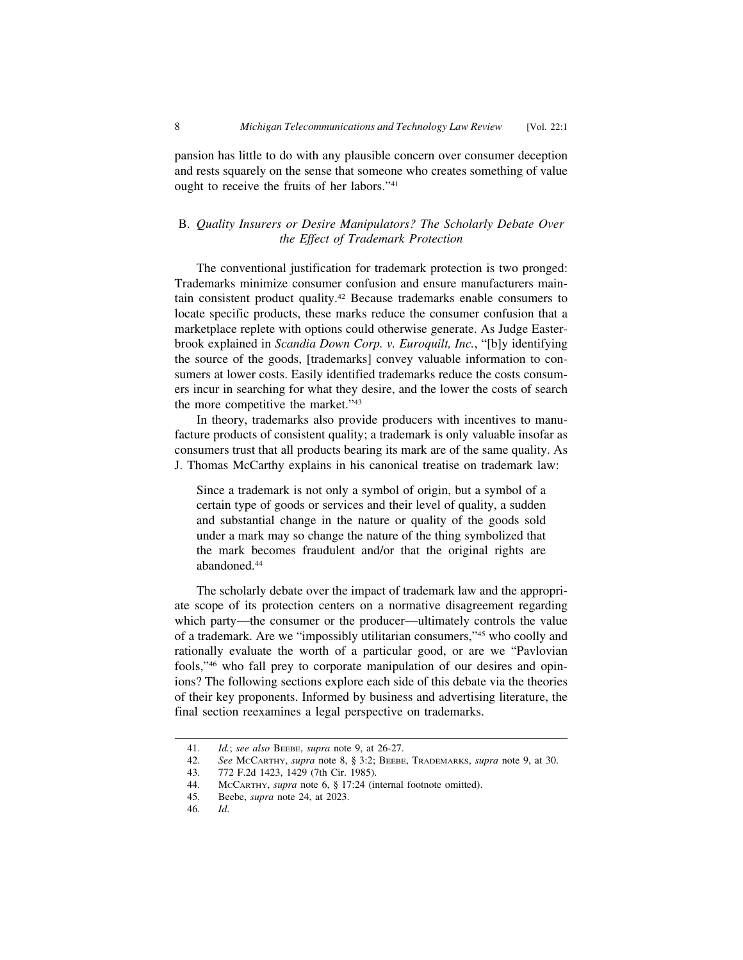pansion has little to do with any plausible concern over consumer deception and rests squarely on the sense that someone who creates something of value ought to receive the fruits of her labors."41

#### B. *Quality Insurers or Desire Manipulators? The Scholarly Debate Over the Effect of Trademark Protection*

The conventional justification for trademark protection is two pronged: Trademarks minimize consumer confusion and ensure manufacturers maintain consistent product quality.42 Because trademarks enable consumers to locate specific products, these marks reduce the consumer confusion that a marketplace replete with options could otherwise generate. As Judge Easterbrook explained in *Scandia Down Corp. v. Euroquilt, Inc.*, "[b]y identifying the source of the goods, [trademarks] convey valuable information to consumers at lower costs. Easily identified trademarks reduce the costs consumers incur in searching for what they desire, and the lower the costs of search the more competitive the market."43

In theory, trademarks also provide producers with incentives to manufacture products of consistent quality; a trademark is only valuable insofar as consumers trust that all products bearing its mark are of the same quality. As J. Thomas McCarthy explains in his canonical treatise on trademark law:

Since a trademark is not only a symbol of origin, but a symbol of a certain type of goods or services and their level of quality, a sudden and substantial change in the nature or quality of the goods sold under a mark may so change the nature of the thing symbolized that the mark becomes fraudulent and/or that the original rights are abandoned.44

The scholarly debate over the impact of trademark law and the appropriate scope of its protection centers on a normative disagreement regarding which party—the consumer or the producer—ultimately controls the value of a trademark. Are we "impossibly utilitarian consumers,"45 who coolly and rationally evaluate the worth of a particular good, or are we "Pavlovian fools,"46 who fall prey to corporate manipulation of our desires and opinions? The following sections explore each side of this debate via the theories of their key proponents. Informed by business and advertising literature, the final section reexamines a legal perspective on trademarks.

<sup>41.</sup> *Id.*; *see also* BEEBE, *supra* note 9, at 26-27.

<sup>42.</sup> *See* MCCARTHY, *supra* note 8, § 3:2; BEEBE, TRADEMARKS, *supra* note 9, at 30.

<sup>43. 772</sup> F.2d 1423, 1429 (7th Cir. 1985).

<sup>44.</sup> MCCARTHY, *supra* note 6, § 17:24 (internal footnote omitted).

<sup>45.</sup> Beebe, *supra* note 24, at 2023.

<sup>46.</sup> *Id*.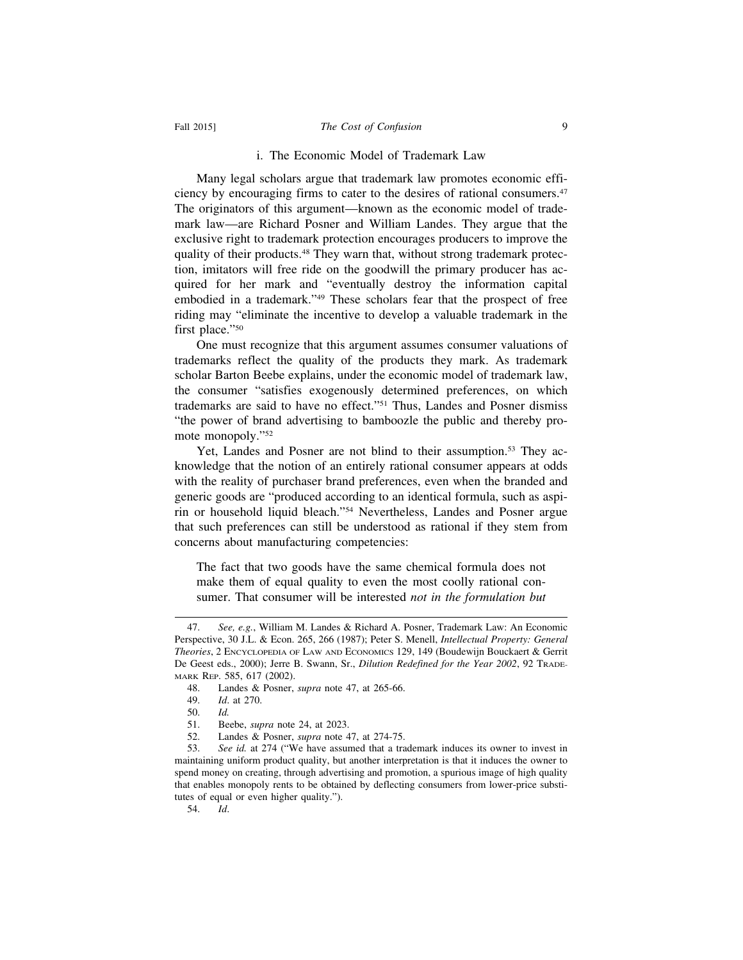#### Fall 2015] *The Cost of Confusion* 9

#### i. The Economic Model of Trademark Law

Many legal scholars argue that trademark law promotes economic efficiency by encouraging firms to cater to the desires of rational consumers.47 The originators of this argument—known as the economic model of trademark law—are Richard Posner and William Landes. They argue that the exclusive right to trademark protection encourages producers to improve the quality of their products.<sup>48</sup> They warn that, without strong trademark protection, imitators will free ride on the goodwill the primary producer has acquired for her mark and "eventually destroy the information capital embodied in a trademark."49 These scholars fear that the prospect of free riding may "eliminate the incentive to develop a valuable trademark in the first place."50

One must recognize that this argument assumes consumer valuations of trademarks reflect the quality of the products they mark. As trademark scholar Barton Beebe explains, under the economic model of trademark law, the consumer "satisfies exogenously determined preferences, on which trademarks are said to have no effect."51 Thus, Landes and Posner dismiss "the power of brand advertising to bamboozle the public and thereby promote monopoly."52

Yet, Landes and Posner are not blind to their assumption.<sup>53</sup> They acknowledge that the notion of an entirely rational consumer appears at odds with the reality of purchaser brand preferences, even when the branded and generic goods are "produced according to an identical formula, such as aspirin or household liquid bleach."54 Nevertheless, Landes and Posner argue that such preferences can still be understood as rational if they stem from concerns about manufacturing competencies:

The fact that two goods have the same chemical formula does not make them of equal quality to even the most coolly rational consumer. That consumer will be interested *not in the formulation but*

54. *Id*.

<sup>47.</sup> *See, e.g.*, William M. Landes & Richard A. Posner, Trademark Law: An Economic Perspective, 30 J.L. & Econ. 265, 266 (1987); Peter S. Menell, *Intellectual Property: General Theories*, 2 ENCYCLOPEDIA OF LAW AND ECONOMICS 129, 149 (Boudewijn Bouckaert & Gerrit De Geest eds., 2000); Jerre B. Swann, Sr., *Dilution Redefined for the Year 2002*, 92 TRADE-MARK REP. 585, 617 (2002).

<sup>48.</sup> Landes & Posner, *supra* note 47, at 265-66.

<sup>49.</sup> *Id*. at 270.

<sup>50.</sup> *Id.*

<sup>51.</sup> Beebe, *supra* note 24, at 2023.

<sup>52.</sup> Landes & Posner, *supra* note 47, at 274-75.

<sup>53.</sup> *See id.* at 274 ("We have assumed that a trademark induces its owner to invest in maintaining uniform product quality, but another interpretation is that it induces the owner to spend money on creating, through advertising and promotion, a spurious image of high quality that enables monopoly rents to be obtained by deflecting consumers from lower-price substitutes of equal or even higher quality.").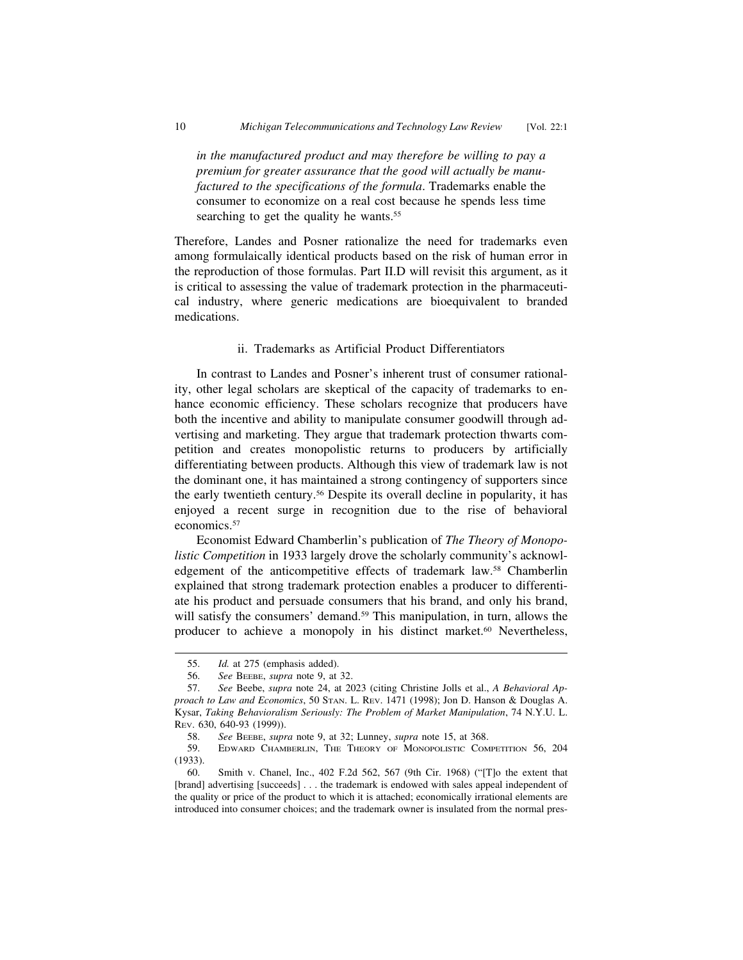*in the manufactured product and may therefore be willing to pay a premium for greater assurance that the good will actually be manufactured to the specifications of the formula*. Trademarks enable the consumer to economize on a real cost because he spends less time searching to get the quality he wants.<sup>55</sup>

Therefore, Landes and Posner rationalize the need for trademarks even among formulaically identical products based on the risk of human error in the reproduction of those formulas. Part II.D will revisit this argument, as it is critical to assessing the value of trademark protection in the pharmaceutical industry, where generic medications are bioequivalent to branded medications.

#### ii. Trademarks as Artificial Product Differentiators

In contrast to Landes and Posner's inherent trust of consumer rationality, other legal scholars are skeptical of the capacity of trademarks to enhance economic efficiency. These scholars recognize that producers have both the incentive and ability to manipulate consumer goodwill through advertising and marketing. They argue that trademark protection thwarts competition and creates monopolistic returns to producers by artificially differentiating between products. Although this view of trademark law is not the dominant one, it has maintained a strong contingency of supporters since the early twentieth century.56 Despite its overall decline in popularity, it has enjoyed a recent surge in recognition due to the rise of behavioral economics.57

Economist Edward Chamberlin's publication of *The Theory of Monopolistic Competition* in 1933 largely drove the scholarly community's acknowledgement of the anticompetitive effects of trademark law.58 Chamberlin explained that strong trademark protection enables a producer to differentiate his product and persuade consumers that his brand, and only his brand, will satisfy the consumers' demand.<sup>59</sup> This manipulation, in turn, allows the producer to achieve a monopoly in his distinct market.<sup>60</sup> Nevertheless,

<sup>55.</sup> *Id.* at 275 (emphasis added).

<sup>56.</sup> *See* BEEBE, *supra* note 9, at 32.

<sup>57.</sup> *See* Beebe, *supra* note 24, at 2023 (citing Christine Jolls et al., *A Behavioral Approach to Law and Economics*, 50 STAN. L. REV. 1471 (1998); Jon D. Hanson & Douglas A. Kysar, *Taking Behavioralism Seriously: The Problem of Market Manipulation*, 74 N.Y.U. L. REV. 630, 640-93 (1999)).

<sup>58.</sup> *See* BEEBE, *supra* note 9, at 32; Lunney, *supra* note 15, at 368.

<sup>59.</sup> EDWARD CHAMBERLIN, THE THEORY OF MONOPOLISTIC COMPETITION 56, 204 (1933).

<sup>60.</sup> Smith v. Chanel, Inc., 402 F.2d 562, 567 (9th Cir. 1968) ("[T]o the extent that [brand] advertising [succeeds] . . . the trademark is endowed with sales appeal independent of the quality or price of the product to which it is attached; economically irrational elements are introduced into consumer choices; and the trademark owner is insulated from the normal pres-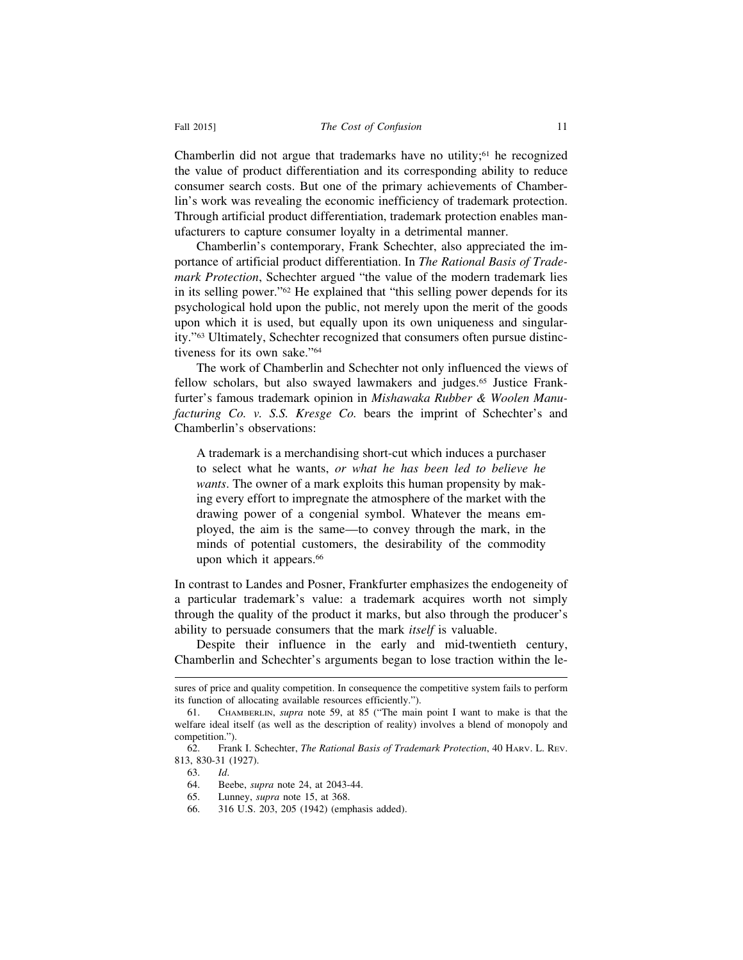Chamberlin did not argue that trademarks have no utility; $61$  he recognized the value of product differentiation and its corresponding ability to reduce consumer search costs. But one of the primary achievements of Chamberlin's work was revealing the economic inefficiency of trademark protection. Through artificial product differentiation, trademark protection enables manufacturers to capture consumer loyalty in a detrimental manner.

Chamberlin's contemporary, Frank Schechter, also appreciated the importance of artificial product differentiation. In *The Rational Basis of Trademark Protection*, Schechter argued "the value of the modern trademark lies in its selling power."62 He explained that "this selling power depends for its psychological hold upon the public, not merely upon the merit of the goods upon which it is used, but equally upon its own uniqueness and singularity."63 Ultimately, Schechter recognized that consumers often pursue distinctiveness for its own sake."64

The work of Chamberlin and Schechter not only influenced the views of fellow scholars, but also swayed lawmakers and judges.65 Justice Frankfurter's famous trademark opinion in *Mishawaka Rubber & Woolen Manufacturing Co. v. S.S. Kresge Co.* bears the imprint of Schechter's and Chamberlin's observations:

A trademark is a merchandising short-cut which induces a purchaser to select what he wants, *or what he has been led to believe he wants*. The owner of a mark exploits this human propensity by making every effort to impregnate the atmosphere of the market with the drawing power of a congenial symbol. Whatever the means employed, the aim is the same—to convey through the mark, in the minds of potential customers, the desirability of the commodity upon which it appears.<sup>66</sup>

In contrast to Landes and Posner, Frankfurter emphasizes the endogeneity of a particular trademark's value: a trademark acquires worth not simply through the quality of the product it marks, but also through the producer's ability to persuade consumers that the mark *itself* is valuable.

Despite their influence in the early and mid-twentieth century, Chamberlin and Schechter's arguments began to lose traction within the le-

sures of price and quality competition. In consequence the competitive system fails to perform its function of allocating available resources efficiently.").

<sup>61.</sup> CHAMBERLIN, *supra* note 59, at 85 ("The main point I want to make is that the welfare ideal itself (as well as the description of reality) involves a blend of monopoly and competition.").

<sup>62.</sup> Frank I. Schechter, *The Rational Basis of Trademark Protection*, 40 HARV. L. REV. 813, 830-31 (1927).

<sup>63.</sup> *Id*.

<sup>64.</sup> Beebe, *supra* note 24, at 2043-44.

<sup>65.</sup> Lunney, *supra* note 15, at 368.

<sup>66. 316</sup> U.S. 203, 205 (1942) (emphasis added).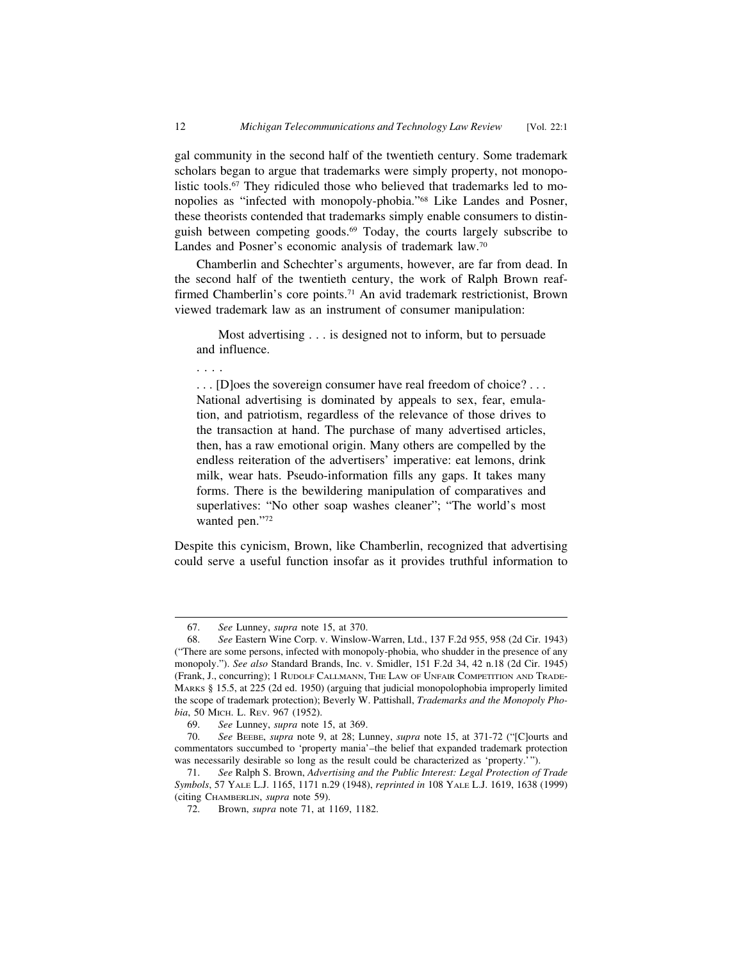gal community in the second half of the twentieth century. Some trademark scholars began to argue that trademarks were simply property, not monopolistic tools.<sup>67</sup> They ridiculed those who believed that trademarks led to monopolies as "infected with monopoly-phobia."68 Like Landes and Posner, these theorists contended that trademarks simply enable consumers to distinguish between competing goods.69 Today, the courts largely subscribe to Landes and Posner's economic analysis of trademark law.70

Chamberlin and Schechter's arguments, however, are far from dead. In the second half of the twentieth century, the work of Ralph Brown reaffirmed Chamberlin's core points.<sup>71</sup> An avid trademark restrictionist, Brown viewed trademark law as an instrument of consumer manipulation:

Most advertising . . . is designed not to inform, but to persuade and influence.

. . . .

. . . [D]oes the sovereign consumer have real freedom of choice? . . . National advertising is dominated by appeals to sex, fear, emulation, and patriotism, regardless of the relevance of those drives to the transaction at hand. The purchase of many advertised articles, then, has a raw emotional origin. Many others are compelled by the endless reiteration of the advertisers' imperative: eat lemons, drink milk, wear hats. Pseudo-information fills any gaps. It takes many forms. There is the bewildering manipulation of comparatives and superlatives: "No other soap washes cleaner"; "The world's most wanted pen."72

Despite this cynicism, Brown, like Chamberlin, recognized that advertising could serve a useful function insofar as it provides truthful information to

<sup>67.</sup> *See* Lunney, *supra* note 15, at 370.

<sup>68.</sup> *See* Eastern Wine Corp. v. Winslow-Warren, Ltd., 137 F.2d 955, 958 (2d Cir. 1943) ("There are some persons, infected with monopoly-phobia, who shudder in the presence of any monopoly."). *See also* Standard Brands, Inc. v. Smidler, 151 F.2d 34, 42 n.18 (2d Cir. 1945) (Frank, J., concurring); 1 RUDOLF CALLMANN, THE LAW OF UNFAIR COMPETITION AND TRADE-MARKS § 15.5, at 225 (2d ed. 1950) (arguing that judicial monopolophobia improperly limited the scope of trademark protection); Beverly W. Pattishall, *Trademarks and the Monopoly Phobia*, 50 Мисн. L. REV. 967 (1952).

<sup>69.</sup> *See* Lunney, *supra* note 15, at 369.

<sup>70.</sup> *See* BEEBE, *supra* note 9, at 28; Lunney, *supra* note 15, at 371-72 ("[C]ourts and commentators succumbed to 'property mania'–the belief that expanded trademark protection was necessarily desirable so long as the result could be characterized as 'property.'

<sup>71.</sup> *See* Ralph S. Brown, *Advertising and the Public Interest: Legal Protection of Trade Symbols*, 57 YALE L.J. 1165, 1171 n.29 (1948), *reprinted in* 108 YALE L.J. 1619, 1638 (1999) (citing CHAMBERLIN, *supra* note 59).

<sup>72.</sup> Brown, *supra* note 71, at 1169, 1182.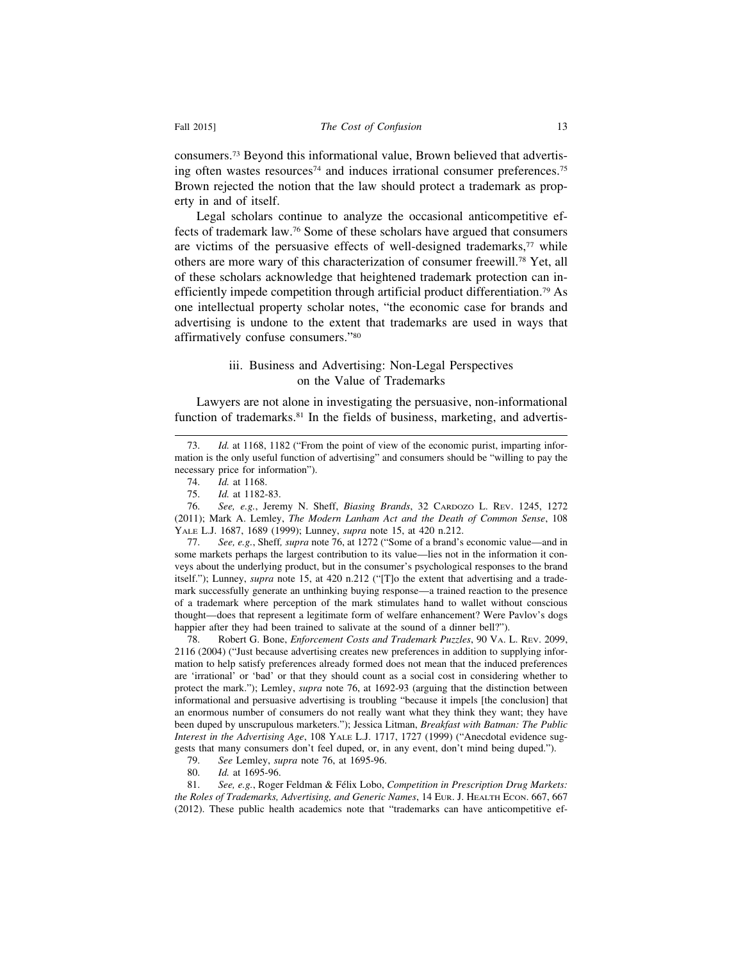consumers.73 Beyond this informational value, Brown believed that advertising often wastes resources<sup>74</sup> and induces irrational consumer preferences.<sup>75</sup> Brown rejected the notion that the law should protect a trademark as property in and of itself.

Legal scholars continue to analyze the occasional anticompetitive effects of trademark law.76 Some of these scholars have argued that consumers are victims of the persuasive effects of well-designed trademarks, $77$  while others are more wary of this characterization of consumer freewill.78 Yet, all of these scholars acknowledge that heightened trademark protection can inefficiently impede competition through artificial product differentiation.79 As one intellectual property scholar notes, "the economic case for brands and advertising is undone to the extent that trademarks are used in ways that affirmatively confuse consumers."80

#### iii. Business and Advertising: Non-Legal Perspectives on the Value of Trademarks

Lawyers are not alone in investigating the persuasive, non-informational function of trademarks.<sup>81</sup> In the fields of business, marketing, and advertis-

77. *See, e.g.*, Sheff*, supra* note 76, at 1272 ("Some of a brand's economic value—and in some markets perhaps the largest contribution to its value—lies not in the information it conveys about the underlying product, but in the consumer's psychological responses to the brand itself."); Lunney, *supra* note 15, at 420 n.212 ("[T]o the extent that advertising and a trademark successfully generate an unthinking buying response—a trained reaction to the presence of a trademark where perception of the mark stimulates hand to wallet without conscious thought—does that represent a legitimate form of welfare enhancement? Were Pavlov's dogs happier after they had been trained to salivate at the sound of a dinner bell?").

78. Robert G. Bone, *Enforcement Costs and Trademark Puzzles*, 90 VA. L. REV. 2099, 2116 (2004) ("Just because advertising creates new preferences in addition to supplying information to help satisfy preferences already formed does not mean that the induced preferences are 'irrational' or 'bad' or that they should count as a social cost in considering whether to protect the mark."); Lemley, *supra* note 76, at 1692-93 (arguing that the distinction between informational and persuasive advertising is troubling "because it impels [the conclusion] that an enormous number of consumers do not really want what they think they want; they have been duped by unscrupulous marketers."); Jessica Litman, *Breakfast with Batman: The Public Interest in the Advertising Age*, 108 YALE L.J. 1717, 1727 (1999) ("Anecdotal evidence suggests that many consumers don't feel duped, or, in any event, don't mind being duped.").

79. *See* Lemley, *supra* note 76, at 1695-96.

Id. at 1695-96.

81. *See, e.g., Roger Feldman & Félix Lobo, Competition in Prescription Drug Markets: the Roles of Trademarks, Advertising, and Generic Names*, 14 EUR. J. HEALTH ECON. 667, 667 (2012). These public health academics note that "trademarks can have anticompetitive ef-

<sup>73.</sup> *Id.* at 1168, 1182 ("From the point of view of the economic purist, imparting information is the only useful function of advertising" and consumers should be "willing to pay the necessary price for information").

<sup>74.</sup> *Id.* at 1168.

*Id.* at 1182-83.

<sup>76.</sup> *See, e.g.*, Jeremy N. Sheff, *Biasing Brands*, 32 CARDOZO L. REV. 1245, 1272 (2011); Mark A. Lemley, *The Modern Lanham Act and the Death of Common Sense*, 108 YALE L.J. 1687, 1689 (1999); Lunney, *supra* note 15, at 420 n.212.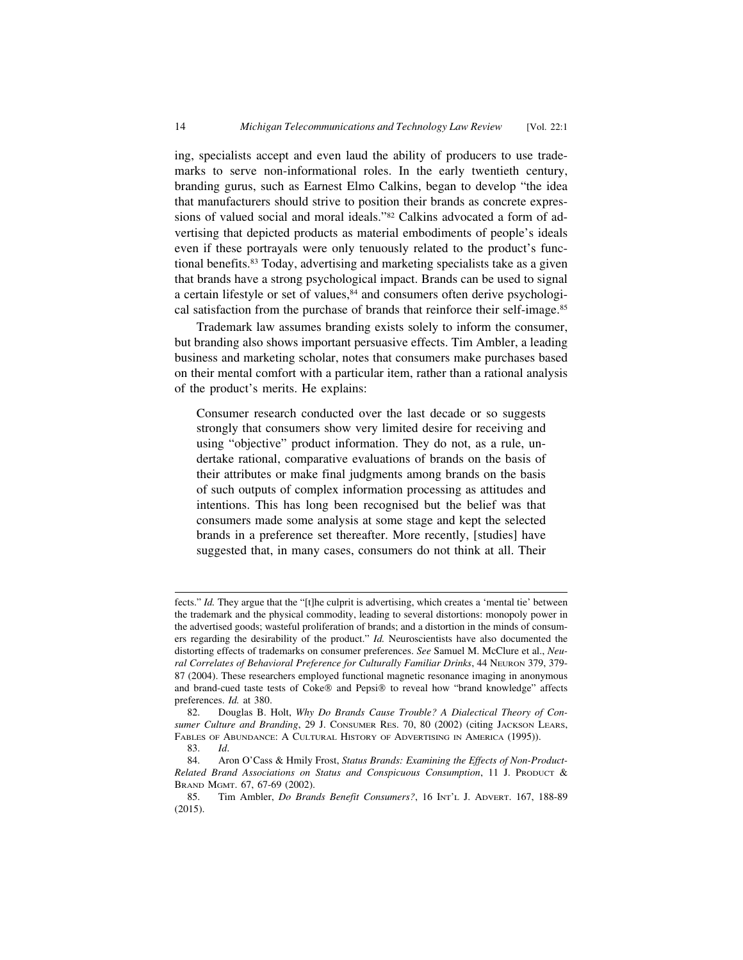ing, specialists accept and even laud the ability of producers to use trademarks to serve non-informational roles. In the early twentieth century, branding gurus, such as Earnest Elmo Calkins, began to develop "the idea that manufacturers should strive to position their brands as concrete expressions of valued social and moral ideals."82 Calkins advocated a form of advertising that depicted products as material embodiments of people's ideals even if these portrayals were only tenuously related to the product's functional benefits.83 Today, advertising and marketing specialists take as a given that brands have a strong psychological impact. Brands can be used to signal a certain lifestyle or set of values,<sup>84</sup> and consumers often derive psychological satisfaction from the purchase of brands that reinforce their self-image.85

Trademark law assumes branding exists solely to inform the consumer, but branding also shows important persuasive effects. Tim Ambler, a leading business and marketing scholar, notes that consumers make purchases based on their mental comfort with a particular item, rather than a rational analysis of the product's merits. He explains:

Consumer research conducted over the last decade or so suggests strongly that consumers show very limited desire for receiving and using "objective" product information. They do not, as a rule, undertake rational, comparative evaluations of brands on the basis of their attributes or make final judgments among brands on the basis of such outputs of complex information processing as attitudes and intentions. This has long been recognised but the belief was that consumers made some analysis at some stage and kept the selected brands in a preference set thereafter. More recently, [studies] have suggested that, in many cases, consumers do not think at all. Their

fects." *Id.* They argue that the "[t]he culprit is advertising, which creates a 'mental tie' between the trademark and the physical commodity, leading to several distortions: monopoly power in the advertised goods; wasteful proliferation of brands; and a distortion in the minds of consumers regarding the desirability of the product." *Id.* Neuroscientists have also documented the distorting effects of trademarks on consumer preferences. *See* Samuel M. McClure et al., *Neural Correlates of Behavioral Preference for Culturally Familiar Drinks*, 44 NEURON 379, 379- 87 (2004). These researchers employed functional magnetic resonance imaging in anonymous and brand-cued taste tests of Coke® and Pepsi® to reveal how "brand knowledge" affects preferences. *Id.* at 380.

<sup>82.</sup> Douglas B. Holt, *Why Do Brands Cause Trouble? A Dialectical Theory of Consumer Culture and Branding*, 29 J. CONSUMER RES. 70, 80 (2002) (citing JACKSON LEARS, FABLES OF ABUNDANCE: A CULTURAL HISTORY OF ADVERTISING IN AMERICA (1995)).

<sup>83.</sup> *Id*.

<sup>84.</sup> Aron O'Cass & Hmily Frost, *Status Brands: Examining the Effects of Non-Product-Related Brand Associations on Status and Conspicuous Consumption*, 11 J. PRODUCT & BRAND MGMT. 67, 67-69 (2002).

<sup>85.</sup> Tim Ambler, *Do Brands Benefit Consumers?*, 16 INT'L J. ADVERT. 167, 188-89 (2015).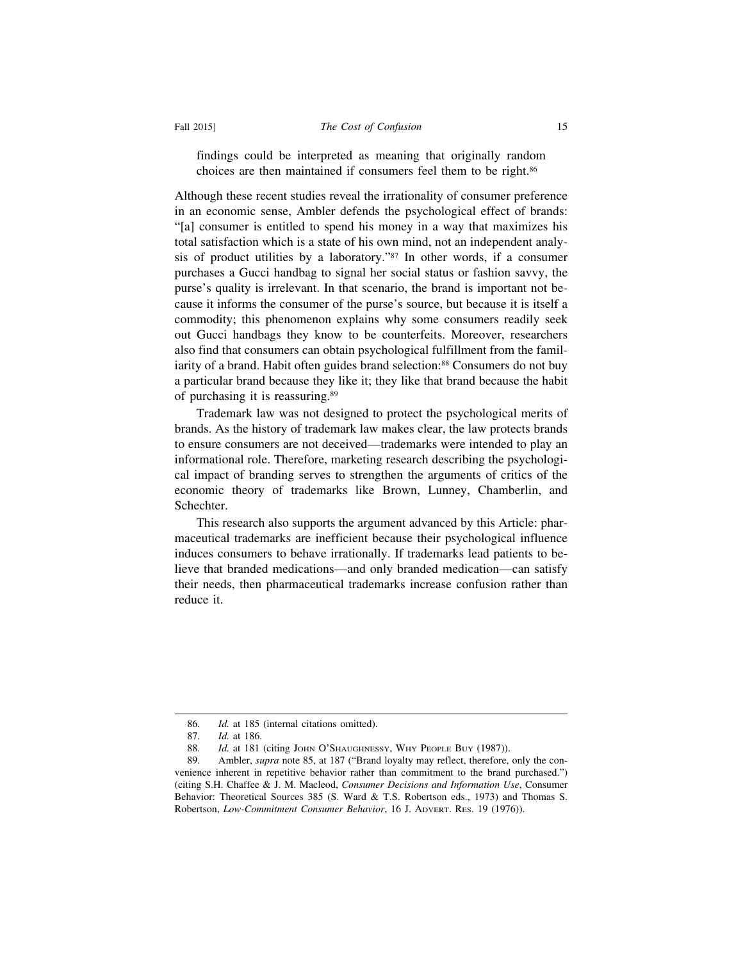#### Fall 2015] *The Cost of Confusion* 15

findings could be interpreted as meaning that originally random choices are then maintained if consumers feel them to be right.86

Although these recent studies reveal the irrationality of consumer preference in an economic sense, Ambler defends the psychological effect of brands: "[a] consumer is entitled to spend his money in a way that maximizes his total satisfaction which is a state of his own mind, not an independent analysis of product utilities by a laboratory."87 In other words, if a consumer purchases a Gucci handbag to signal her social status or fashion savvy, the purse's quality is irrelevant. In that scenario, the brand is important not because it informs the consumer of the purse's source, but because it is itself a commodity; this phenomenon explains why some consumers readily seek out Gucci handbags they know to be counterfeits. Moreover, researchers also find that consumers can obtain psychological fulfillment from the familiarity of a brand. Habit often guides brand selection:<sup>88</sup> Consumers do not buy a particular brand because they like it; they like that brand because the habit of purchasing it is reassuring.89

Trademark law was not designed to protect the psychological merits of brands. As the history of trademark law makes clear, the law protects brands to ensure consumers are not deceived—trademarks were intended to play an informational role. Therefore, marketing research describing the psychological impact of branding serves to strengthen the arguments of critics of the economic theory of trademarks like Brown, Lunney, Chamberlin, and Schechter.

This research also supports the argument advanced by this Article: pharmaceutical trademarks are inefficient because their psychological influence induces consumers to behave irrationally. If trademarks lead patients to believe that branded medications—and only branded medication—can satisfy their needs, then pharmaceutical trademarks increase confusion rather than reduce it.

<sup>86.</sup> *Id.* at 185 (internal citations omitted).

<sup>87.</sup> *Id.* at 186.

<sup>88.</sup> *Id.* at 181 (citing JOHN O'SHAUGHNESSY, WHY PEOPLE BUY (1987)).

<sup>89.</sup> Ambler, *supra* note 85, at 187 ("Brand loyalty may reflect, therefore, only the convenience inherent in repetitive behavior rather than commitment to the brand purchased.") (citing S.H. Chaffee & J. M. Macleod, *Consumer Decisions and Information Use*, Consumer Behavior: Theoretical Sources 385 (S. Ward & T.S. Robertson eds., 1973) and Thomas S. Robertson, *Low-Commitment Consumer Behavior*, 16 J. ADVERT. RES. 19 (1976)).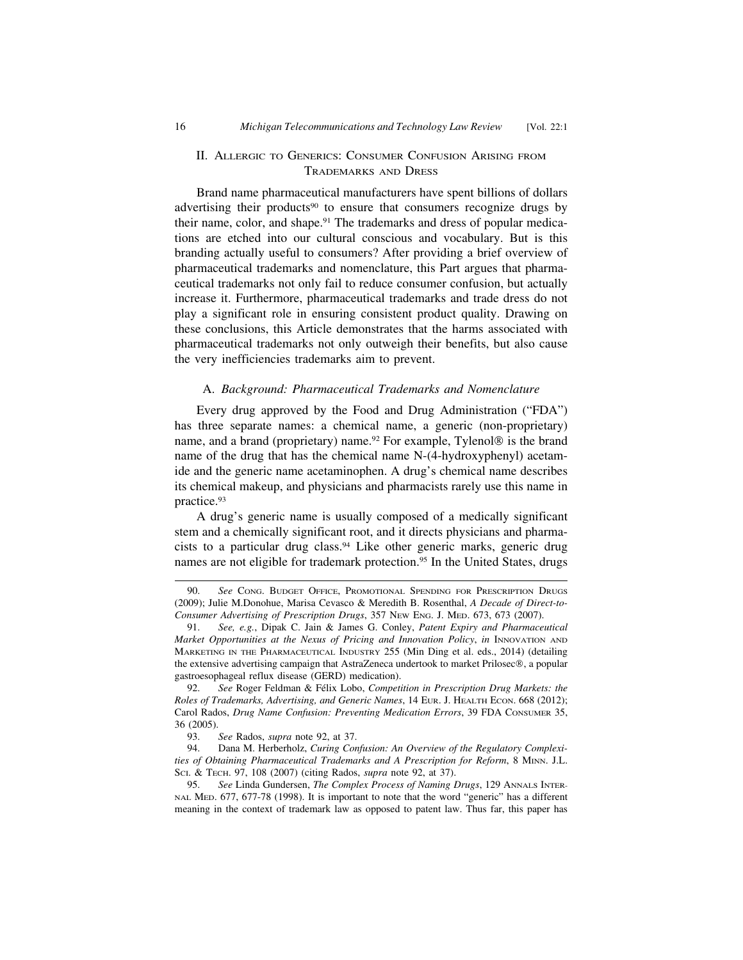#### II. ALLERGIC TO GENERICS: CONSUMER CONFUSION ARISING FROM TRADEMARKS AND DRESS

Brand name pharmaceutical manufacturers have spent billions of dollars advertising their products<sup>90</sup> to ensure that consumers recognize drugs by their name, color, and shape.<sup>91</sup> The trademarks and dress of popular medications are etched into our cultural conscious and vocabulary. But is this branding actually useful to consumers? After providing a brief overview of pharmaceutical trademarks and nomenclature, this Part argues that pharmaceutical trademarks not only fail to reduce consumer confusion, but actually increase it. Furthermore, pharmaceutical trademarks and trade dress do not play a significant role in ensuring consistent product quality. Drawing on these conclusions, this Article demonstrates that the harms associated with pharmaceutical trademarks not only outweigh their benefits, but also cause the very inefficiencies trademarks aim to prevent.

#### A. *Background: Pharmaceutical Trademarks and Nomenclature*

Every drug approved by the Food and Drug Administration ("FDA") has three separate names: a chemical name, a generic (non-proprietary) name, and a brand (proprietary) name.<sup>92</sup> For example, Tylenol<sup>®</sup> is the brand name of the drug that has the chemical name N-(4-hydroxyphenyl) acetamide and the generic name acetaminophen. A drug's chemical name describes its chemical makeup, and physicians and pharmacists rarely use this name in practice.93

A drug's generic name is usually composed of a medically significant stem and a chemically significant root, and it directs physicians and pharmacists to a particular drug class.94 Like other generic marks, generic drug names are not eligible for trademark protection.<sup>95</sup> In the United States, drugs

<sup>90.</sup> *See* CONG. BUDGET OFFICE, PROMOTIONAL SPENDING FOR PRESCRIPTION DRUGS (2009); Julie M.Donohue, Marisa Cevasco & Meredith B. Rosenthal, *A Decade of Direct-to-Consumer Advertising of Prescription Drugs*, 357 NEW ENG. J. MED. 673, 673 (2007).

<sup>91.</sup> *See, e.g.*, Dipak C. Jain & James G. Conley, *Patent Expiry and Pharmaceutical Market Opportunities at the Nexus of Pricing and Innovation Policy*, *in* INNOVATION AND MARKETING IN THE PHARMACEUTICAL INDUSTRY 255 (Min Ding et al. eds., 2014) (detailing the extensive advertising campaign that AstraZeneca undertook to market Prilosec®, a popular gastroesophageal reflux disease (GERD) medication).

<sup>92.</sup> See Roger Feldman & Félix Lobo, *Competition in Prescription Drug Markets: the Roles of Trademarks, Advertising, and Generic Names*, 14 EUR. J. HEALTH ECON. 668 (2012); Carol Rados, *Drug Name Confusion: Preventing Medication Errors*, 39 FDA CONSUMER 35, 36 (2005).

<sup>93.</sup> *See* Rados, *supra* note 92, at 37.

<sup>94.</sup> Dana M. Herberholz, *Curing Confusion: An Overview of the Regulatory Complexities of Obtaining Pharmaceutical Trademarks and A Prescription for Reform*, 8 MINN. J.L. SCI. & TECH. 97, 108 (2007) (citing Rados, *supra* note 92, at 37).

<sup>95.</sup> *See* Linda Gundersen, *The Complex Process of Naming Drugs*, 129 ANNALS INTER-NAL MED. 677, 677-78 (1998). It is important to note that the word "generic" has a different meaning in the context of trademark law as opposed to patent law. Thus far, this paper has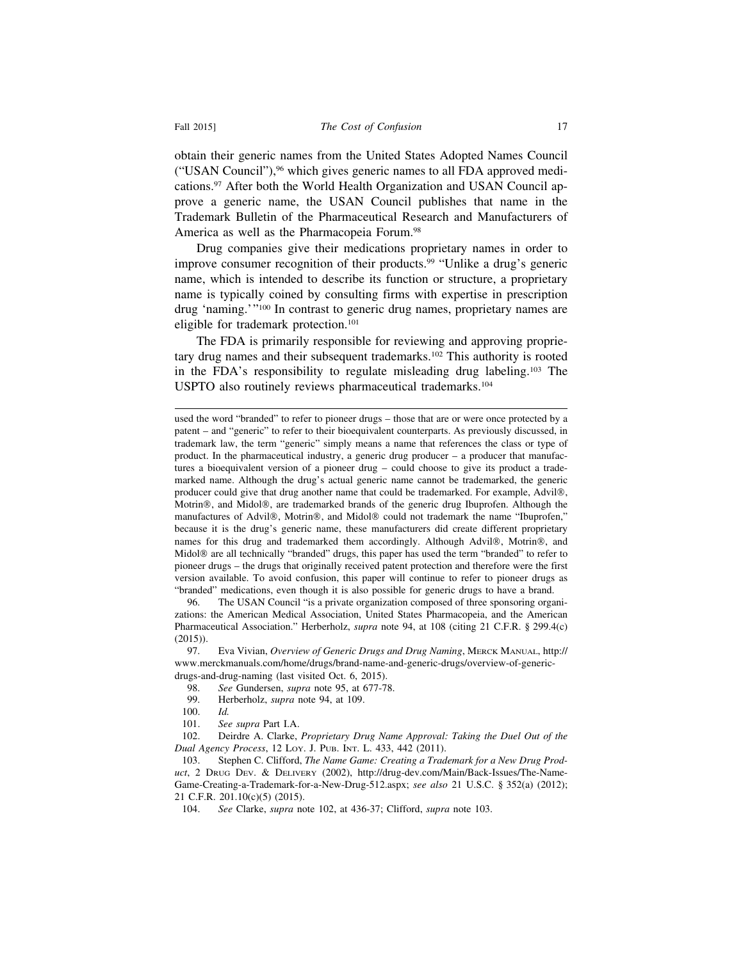obtain their generic names from the United States Adopted Names Council ("USAN Council"),96 which gives generic names to all FDA approved medications.<sup>97</sup> After both the World Health Organization and USAN Council approve a generic name, the USAN Council publishes that name in the Trademark Bulletin of the Pharmaceutical Research and Manufacturers of America as well as the Pharmacopeia Forum.<sup>98</sup>

Drug companies give their medications proprietary names in order to improve consumer recognition of their products.<sup>99</sup> "Unlike a drug's generic name, which is intended to describe its function or structure, a proprietary name is typically coined by consulting firms with expertise in prescription drug 'naming.'"100 In contrast to generic drug names, proprietary names are eligible for trademark protection.101

The FDA is primarily responsible for reviewing and approving proprietary drug names and their subsequent trademarks.<sup>102</sup> This authority is rooted in the FDA's responsibility to regulate misleading drug labeling.103 The USPTO also routinely reviews pharmaceutical trademarks.104

96. The USAN Council "is a private organization composed of three sponsoring organizations: the American Medical Association, United States Pharmacopeia, and the American Pharmaceutical Association." Herberholz, *supra* note 94, at 108 (citing 21 C.F.R. § 299.4(c) (2015)).

97. Eva Vivian, *Overview of Generic Drugs and Drug Naming*, MERCK MANUAL, http:// www.merckmanuals.com/home/drugs/brand-name-and-generic-drugs/overview-of-genericdrugs-and-drug-naming (last visited Oct. 6, 2015).

- 99. Herberholz, *supra* note 94, at 109.
- 100. *Id.*
- 101. *See supra* Part I.A.

102. Deirdre A. Clarke, *Proprietary Drug Name Approval: Taking the Duel Out of the Dual Agency Process*, 12 LOY. J. PUB. INT. L. 433, 442 (2011).

104. *See* Clarke, *supra* note 102, at 436-37; Clifford, *supra* note 103.

used the word "branded" to refer to pioneer drugs – those that are or were once protected by a patent – and "generic" to refer to their bioequivalent counterparts. As previously discussed, in trademark law, the term "generic" simply means a name that references the class or type of product. In the pharmaceutical industry, a generic drug producer – a producer that manufactures a bioequivalent version of a pioneer drug – could choose to give its product a trademarked name. Although the drug's actual generic name cannot be trademarked, the generic producer could give that drug another name that could be trademarked. For example, Advil®, Motrin®, and Midol®, are trademarked brands of the generic drug Ibuprofen. Although the manufactures of Advil®, Motrin®, and Midol® could not trademark the name "Ibuprofen," because it is the drug's generic name, these manufacturers did create different proprietary names for this drug and trademarked them accordingly. Although Advil®, Motrin®, and Midol® are all technically "branded" drugs, this paper has used the term "branded" to refer to pioneer drugs – the drugs that originally received patent protection and therefore were the first version available. To avoid confusion, this paper will continue to refer to pioneer drugs as "branded" medications, even though it is also possible for generic drugs to have a brand.

<sup>98.</sup> *See* Gundersen, *supra* note 95, at 677-78.

<sup>103.</sup> Stephen C. Clifford, *The Name Game: Creating a Trademark for a New Drug Product*, 2 DRUG DEV. & DELIVERY (2002), http://drug-dev.com/Main/Back-Issues/The-Name-Game-Creating-a-Trademark-for-a-New-Drug-512.aspx; *see also* 21 U.S.C. § 352(a) (2012); 21 C.F.R. 201.10(c)(5) (2015).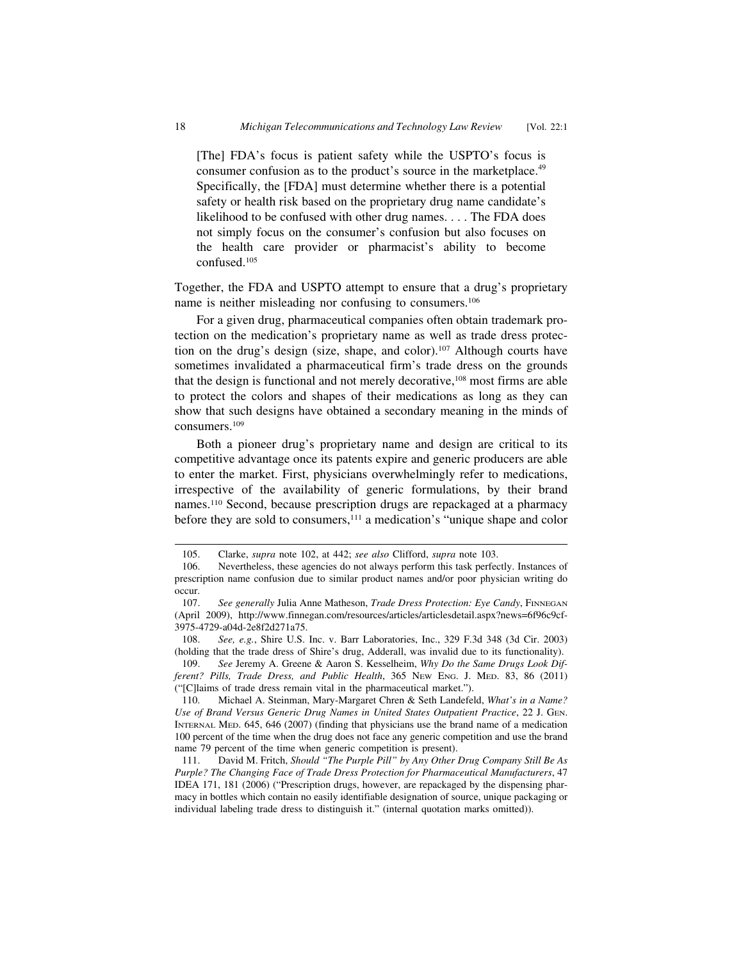[The] FDA's focus is patient safety while the USPTO's focus is consumer confusion as to the product's source in the marketplace.<sup>49</sup> Specifically, the [FDA] must determine whether there is a potential safety or health risk based on the proprietary drug name candidate's likelihood to be confused with other drug names. . . . The FDA does not simply focus on the consumer's confusion but also focuses on the health care provider or pharmacist's ability to become confused.105

Together, the FDA and USPTO attempt to ensure that a drug's proprietary name is neither misleading nor confusing to consumers.106

For a given drug, pharmaceutical companies often obtain trademark protection on the medication's proprietary name as well as trade dress protection on the drug's design (size, shape, and color).107 Although courts have sometimes invalidated a pharmaceutical firm's trade dress on the grounds that the design is functional and not merely decorative,<sup>108</sup> most firms are able to protect the colors and shapes of their medications as long as they can show that such designs have obtained a secondary meaning in the minds of consumers.109

Both a pioneer drug's proprietary name and design are critical to its competitive advantage once its patents expire and generic producers are able to enter the market. First, physicians overwhelmingly refer to medications, irrespective of the availability of generic formulations, by their brand names.110 Second, because prescription drugs are repackaged at a pharmacy before they are sold to consumers,111 a medication's "unique shape and color

109. *See* Jeremy A. Greene & Aaron S. Kesselheim, *Why Do the Same Drugs Look Different? Pills, Trade Dress, and Public Health*, 365 NEW ENG. J. MED. 83, 86 (2011) ("[C]laims of trade dress remain vital in the pharmaceutical market.").

<sup>105.</sup> Clarke, *supra* note 102, at 442; *see also* Clifford, *supra* note 103.

<sup>106.</sup> Nevertheless, these agencies do not always perform this task perfectly. Instances of prescription name confusion due to similar product names and/or poor physician writing do occur.

<sup>107.</sup> *See generally* Julia Anne Matheson, *Trade Dress Protection: Eye Candy*, FINNEGAN (April 2009), http://www.finnegan.com/resources/articles/articlesdetail.aspx?news=6f96c9cf-3975-4729-a04d-2e8f2d271a75.

<sup>108.</sup> *See, e.g.*, Shire U.S. Inc. v. Barr Laboratories, Inc., 329 F.3d 348 (3d Cir. 2003) (holding that the trade dress of Shire's drug, Adderall, was invalid due to its functionality).

<sup>110.</sup> Michael A. Steinman, Mary-Margaret Chren & Seth Landefeld, *What's in a Name? Use of Brand Versus Generic Drug Names in United States Outpatient Practice*, 22 J. GEN. INTERNAL MED. 645, 646 (2007) (finding that physicians use the brand name of a medication 100 percent of the time when the drug does not face any generic competition and use the brand name 79 percent of the time when generic competition is present).

<sup>111.</sup> David M. Fritch, *Should "The Purple Pill" by Any Other Drug Company Still Be As Purple? The Changing Face of Trade Dress Protection for Pharmaceutical Manufacturers*, 47 IDEA 171, 181 (2006) ("Prescription drugs, however, are repackaged by the dispensing pharmacy in bottles which contain no easily identifiable designation of source, unique packaging or individual labeling trade dress to distinguish it." (internal quotation marks omitted)).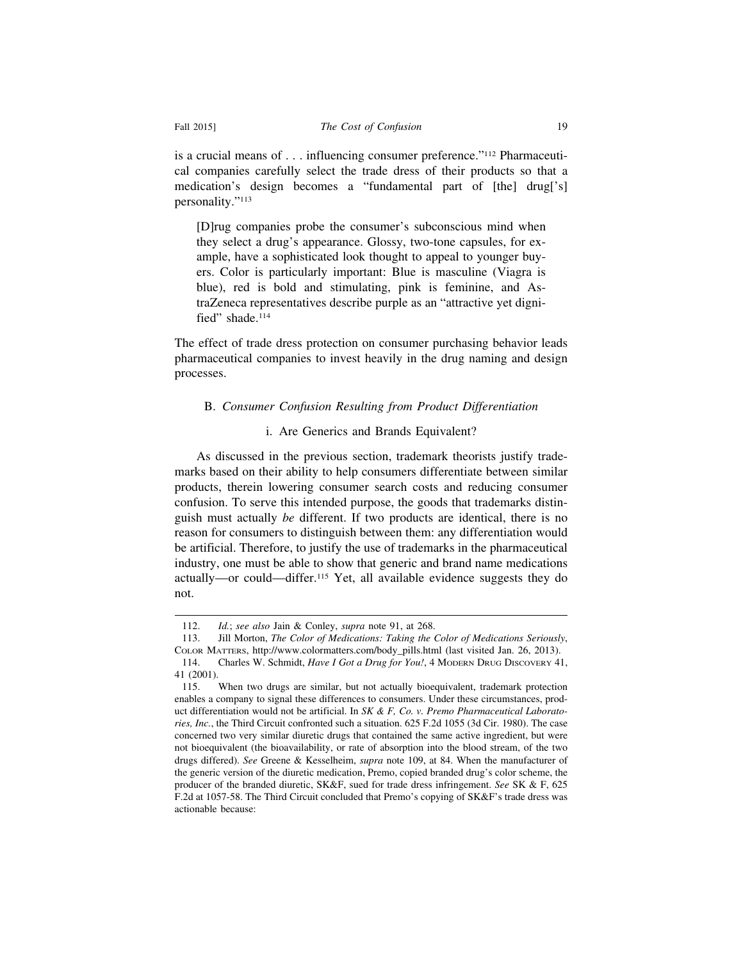is a crucial means of . . . influencing consumer preference."112 Pharmaceutical companies carefully select the trade dress of their products so that a medication's design becomes a "fundamental part of [the] drug['s] personality."113

[D]rug companies probe the consumer's subconscious mind when they select a drug's appearance. Glossy, two-tone capsules, for example, have a sophisticated look thought to appeal to younger buyers. Color is particularly important: Blue is masculine (Viagra is blue), red is bold and stimulating, pink is feminine, and AstraZeneca representatives describe purple as an "attractive yet dignified" shade.<sup>114</sup>

The effect of trade dress protection on consumer purchasing behavior leads pharmaceutical companies to invest heavily in the drug naming and design processes.

#### B. *Consumer Confusion Resulting from Product Differentiation*

#### i. Are Generics and Brands Equivalent?

As discussed in the previous section, trademark theorists justify trademarks based on their ability to help consumers differentiate between similar products, therein lowering consumer search costs and reducing consumer confusion. To serve this intended purpose, the goods that trademarks distinguish must actually *be* different. If two products are identical, there is no reason for consumers to distinguish between them: any differentiation would be artificial. Therefore, to justify the use of trademarks in the pharmaceutical industry, one must be able to show that generic and brand name medications actually—or could—differ.115 Yet, all available evidence suggests they do not.

<sup>112.</sup> *Id.*; *see also* Jain & Conley, *supra* note 91, at 268.

<sup>113.</sup> Jill Morton, *The Color of Medications: Taking the Color of Medications Seriously*, COLOR MATTERS, http://www.colormatters.com/body\_pills.html (last visited Jan. 26, 2013). 114. Charles W. Schmidt, *Have I Got a Drug for You!*, 4 MODERN DRUG DISCOVERY 41, 41 (2001).

<sup>115.</sup> When two drugs are similar, but not actually bioequivalent, trademark protection enables a company to signal these differences to consumers. Under these circumstances, product differentiation would not be artificial. In *SK & F, Co. v. Premo Pharmaceutical Laboratories, Inc.*, the Third Circuit confronted such a situation. 625 F.2d 1055 (3d Cir. 1980). The case concerned two very similar diuretic drugs that contained the same active ingredient, but were not bioequivalent (the bioavailability, or rate of absorption into the blood stream, of the two drugs differed). *See* Greene & Kesselheim, *supra* note 109, at 84. When the manufacturer of the generic version of the diuretic medication, Premo, copied branded drug's color scheme, the producer of the branded diuretic, SK&F, sued for trade dress infringement. *See* SK & F, 625 F.2d at 1057-58. The Third Circuit concluded that Premo's copying of SK&F's trade dress was actionable because: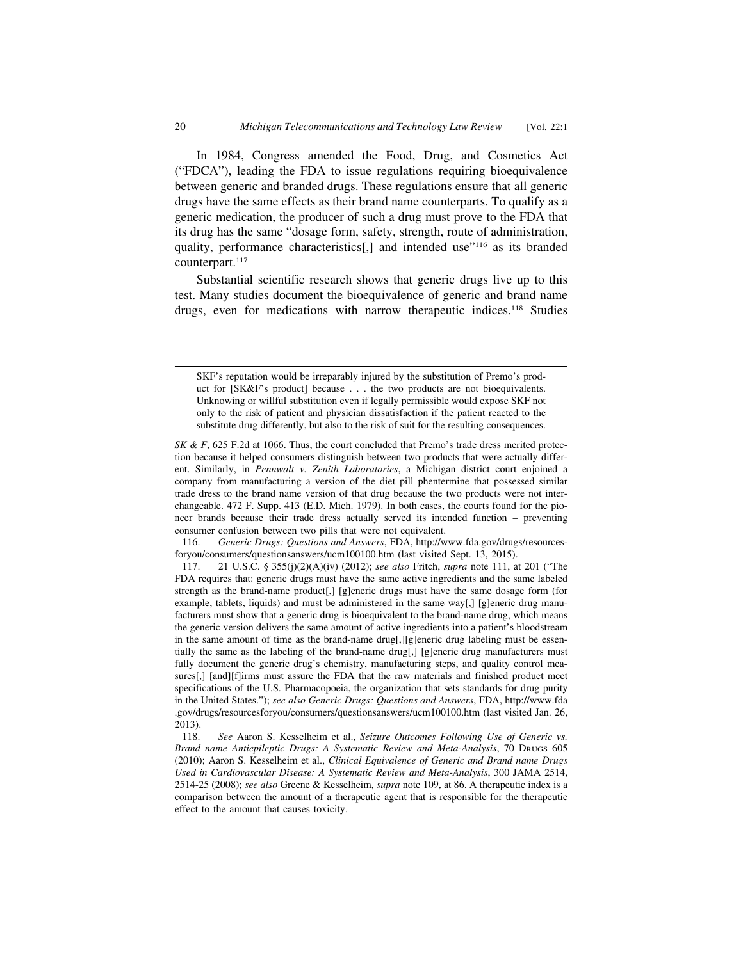In 1984, Congress amended the Food, Drug, and Cosmetics Act ("FDCA"), leading the FDA to issue regulations requiring bioequivalence between generic and branded drugs. These regulations ensure that all generic drugs have the same effects as their brand name counterparts. To qualify as a generic medication, the producer of such a drug must prove to the FDA that its drug has the same "dosage form, safety, strength, route of administration, quality, performance characteristics[,] and intended use"<sup>116</sup> as its branded counterpart.<sup>117</sup>

Substantial scientific research shows that generic drugs live up to this test. Many studies document the bioequivalence of generic and brand name drugs, even for medications with narrow therapeutic indices.118 Studies

116. *Generic Drugs: Questions and Answers*, FDA, http://www.fda.gov/drugs/resourcesforyou/consumers/questionsanswers/ucm100100.htm (last visited Sept. 13, 2015).

SKF's reputation would be irreparably injured by the substitution of Premo's product for [SK&F's product] because . . . the two products are not bioequivalents. Unknowing or willful substitution even if legally permissible would expose SKF not only to the risk of patient and physician dissatisfaction if the patient reacted to the substitute drug differently, but also to the risk of suit for the resulting consequences.

*SK & F*, 625 F.2d at 1066. Thus, the court concluded that Premo's trade dress merited protection because it helped consumers distinguish between two products that were actually different. Similarly, in *Pennwalt v. Zenith Laboratories*, a Michigan district court enjoined a company from manufacturing a version of the diet pill phentermine that possessed similar trade dress to the brand name version of that drug because the two products were not interchangeable. 472 F. Supp. 413 (E.D. Mich. 1979). In both cases, the courts found for the pioneer brands because their trade dress actually served its intended function – preventing consumer confusion between two pills that were not equivalent.

<sup>117. 21</sup> U.S.C. § 355(j)(2)(A)(iv) (2012); *see also* Fritch, *supra* note 111, at 201 ("The FDA requires that: generic drugs must have the same active ingredients and the same labeled strength as the brand-name product[,] [g]eneric drugs must have the same dosage form (for example, tablets, liquids) and must be administered in the same way[,] [g]eneric drug manufacturers must show that a generic drug is bioequivalent to the brand-name drug, which means the generic version delivers the same amount of active ingredients into a patient's bloodstream in the same amount of time as the brand-name drug[,][g]eneric drug labeling must be essentially the same as the labeling of the brand-name drug[,] [g]eneric drug manufacturers must fully document the generic drug's chemistry, manufacturing steps, and quality control measures[,] [and][f]irms must assure the FDA that the raw materials and finished product meet specifications of the U.S. Pharmacopoeia, the organization that sets standards for drug purity in the United States."); *see also Generic Drugs: Questions and Answers*, FDA, http://www.fda .gov/drugs/resourcesforyou/consumers/questionsanswers/ucm100100.htm (last visited Jan. 26, 2013).

<sup>118.</sup> *See* Aaron S. Kesselheim et al., *Seizure Outcomes Following Use of Generic vs. Brand name Antiepileptic Drugs: A Systematic Review and Meta-Analysis*, 70 DRUGS 605 (2010); Aaron S. Kesselheim et al., *Clinical Equivalence of Generic and Brand name Drugs Used in Cardiovascular Disease: A Systematic Review and Meta-Analysis*, 300 JAMA 2514, 2514-25 (2008); *see also* Greene & Kesselheim, *supra* note 109, at 86. A therapeutic index is a comparison between the amount of a therapeutic agent that is responsible for the therapeutic effect to the amount that causes toxicity.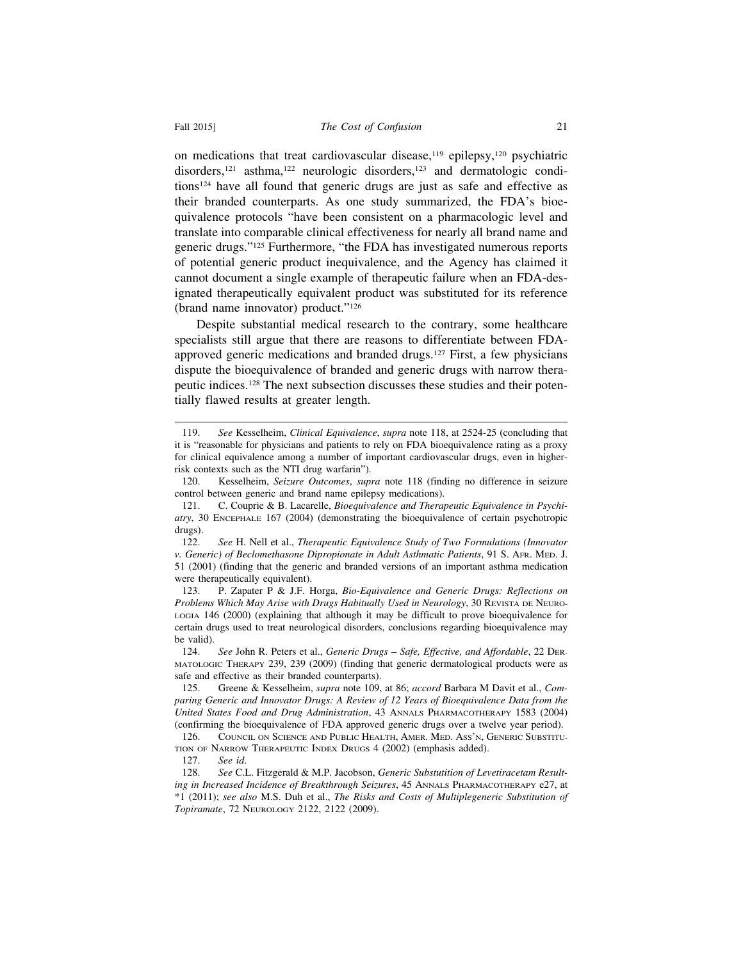on medications that treat cardiovascular disease, $119$  epilepsy, $120$  psychiatric disorders,<sup>121</sup> asthma,<sup>122</sup> neurologic disorders,<sup>123</sup> and dermatologic conditions124 have all found that generic drugs are just as safe and effective as their branded counterparts. As one study summarized, the FDA's bioequivalence protocols "have been consistent on a pharmacologic level and translate into comparable clinical effectiveness for nearly all brand name and generic drugs."125 Furthermore, "the FDA has investigated numerous reports of potential generic product inequivalence, and the Agency has claimed it cannot document a single example of therapeutic failure when an FDA-designated therapeutically equivalent product was substituted for its reference (brand name innovator) product."126

Despite substantial medical research to the contrary, some healthcare specialists still argue that there are reasons to differentiate between FDAapproved generic medications and branded drugs.127 First, a few physicians dispute the bioequivalence of branded and generic drugs with narrow therapeutic indices.128 The next subsection discusses these studies and their potentially flawed results at greater length.

127. *See id*.

<sup>119.</sup> *See* Kesselheim, *Clinical Equivalence*, *supra* note 118, at 2524-25 (concluding that it is "reasonable for physicians and patients to rely on FDA bioequivalence rating as a proxy for clinical equivalence among a number of important cardiovascular drugs, even in higherrisk contexts such as the NTI drug warfarin").

<sup>120.</sup> Kesselheim, *Seizure Outcomes*, *supra* note 118 (finding no difference in seizure control between generic and brand name epilepsy medications).

<sup>121.</sup> C. Couprie & B. Lacarelle, *Bioequivalence and Therapeutic Equivalence in Psychiatry*, 30 ENCEPHALE 167 (2004) (demonstrating the bioequivalence of certain psychotropic drugs).

<sup>122.</sup> *See* H. Nell et al., *Therapeutic Equivalence Study of Two Formulations (Innovator v. Generic) of Beclomethasone Dipropionate in Adult Asthmatic Patients*, 91 S. AFR. MED. J. 51 (2001) (finding that the generic and branded versions of an important asthma medication were therapeutically equivalent).

<sup>123.</sup> P. Zapater P & J.F. Horga, *Bio-Equivalence and Generic Drugs: Reflections on Problems Which May Arise with Drugs Habitually Used in Neurology*, 30 REVISTA DE NEURO-LOGIA 146 (2000) (explaining that although it may be difficult to prove bioequivalence for certain drugs used to treat neurological disorders, conclusions regarding bioequivalence may be valid).

<sup>124.</sup> *See* John R. Peters et al., *Generic Drugs – Safe, Effective, and Affordable*, 22 DER-MATOLOGIC THERAPY 239, 239 (2009) (finding that generic dermatological products were as safe and effective as their branded counterparts).

<sup>125.</sup> Greene & Kesselheim, *supra* note 109, at 86; *accord* Barbara M Davit et al., *Comparing Generic and Innovator Drugs: A Review of 12 Years of Bioequivalence Data from the United States Food and Drug Administration*, 43 ANNALS PHARMACOTHERAPY 1583 (2004) (confirming the bioequivalence of FDA approved generic drugs over a twelve year period).

<sup>126.</sup> COUNCIL ON SCIENCE AND PUBLIC HEALTH, AMER. MED. ASS'N, GENERIC SUBSTITU-TION OF NARROW THERAPEUTIC INDEX DRUGS 4 (2002) (emphasis added).

<sup>128.</sup> *See* C.L. Fitzgerald & M.P. Jacobson, *Generic Substutition of Levetiracetam Resulting in Increased Incidence of Breakthrough Seizures*, 45 ANNALS PHARMACOTHERAPY e27, at \*1 (2011); *see also* M.S. Duh et al., *The Risks and Costs of Multiplegeneric Substitution of Topiramate*, 72 NEUROLOGY 2122, 2122 (2009).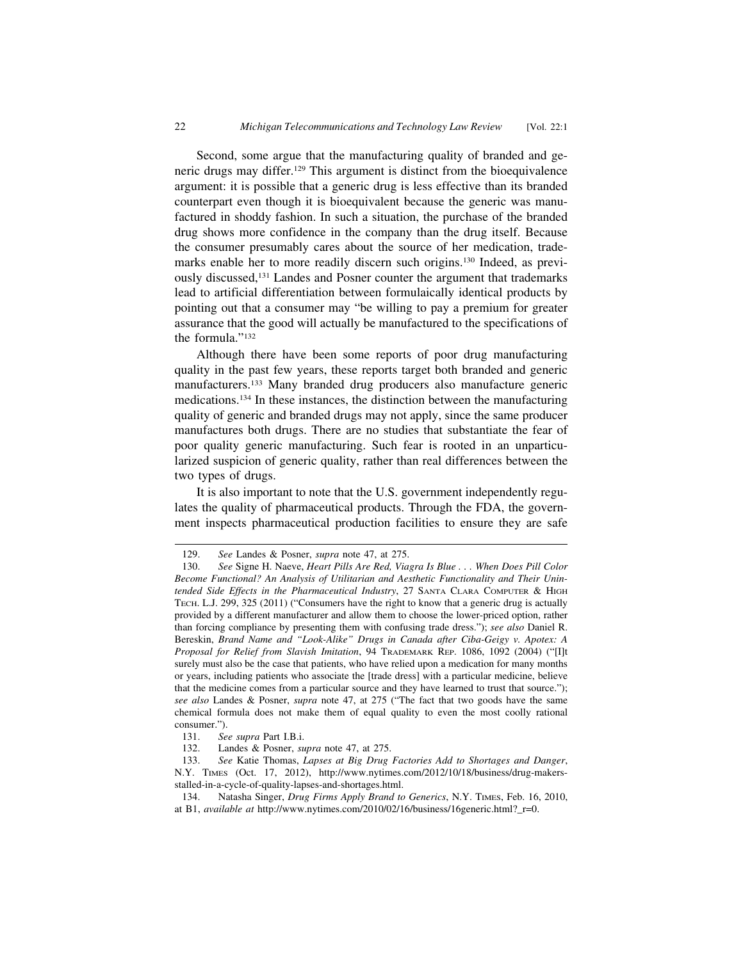Second, some argue that the manufacturing quality of branded and generic drugs may differ.129 This argument is distinct from the bioequivalence argument: it is possible that a generic drug is less effective than its branded counterpart even though it is bioequivalent because the generic was manufactured in shoddy fashion. In such a situation, the purchase of the branded drug shows more confidence in the company than the drug itself. Because the consumer presumably cares about the source of her medication, trademarks enable her to more readily discern such origins.130 Indeed, as previously discussed,131 Landes and Posner counter the argument that trademarks lead to artificial differentiation between formulaically identical products by pointing out that a consumer may "be willing to pay a premium for greater assurance that the good will actually be manufactured to the specifications of the formula."132

Although there have been some reports of poor drug manufacturing quality in the past few years, these reports target both branded and generic manufacturers.133 Many branded drug producers also manufacture generic medications.134 In these instances, the distinction between the manufacturing quality of generic and branded drugs may not apply, since the same producer manufactures both drugs. There are no studies that substantiate the fear of poor quality generic manufacturing. Such fear is rooted in an unparticularized suspicion of generic quality, rather than real differences between the two types of drugs.

It is also important to note that the U.S. government independently regulates the quality of pharmaceutical products. Through the FDA, the government inspects pharmaceutical production facilities to ensure they are safe

<sup>129.</sup> *See* Landes & Posner, *supra* note 47, at 275.

<sup>130.</sup> *See* Signe H. Naeve, *Heart Pills Are Red, Viagra Is Blue . . . When Does Pill Color Become Functional? An Analysis of Utilitarian and Aesthetic Functionality and Their Unintended Side Effects in the Pharmaceutical Industry*, 27 SANTA CLARA COMPUTER & HIGH TECH. L.J. 299, 325 (2011) ("Consumers have the right to know that a generic drug is actually provided by a different manufacturer and allow them to choose the lower-priced option, rather than forcing compliance by presenting them with confusing trade dress."); *see also* Daniel R. Bereskin, *Brand Name and "Look-Alike" Drugs in Canada after Ciba-Geigy v. Apotex: A Proposal for Relief from Slavish Imitation*, 94 TRADEMARK REP. 1086, 1092 (2004) ("[I]t surely must also be the case that patients, who have relied upon a medication for many months or years, including patients who associate the [trade dress] with a particular medicine, believe that the medicine comes from a particular source and they have learned to trust that source."); *see also* Landes & Posner, *supra* note 47, at 275 ("The fact that two goods have the same chemical formula does not make them of equal quality to even the most coolly rational consumer.").

<sup>131.</sup> *See supra* Part I.B.i.

<sup>132.</sup> Landes & Posner, *supra* note 47, at 275.

<sup>133.</sup> *See* Katie Thomas, *Lapses at Big Drug Factories Add to Shortages and Danger*, N.Y. TIMES (Oct. 17, 2012), http://www.nytimes.com/2012/10/18/business/drug-makersstalled-in-a-cycle-of-quality-lapses-and-shortages.html.

<sup>134.</sup> Natasha Singer, *Drug Firms Apply Brand to Generics*, N.Y. TIMES, Feb. 16, 2010, at B1, *available at* http://www.nytimes.com/2010/02/16/business/16generic.html?\_r=0.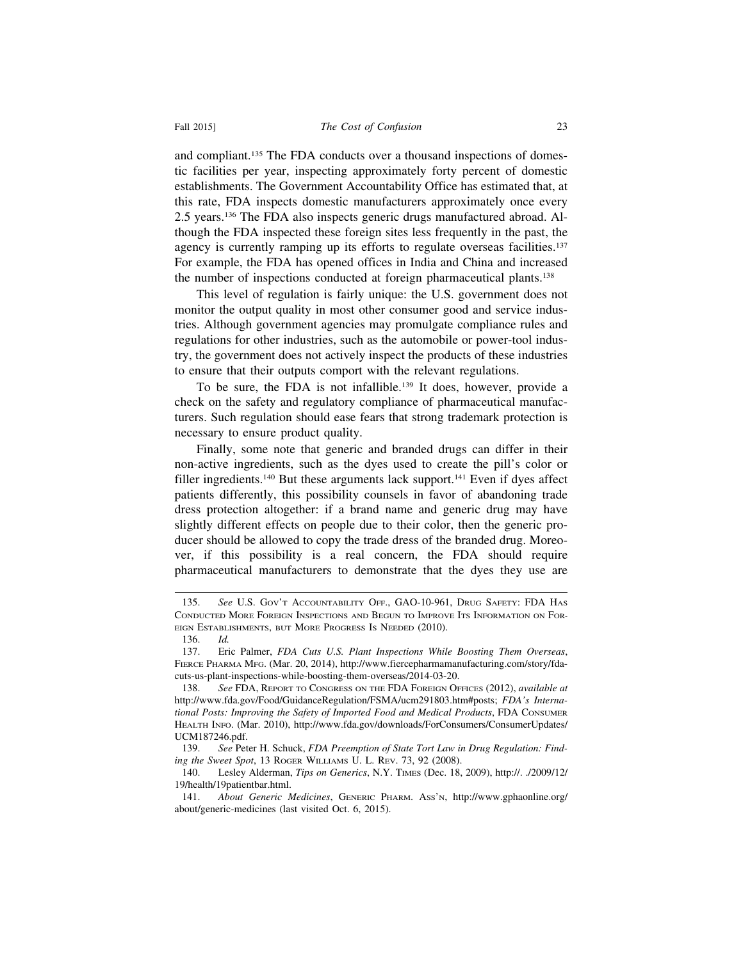and compliant.135 The FDA conducts over a thousand inspections of domestic facilities per year, inspecting approximately forty percent of domestic establishments. The Government Accountability Office has estimated that, at this rate, FDA inspects domestic manufacturers approximately once every 2.5 years.136 The FDA also inspects generic drugs manufactured abroad. Although the FDA inspected these foreign sites less frequently in the past, the agency is currently ramping up its efforts to regulate overseas facilities.<sup>137</sup> For example, the FDA has opened offices in India and China and increased the number of inspections conducted at foreign pharmaceutical plants.138

This level of regulation is fairly unique: the U.S. government does not monitor the output quality in most other consumer good and service industries. Although government agencies may promulgate compliance rules and regulations for other industries, such as the automobile or power-tool industry, the government does not actively inspect the products of these industries to ensure that their outputs comport with the relevant regulations.

To be sure, the FDA is not infallible.139 It does, however, provide a check on the safety and regulatory compliance of pharmaceutical manufacturers. Such regulation should ease fears that strong trademark protection is necessary to ensure product quality.

Finally, some note that generic and branded drugs can differ in their non-active ingredients, such as the dyes used to create the pill's color or filler ingredients.<sup>140</sup> But these arguments lack support.<sup>141</sup> Even if dyes affect patients differently, this possibility counsels in favor of abandoning trade dress protection altogether: if a brand name and generic drug may have slightly different effects on people due to their color, then the generic producer should be allowed to copy the trade dress of the branded drug. Moreover, if this possibility is a real concern, the FDA should require pharmaceutical manufacturers to demonstrate that the dyes they use are

<sup>135.</sup> *See* U.S. GOV'T ACCOUNTABILITY OFF., GAO-10-961, DRUG SAFETY: FDA HAS CONDUCTED MORE FOREIGN INSPECTIONS AND BEGUN TO IMPROVE ITS INFORMATION ON FOR-EIGN ESTABLISHMENTS, BUT MORE PROGRESS IS NEEDED (2010).

<sup>136.</sup> *Id.*

<sup>137.</sup> Eric Palmer, *FDA Cuts U.S. Plant Inspections While Boosting Them Overseas*, FIERCE PHARMA MFG. (Mar. 20, 2014), http://www.fiercepharmamanufacturing.com/story/fdacuts-us-plant-inspections-while-boosting-them-overseas/2014-03-20.

<sup>138.</sup> *See* FDA, REPORT TO CONGRESS ON THE FDA FOREIGN OFFICES (2012), *available at* http://www.fda.gov/Food/GuidanceRegulation/FSMA/ucm291803.htm#posts; *FDA's International Posts: Improving the Safety of Imported Food and Medical Products*, FDA CONSUMER HEALTH INFO. (Mar. 2010), http://www.fda.gov/downloads/ForConsumers/ConsumerUpdates/ UCM187246.pdf.

<sup>139.</sup> *See* Peter H. Schuck, *FDA Preemption of State Tort Law in Drug Regulation: Finding the Sweet Spot*, 13 ROGER WILLIAMS U. L. REV. 73, 92 (2008).

<sup>140.</sup> Lesley Alderman, *Tips on Generics*, N.Y. TIMES (Dec. 18, 2009), http://. ./2009/12/ 19/health/19patientbar.html.

<sup>141.</sup> *About Generic Medicines*, GENERIC PHARM. ASS'N, http://www.gphaonline.org/ about/generic-medicines (last visited Oct. 6, 2015).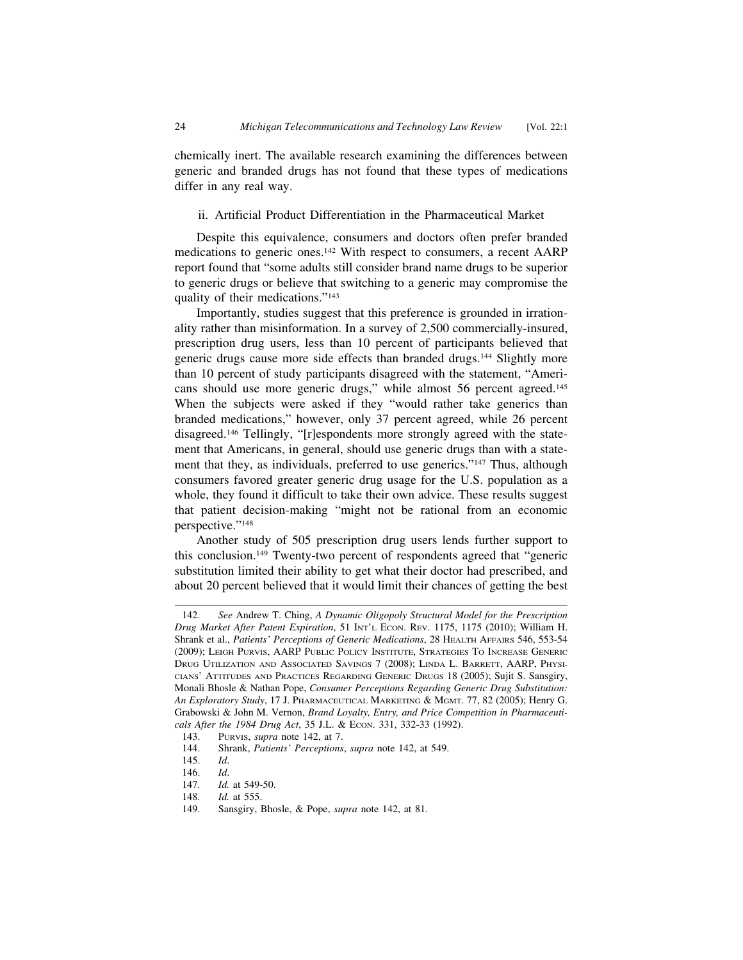chemically inert. The available research examining the differences between generic and branded drugs has not found that these types of medications differ in any real way.

#### ii. Artificial Product Differentiation in the Pharmaceutical Market

Despite this equivalence, consumers and doctors often prefer branded medications to generic ones.142 With respect to consumers, a recent AARP report found that "some adults still consider brand name drugs to be superior to generic drugs or believe that switching to a generic may compromise the quality of their medications."143

Importantly, studies suggest that this preference is grounded in irrationality rather than misinformation. In a survey of 2,500 commercially-insured, prescription drug users, less than 10 percent of participants believed that generic drugs cause more side effects than branded drugs.144 Slightly more than 10 percent of study participants disagreed with the statement, "Americans should use more generic drugs," while almost 56 percent agreed.<sup>145</sup> When the subjects were asked if they "would rather take generics than branded medications," however, only 37 percent agreed, while 26 percent disagreed.146 Tellingly, "[r]espondents more strongly agreed with the statement that Americans, in general, should use generic drugs than with a statement that they, as individuals, preferred to use generics."<sup>147</sup> Thus, although consumers favored greater generic drug usage for the U.S. population as a whole, they found it difficult to take their own advice. These results suggest that patient decision-making "might not be rational from an economic perspective."148

Another study of 505 prescription drug users lends further support to this conclusion.149 Twenty-two percent of respondents agreed that "generic substitution limited their ability to get what their doctor had prescribed, and about 20 percent believed that it would limit their chances of getting the best

<sup>142.</sup> *See* Andrew T. Ching, *A Dynamic Oligopoly Structural Model for the Prescription Drug Market After Patent Expiration*, 51 INT'L ECON. REV. 1175, 1175 (2010); William H. Shrank et al., *Patients' Perceptions of Generic Medications*, 28 HEALTH AFFAIRS 546, 553-54 (2009); LEIGH PURVIS, AARP PUBLIC POLICY INSTITUTE, STRATEGIES TO INCREASE GENERIC DRUG UTILIZATION AND ASSOCIATED SAVINGS 7 (2008); LINDA L. BARRETT, AARP, PHYSI-CIANS' ATTITUDES AND PRACTICES REGARDING GENERIC DRUGS 18 (2005); Sujit S. Sansgiry, Monali Bhosle & Nathan Pope, *Consumer Perceptions Regarding Generic Drug Substitution: An Exploratory Study*, 17 J. PHARMACEUTICAL MARKETING & MGMT. 77, 82 (2005); Henry G. Grabowski & John M. Vernon, *Brand Loyalty, Entry, and Price Competition in Pharmaceuticals After the 1984 Drug Act*, 35 J.L. & ECON. 331, 332-33 (1992).

<sup>143.</sup> PURVIS, *supra* note 142, at 7.

<sup>144.</sup> Shrank, *Patients' Perceptions*, *supra* note 142, at 549.

<sup>145.</sup> *Id*.

<sup>146.</sup> *Id*.

<sup>147.</sup> *Id.* at 549-50.

<sup>148.</sup> *Id.* at 555.

<sup>149.</sup> Sansgiry, Bhosle, & Pope, *supra* note 142, at 81.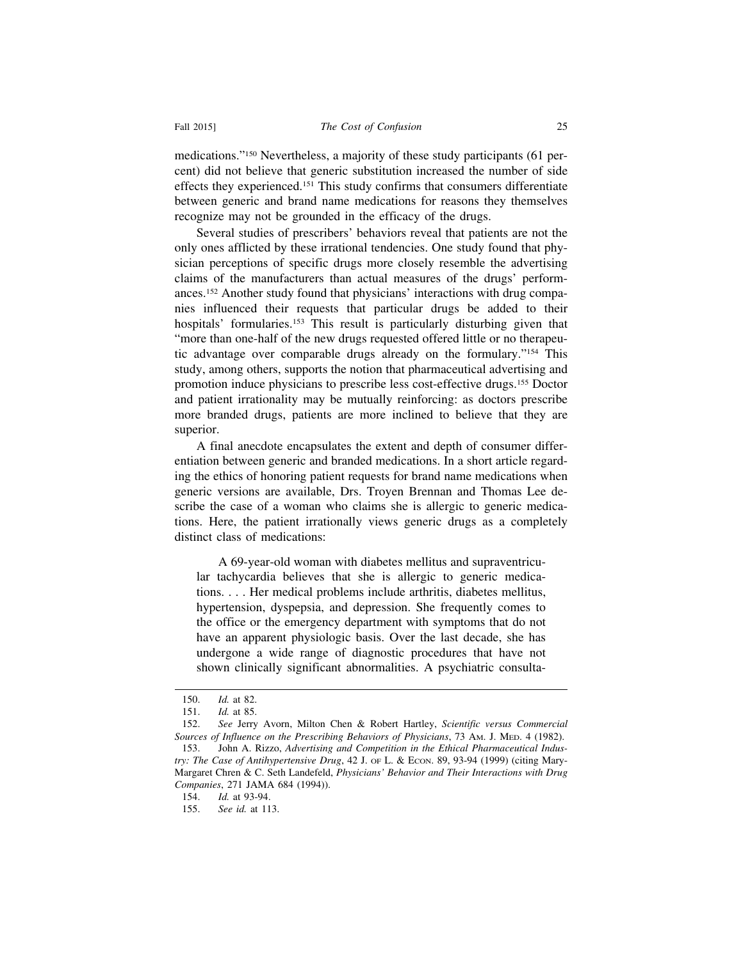medications."150 Nevertheless, a majority of these study participants (61 percent) did not believe that generic substitution increased the number of side effects they experienced.151 This study confirms that consumers differentiate between generic and brand name medications for reasons they themselves recognize may not be grounded in the efficacy of the drugs.

Several studies of prescribers' behaviors reveal that patients are not the only ones afflicted by these irrational tendencies. One study found that physician perceptions of specific drugs more closely resemble the advertising claims of the manufacturers than actual measures of the drugs' performances.152 Another study found that physicians' interactions with drug companies influenced their requests that particular drugs be added to their hospitals' formularies.<sup>153</sup> This result is particularly disturbing given that "more than one-half of the new drugs requested offered little or no therapeutic advantage over comparable drugs already on the formulary."154 This study, among others, supports the notion that pharmaceutical advertising and promotion induce physicians to prescribe less cost-effective drugs.155 Doctor and patient irrationality may be mutually reinforcing: as doctors prescribe more branded drugs, patients are more inclined to believe that they are superior.

A final anecdote encapsulates the extent and depth of consumer differentiation between generic and branded medications. In a short article regarding the ethics of honoring patient requests for brand name medications when generic versions are available, Drs. Troyen Brennan and Thomas Lee describe the case of a woman who claims she is allergic to generic medications. Here, the patient irrationally views generic drugs as a completely distinct class of medications:

A 69-year-old woman with diabetes mellitus and supraventricular tachycardia believes that she is allergic to generic medications. . . . Her medical problems include arthritis, diabetes mellitus, hypertension, dyspepsia, and depression. She frequently comes to the office or the emergency department with symptoms that do not have an apparent physiologic basis. Over the last decade, she has undergone a wide range of diagnostic procedures that have not shown clinically significant abnormalities. A psychiatric consulta-

<sup>150.</sup> *Id.* at 82.

<sup>151.</sup> *Id.* at 85.

<sup>152.</sup> *See* Jerry Avorn, Milton Chen & Robert Hartley, *Scientific versus Commercial Sources of Influence on the Prescribing Behaviors of Physicians*, 73 AM. J. MED. 4 (1982). 153. John A. Rizzo, *Advertising and Competition in the Ethical Pharmaceutical Indus-*

*try: The Case of Antihypertensive Drug*, 42 J. OF L. & ECON. 89, 93-94 (1999) (citing Mary-Margaret Chren & C. Seth Landefeld, *Physicians' Behavior and Their Interactions with Drug Companies*, 271 JAMA 684 (1994)).

<sup>154.</sup> *Id.* at 93-94.

<sup>155.</sup> *See id.* at 113.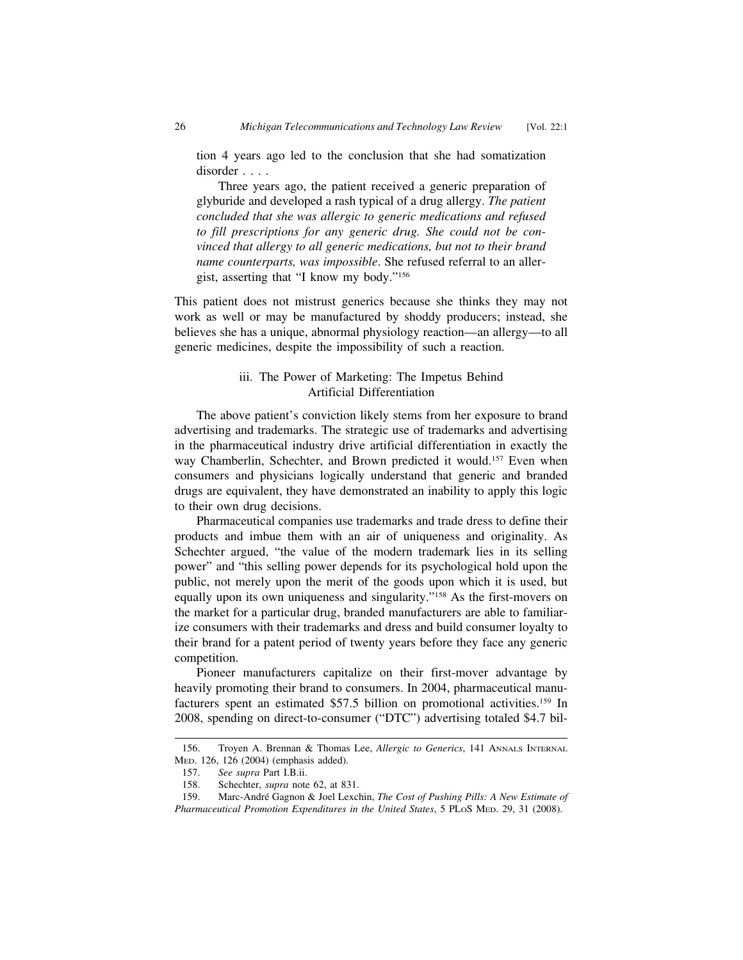tion 4 years ago led to the conclusion that she had somatization disorder . . . .

Three years ago, the patient received a generic preparation of glyburide and developed a rash typical of a drug allergy. *The patient concluded that she was allergic to generic medications and refused to fill prescriptions for any generic drug. She could not be convinced that allergy to all generic medications, but not to their brand name counterparts, was impossible*. She refused referral to an allergist, asserting that "I know my body."156

This patient does not mistrust generics because she thinks they may not work as well or may be manufactured by shoddy producers; instead, she believes she has a unique, abnormal physiology reaction—an allergy—to all generic medicines, despite the impossibility of such a reaction.

#### iii. The Power of Marketing: The Impetus Behind Artificial Differentiation

The above patient's conviction likely stems from her exposure to brand advertising and trademarks. The strategic use of trademarks and advertising in the pharmaceutical industry drive artificial differentiation in exactly the way Chamberlin, Schechter, and Brown predicted it would.<sup>157</sup> Even when consumers and physicians logically understand that generic and branded drugs are equivalent, they have demonstrated an inability to apply this logic to their own drug decisions.

Pharmaceutical companies use trademarks and trade dress to define their products and imbue them with an air of uniqueness and originality. As Schechter argued, "the value of the modern trademark lies in its selling power" and "this selling power depends for its psychological hold upon the public, not merely upon the merit of the goods upon which it is used, but equally upon its own uniqueness and singularity."158 As the first-movers on the market for a particular drug, branded manufacturers are able to familiarize consumers with their trademarks and dress and build consumer loyalty to their brand for a patent period of twenty years before they face any generic competition.

Pioneer manufacturers capitalize on their first-mover advantage by heavily promoting their brand to consumers. In 2004, pharmaceutical manufacturers spent an estimated \$57.5 billion on promotional activities.159 In 2008, spending on direct-to-consumer ("DTC") advertising totaled \$4.7 bil-

<sup>156.</sup> Troyen A. Brennan & Thomas Lee, *Allergic to Generics*, 141 ANNALS INTERNAL MED. 126, 126 (2004) (emphasis added).<br>157. See supra Part I.B.ii.

<sup>157.</sup> *See supra* Part I.B.ii.

<sup>158.</sup> Schechter, *supra* note 62, at 831.

<sup>159.</sup> Marc-Andr´e Gagnon & Joel Lexchin, *The Cost of Pushing Pills: A New Estimate of Pharmaceutical Promotion Expenditures in the United States*, 5 PLOS MED. 29, 31 (2008).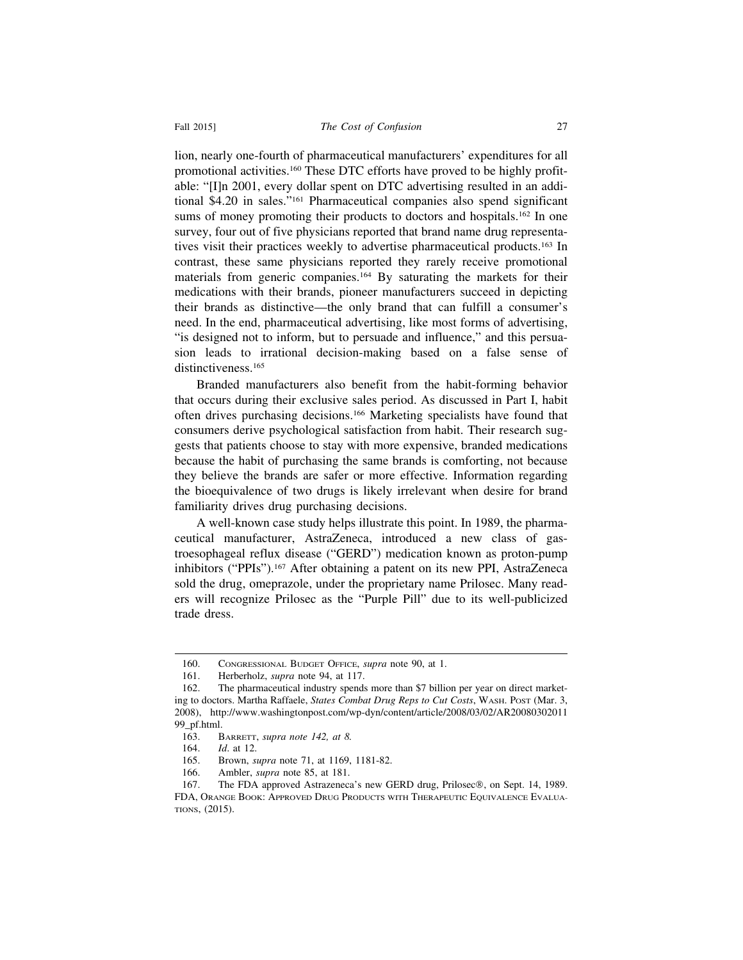#### Fall 2015] *The Cost of Confusion* 27

lion, nearly one-fourth of pharmaceutical manufacturers' expenditures for all promotional activities.160 These DTC efforts have proved to be highly profitable: "[I]n 2001, every dollar spent on DTC advertising resulted in an additional \$4.20 in sales."161 Pharmaceutical companies also spend significant sums of money promoting their products to doctors and hospitals.<sup>162</sup> In one survey, four out of five physicians reported that brand name drug representatives visit their practices weekly to advertise pharmaceutical products.163 In contrast, these same physicians reported they rarely receive promotional materials from generic companies.164 By saturating the markets for their medications with their brands, pioneer manufacturers succeed in depicting their brands as distinctive—the only brand that can fulfill a consumer's need. In the end, pharmaceutical advertising, like most forms of advertising, "is designed not to inform, but to persuade and influence," and this persuasion leads to irrational decision-making based on a false sense of distinctiveness.<sup>165</sup>

Branded manufacturers also benefit from the habit-forming behavior that occurs during their exclusive sales period. As discussed in Part I, habit often drives purchasing decisions.166 Marketing specialists have found that consumers derive psychological satisfaction from habit. Their research suggests that patients choose to stay with more expensive, branded medications because the habit of purchasing the same brands is comforting, not because they believe the brands are safer or more effective. Information regarding the bioequivalence of two drugs is likely irrelevant when desire for brand familiarity drives drug purchasing decisions.

A well-known case study helps illustrate this point. In 1989, the pharmaceutical manufacturer, AstraZeneca, introduced a new class of gastroesophageal reflux disease ("GERD") medication known as proton-pump inhibitors ("PPIs").167 After obtaining a patent on its new PPI, AstraZeneca sold the drug, omeprazole, under the proprietary name Prilosec. Many readers will recognize Prilosec as the "Purple Pill" due to its well-publicized trade dress.

<sup>160.</sup> CONGRESSIONAL BUDGET OFFICE, *supra* note 90, at 1.

<sup>161.</sup> Herberholz, *supra* note 94, at 117.

<sup>162.</sup> The pharmaceutical industry spends more than \$7 billion per year on direct marketing to doctors. Martha Raffaele, *States Combat Drug Reps to Cut Costs*, WASH. POST (Mar. 3, 2008), http://www.washingtonpost.com/wp-dyn/content/article/2008/03/02/AR20080302011 99\_pf.html.

<sup>163.</sup> BARRETT, *supra note 142, at 8.*

<sup>164.</sup> *Id*. at 12.

<sup>165.</sup> Brown, *supra* note 71, at 1169, 1181-82.

<sup>166.</sup> Ambler, *supra* note 85, at 181.

<sup>167.</sup> The FDA approved Astrazeneca's new GERD drug, Prilosec®, on Sept. 14, 1989. FDA, ORANGE BOOK: APPROVED DRUG PRODUCTS WITH THERAPEUTIC EQUIVALENCE EVALUA-TIONS, (2015).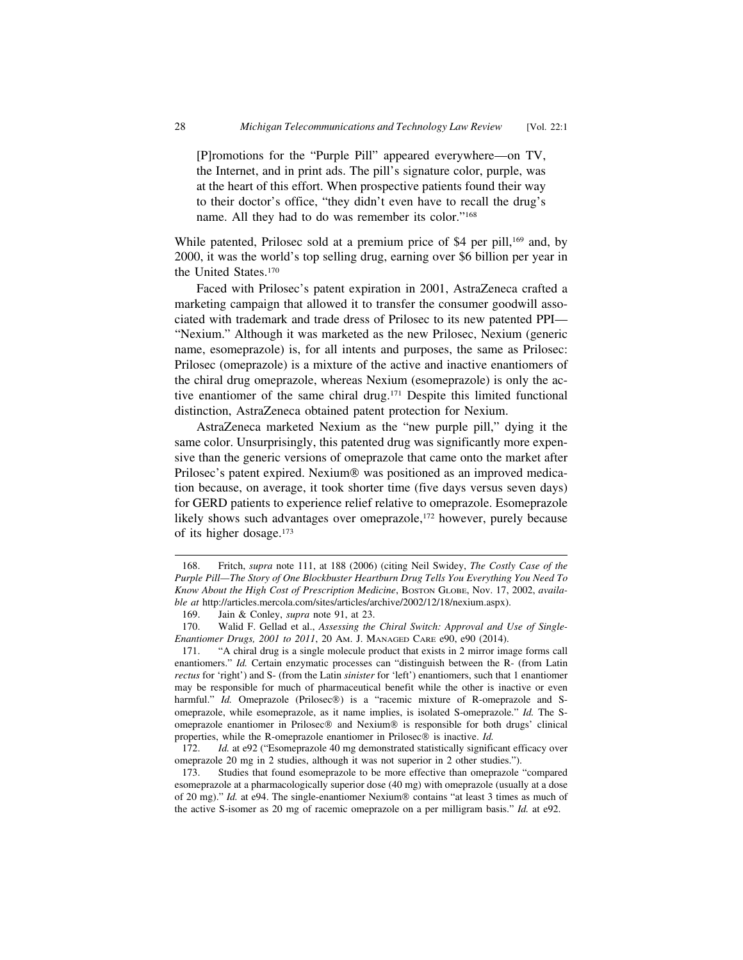[P]romotions for the "Purple Pill" appeared everywhere—on TV, the Internet, and in print ads. The pill's signature color, purple, was at the heart of this effort. When prospective patients found their way to their doctor's office, "they didn't even have to recall the drug's name. All they had to do was remember its color."168

While patented, Prilosec sold at a premium price of \$4 per pill,<sup>169</sup> and, by 2000, it was the world's top selling drug, earning over \$6 billion per year in the United States.170

Faced with Prilosec's patent expiration in 2001, AstraZeneca crafted a marketing campaign that allowed it to transfer the consumer goodwill associated with trademark and trade dress of Prilosec to its new patented PPI— "Nexium." Although it was marketed as the new Prilosec, Nexium (generic name, esomeprazole) is, for all intents and purposes, the same as Prilosec: Prilosec (omeprazole) is a mixture of the active and inactive enantiomers of the chiral drug omeprazole, whereas Nexium (esomeprazole) is only the active enantiomer of the same chiral drug.171 Despite this limited functional distinction, AstraZeneca obtained patent protection for Nexium.

AstraZeneca marketed Nexium as the "new purple pill," dying it the same color. Unsurprisingly, this patented drug was significantly more expensive than the generic versions of omeprazole that came onto the market after Prilosec's patent expired. Nexium® was positioned as an improved medication because, on average, it took shorter time (five days versus seven days) for GERD patients to experience relief relative to omeprazole. Esomeprazole likely shows such advantages over omeprazole,<sup>172</sup> however, purely because of its higher dosage.173

<sup>168.</sup> Fritch, *supra* note 111, at 188 (2006) (citing Neil Swidey, *The Costly Case of the Purple Pill—The Story of One Blockbuster Heartburn Drug Tells You Everything You Need To* Know About the High Cost of Prescription Medicine, Boston GLOBE, Nov. 17, 2002, availa*ble at* http://articles.mercola.com/sites/articles/archive/2002/12/18/nexium.aspx).

<sup>169.</sup> Jain & Conley, *supra* note 91, at 23.

<sup>170.</sup> Walid F. Gellad et al., *Assessing the Chiral Switch: Approval and Use of Single-Enantiomer Drugs, 2001 to 2011*, 20 AM. J. MANAGED CARE e90, e90 (2014).

<sup>171. &</sup>quot;A chiral drug is a single molecule product that exists in 2 mirror image forms call enantiomers." *Id.* Certain enzymatic processes can "distinguish between the R- (from Latin *rectus* for 'right') and S- (from the Latin *sinister* for 'left') enantiomers, such that 1 enantiomer may be responsible for much of pharmaceutical benefit while the other is inactive or even harmful." *Id.* Omeprazole (Prilosec®) is a "racemic mixture of R-omeprazole and Someprazole, while esomeprazole, as it name implies, is isolated S-omeprazole." *Id.* The Someprazole enantiomer in Prilosec® and Nexium® is responsible for both drugs' clinical properties, while the R-omeprazole enantiomer in Prilosec® is inactive. *Id.*

<sup>172.</sup> *Id.* at e92 ("Esomeprazole 40 mg demonstrated statistically significant efficacy over omeprazole 20 mg in 2 studies, although it was not superior in 2 other studies.").

<sup>173.</sup> Studies that found esomeprazole to be more effective than omeprazole "compared esomeprazole at a pharmacologically superior dose (40 mg) with omeprazole (usually at a dose of 20 mg)." *Id.* at e94. The single-enantiomer Nexium® contains "at least 3 times as much of the active S-isomer as 20 mg of racemic omeprazole on a per milligram basis." *Id.* at e92.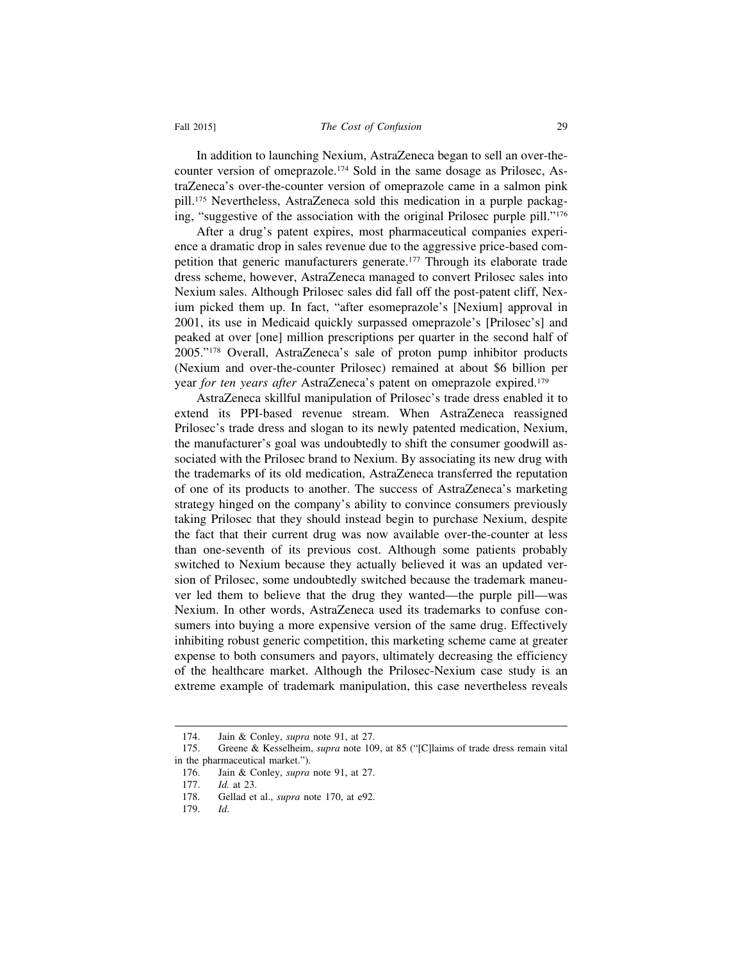In addition to launching Nexium, AstraZeneca began to sell an over-thecounter version of omeprazole.174 Sold in the same dosage as Prilosec, AstraZeneca's over-the-counter version of omeprazole came in a salmon pink pill.175 Nevertheless, AstraZeneca sold this medication in a purple packaging, "suggestive of the association with the original Prilosec purple pill."176

After a drug's patent expires, most pharmaceutical companies experience a dramatic drop in sales revenue due to the aggressive price-based competition that generic manufacturers generate.177 Through its elaborate trade dress scheme, however, AstraZeneca managed to convert Prilosec sales into Nexium sales. Although Prilosec sales did fall off the post-patent cliff, Nexium picked them up. In fact, "after esomeprazole's [Nexium] approval in 2001, its use in Medicaid quickly surpassed omeprazole's [Prilosec's] and peaked at over [one] million prescriptions per quarter in the second half of 2005."178 Overall, AstraZeneca's sale of proton pump inhibitor products (Nexium and over-the-counter Prilosec) remained at about \$6 billion per year *for ten years after* AstraZeneca's patent on omeprazole expired.179

AstraZeneca skillful manipulation of Prilosec's trade dress enabled it to extend its PPI-based revenue stream. When AstraZeneca reassigned Prilosec's trade dress and slogan to its newly patented medication, Nexium, the manufacturer's goal was undoubtedly to shift the consumer goodwill associated with the Prilosec brand to Nexium. By associating its new drug with the trademarks of its old medication, AstraZeneca transferred the reputation of one of its products to another. The success of AstraZeneca's marketing strategy hinged on the company's ability to convince consumers previously taking Prilosec that they should instead begin to purchase Nexium, despite the fact that their current drug was now available over-the-counter at less than one-seventh of its previous cost. Although some patients probably switched to Nexium because they actually believed it was an updated version of Prilosec, some undoubtedly switched because the trademark maneuver led them to believe that the drug they wanted—the purple pill—was Nexium. In other words, AstraZeneca used its trademarks to confuse consumers into buying a more expensive version of the same drug. Effectively inhibiting robust generic competition, this marketing scheme came at greater expense to both consumers and payors, ultimately decreasing the efficiency of the healthcare market. Although the Prilosec-Nexium case study is an extreme example of trademark manipulation, this case nevertheless reveals

<sup>174.</sup> Jain & Conley, *supra* note 91, at 27.

<sup>175.</sup> Greene & Kesselheim, *supra* note 109, at 85 ("[C]laims of trade dress remain vital in the pharmaceutical market.").

<sup>176.</sup> Jain & Conley, *supra* note 91, at 27.

<sup>177.</sup> *Id.* at 23.

<sup>178.</sup> Gellad et al., *supra* note 170, at e92.

<sup>179.</sup> *Id*.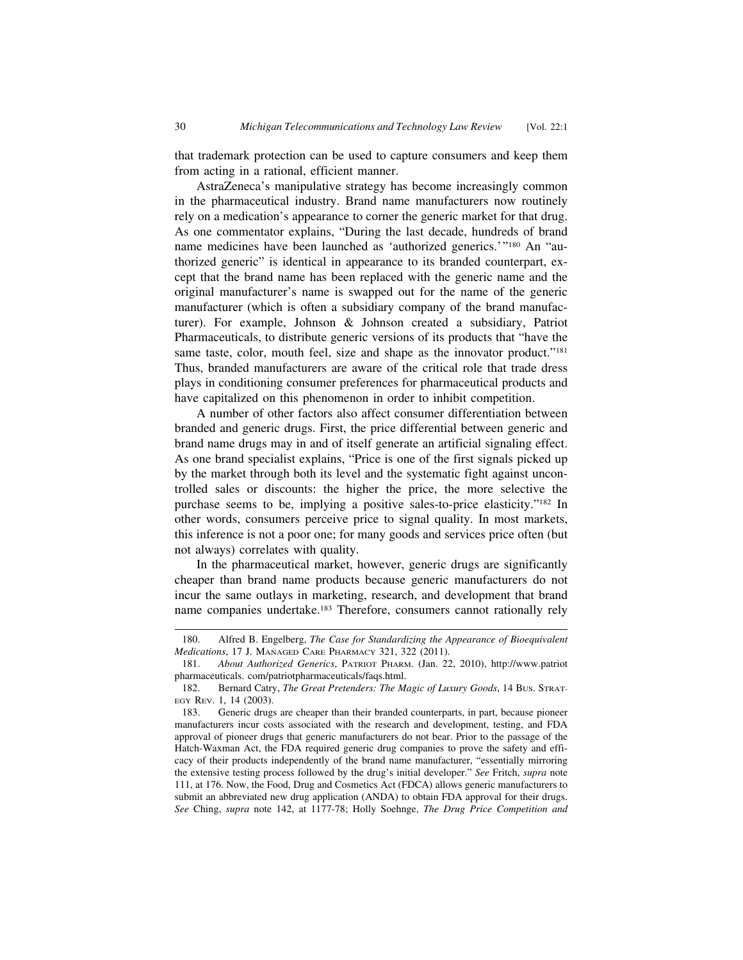that trademark protection can be used to capture consumers and keep them from acting in a rational, efficient manner.

AstraZeneca's manipulative strategy has become increasingly common in the pharmaceutical industry. Brand name manufacturers now routinely rely on a medication's appearance to corner the generic market for that drug. As one commentator explains, "During the last decade, hundreds of brand name medicines have been launched as 'authorized generics.'"180 An "authorized generic" is identical in appearance to its branded counterpart, except that the brand name has been replaced with the generic name and the original manufacturer's name is swapped out for the name of the generic manufacturer (which is often a subsidiary company of the brand manufacturer). For example, Johnson & Johnson created a subsidiary, Patriot Pharmaceuticals, to distribute generic versions of its products that "have the same taste, color, mouth feel, size and shape as the innovator product."<sup>181</sup> Thus, branded manufacturers are aware of the critical role that trade dress plays in conditioning consumer preferences for pharmaceutical products and have capitalized on this phenomenon in order to inhibit competition.

A number of other factors also affect consumer differentiation between branded and generic drugs. First, the price differential between generic and brand name drugs may in and of itself generate an artificial signaling effect. As one brand specialist explains, "Price is one of the first signals picked up by the market through both its level and the systematic fight against uncontrolled sales or discounts: the higher the price, the more selective the purchase seems to be, implying a positive sales-to-price elasticity."182 In other words, consumers perceive price to signal quality. In most markets, this inference is not a poor one; for many goods and services price often (but not always) correlates with quality.

In the pharmaceutical market, however, generic drugs are significantly cheaper than brand name products because generic manufacturers do not incur the same outlays in marketing, research, and development that brand name companies undertake.183 Therefore, consumers cannot rationally rely

<sup>180.</sup> Alfred B. Engelberg, *The Case for Standardizing the Appearance of Bioequivalent Medications*, 17 J. MANAGED CARE PHARMACY 321, 322 (2011).

<sup>181.</sup> *About Authorized Generics*, PATRIOT PHARM. (Jan. 22, 2010), http://www.patriot pharmaceuticals. com/patriotpharmaceuticals/faqs.html.

<sup>182.</sup> Bernard Catry, *The Great Pretenders: The Magic of Luxury Goods*, 14 BUS. STRAT-EGY REV. 1, 14 (2003).

<sup>183.</sup> Generic drugs are cheaper than their branded counterparts, in part, because pioneer manufacturers incur costs associated with the research and development, testing, and FDA approval of pioneer drugs that generic manufacturers do not bear. Prior to the passage of the Hatch-Waxman Act, the FDA required generic drug companies to prove the safety and efficacy of their products independently of the brand name manufacturer, "essentially mirroring the extensive testing process followed by the drug's initial developer." *See* Fritch, *supra* note 111, at 176. Now, the Food, Drug and Cosmetics Act (FDCA) allows generic manufacturers to submit an abbreviated new drug application (ANDA) to obtain FDA approval for their drugs. *See* Ching, *supra* note 142, at 1177-78; Holly Soehnge, *The Drug Price Competition and*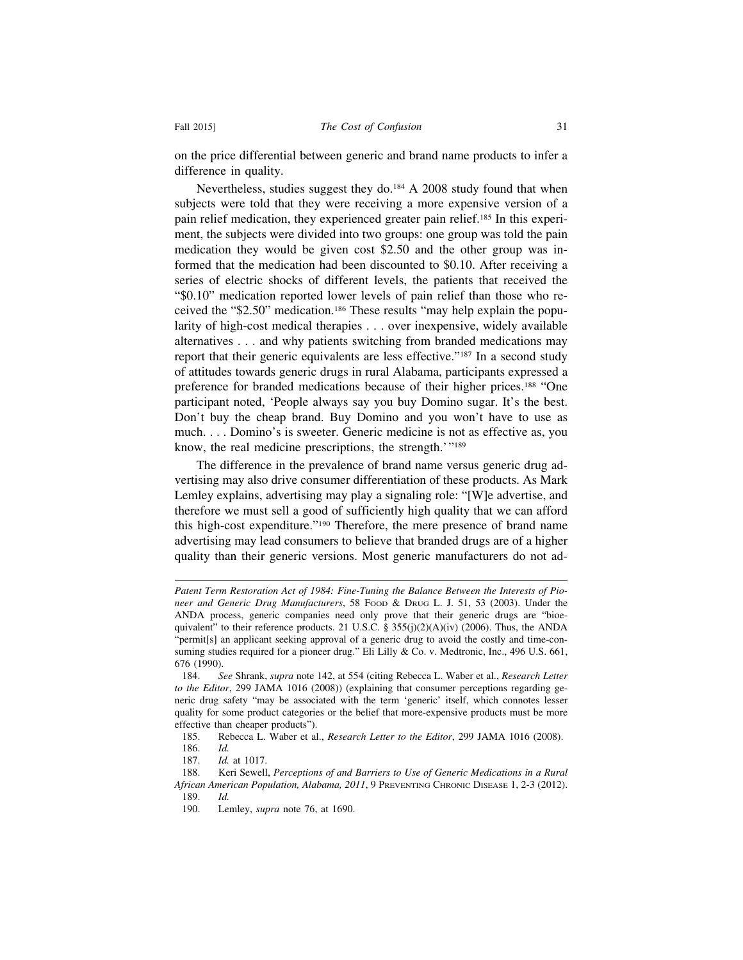on the price differential between generic and brand name products to infer a difference in quality.

Nevertheless, studies suggest they do.<sup>184</sup> A 2008 study found that when subjects were told that they were receiving a more expensive version of a pain relief medication, they experienced greater pain relief.<sup>185</sup> In this experiment, the subjects were divided into two groups: one group was told the pain medication they would be given cost \$2.50 and the other group was informed that the medication had been discounted to \$0.10. After receiving a series of electric shocks of different levels, the patients that received the "\$0.10" medication reported lower levels of pain relief than those who received the "\$2.50" medication.186 These results "may help explain the popularity of high-cost medical therapies . . . over inexpensive, widely available alternatives . . . and why patients switching from branded medications may report that their generic equivalents are less effective."187 In a second study of attitudes towards generic drugs in rural Alabama, participants expressed a preference for branded medications because of their higher prices.188 "One participant noted, 'People always say you buy Domino sugar. It's the best. Don't buy the cheap brand. Buy Domino and you won't have to use as much. . . . Domino's is sweeter. Generic medicine is not as effective as, you know, the real medicine prescriptions, the strength.'"189

The difference in the prevalence of brand name versus generic drug advertising may also drive consumer differentiation of these products. As Mark Lemley explains, advertising may play a signaling role: "[W]e advertise, and therefore we must sell a good of sufficiently high quality that we can afford this high-cost expenditure."190 Therefore, the mere presence of brand name advertising may lead consumers to believe that branded drugs are of a higher quality than their generic versions. Most generic manufacturers do not ad-

185. Rebecca L. Waber et al., *Research Letter to the Editor*, 299 JAMA 1016 (2008).

*Patent Term Restoration Act of 1984: Fine-Tuning the Balance Between the Interests of Pioneer and Generic Drug Manufacturers*, 58 FOOD & DRUG L. J. 51, 53 (2003). Under the ANDA process, generic companies need only prove that their generic drugs are "bioequivalent" to their reference products. 21 U.S.C. §  $355(j)(2)(A)(iv)$  (2006). Thus, the ANDA "permit[s] an applicant seeking approval of a generic drug to avoid the costly and time-consuming studies required for a pioneer drug." Eli Lilly & Co. v. Medtronic, Inc., 496 U.S. 661, 676 (1990).

<sup>184.</sup> *See* Shrank, *supra* note 142, at 554 (citing Rebecca L. Waber et al., *Research Letter to the Editor*, 299 JAMA 1016 (2008)) (explaining that consumer perceptions regarding generic drug safety "may be associated with the term 'generic' itself, which connotes lesser quality for some product categories or the belief that more-expensive products must be more effective than cheaper products").

<sup>186.</sup> *Id.*

<sup>187.</sup> *Id.* at 1017.

<sup>188.</sup> Keri Sewell, *Perceptions of and Barriers to Use of Generic Medications in a Rural African American Population, Alabama, 2011*, 9 PREVENTING CHRONIC DISEASE 1, 2-3 (2012). 189. *Id.*

<sup>190.</sup> Lemley, *supra* note 76, at 1690.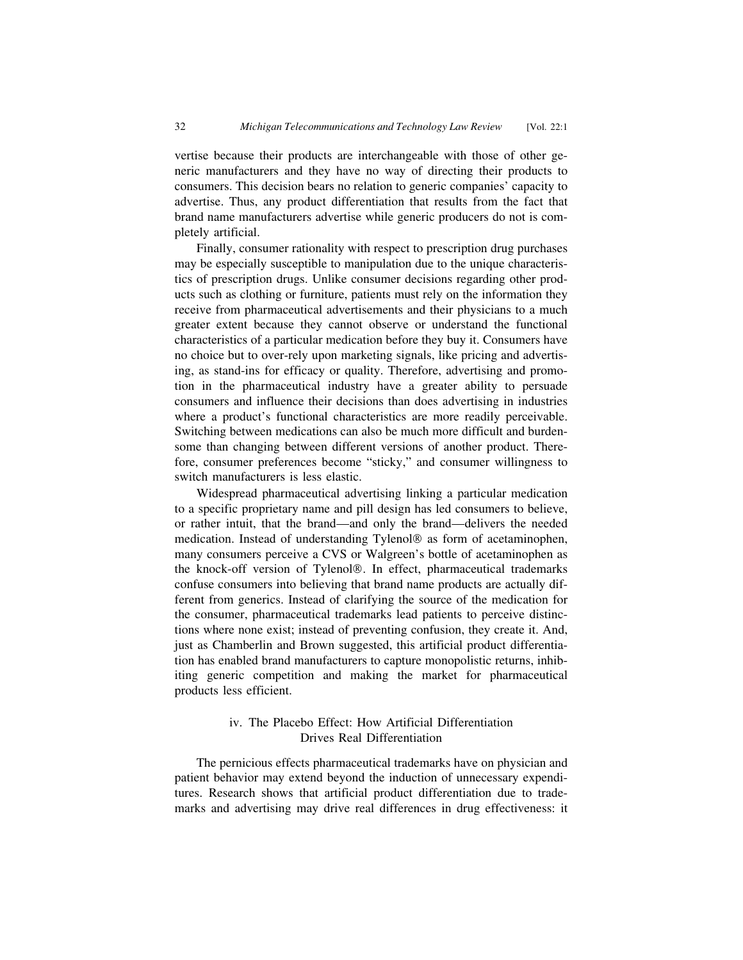vertise because their products are interchangeable with those of other generic manufacturers and they have no way of directing their products to consumers. This decision bears no relation to generic companies' capacity to advertise. Thus, any product differentiation that results from the fact that brand name manufacturers advertise while generic producers do not is completely artificial.

Finally, consumer rationality with respect to prescription drug purchases may be especially susceptible to manipulation due to the unique characteristics of prescription drugs. Unlike consumer decisions regarding other products such as clothing or furniture, patients must rely on the information they receive from pharmaceutical advertisements and their physicians to a much greater extent because they cannot observe or understand the functional characteristics of a particular medication before they buy it. Consumers have no choice but to over-rely upon marketing signals, like pricing and advertising, as stand-ins for efficacy or quality. Therefore, advertising and promotion in the pharmaceutical industry have a greater ability to persuade consumers and influence their decisions than does advertising in industries where a product's functional characteristics are more readily perceivable. Switching between medications can also be much more difficult and burdensome than changing between different versions of another product. Therefore, consumer preferences become "sticky," and consumer willingness to switch manufacturers is less elastic.

Widespread pharmaceutical advertising linking a particular medication to a specific proprietary name and pill design has led consumers to believe, or rather intuit, that the brand—and only the brand—delivers the needed medication. Instead of understanding Tylenol® as form of acetaminophen, many consumers perceive a CVS or Walgreen's bottle of acetaminophen as the knock-off version of Tylenol®. In effect, pharmaceutical trademarks confuse consumers into believing that brand name products are actually different from generics. Instead of clarifying the source of the medication for the consumer, pharmaceutical trademarks lead patients to perceive distinctions where none exist; instead of preventing confusion, they create it. And, just as Chamberlin and Brown suggested, this artificial product differentiation has enabled brand manufacturers to capture monopolistic returns, inhibiting generic competition and making the market for pharmaceutical products less efficient.

#### iv. The Placebo Effect: How Artificial Differentiation Drives Real Differentiation

The pernicious effects pharmaceutical trademarks have on physician and patient behavior may extend beyond the induction of unnecessary expenditures. Research shows that artificial product differentiation due to trademarks and advertising may drive real differences in drug effectiveness: it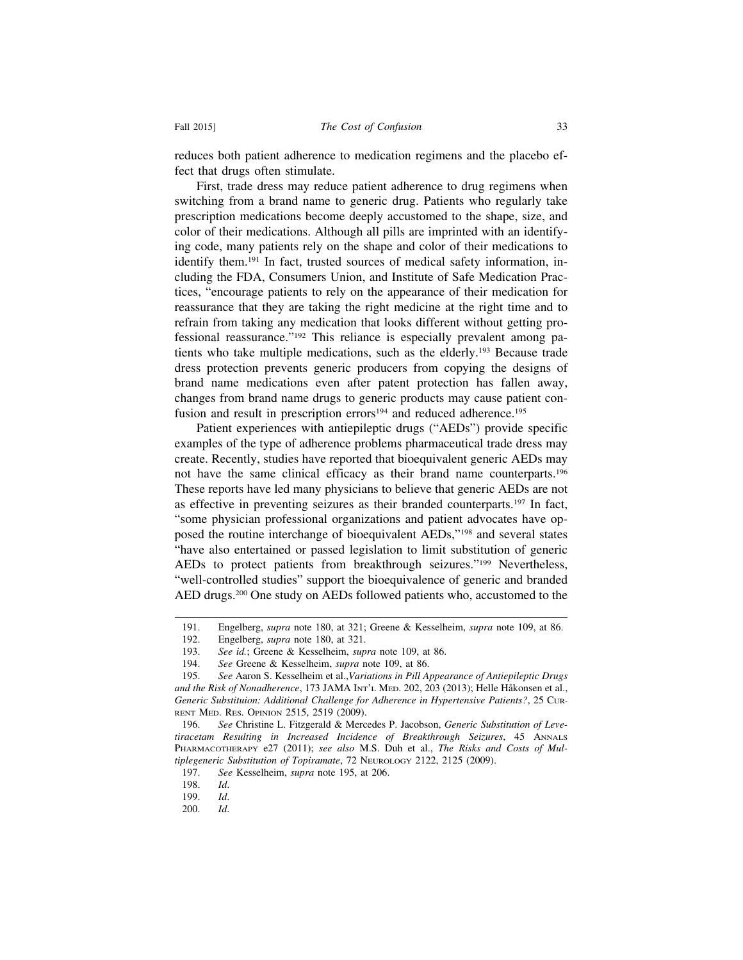reduces both patient adherence to medication regimens and the placebo effect that drugs often stimulate.

First, trade dress may reduce patient adherence to drug regimens when switching from a brand name to generic drug. Patients who regularly take prescription medications become deeply accustomed to the shape, size, and color of their medications. Although all pills are imprinted with an identifying code, many patients rely on the shape and color of their medications to identify them.191 In fact, trusted sources of medical safety information, including the FDA, Consumers Union, and Institute of Safe Medication Practices, "encourage patients to rely on the appearance of their medication for reassurance that they are taking the right medicine at the right time and to refrain from taking any medication that looks different without getting professional reassurance."192 This reliance is especially prevalent among patients who take multiple medications, such as the elderly.193 Because trade dress protection prevents generic producers from copying the designs of brand name medications even after patent protection has fallen away, changes from brand name drugs to generic products may cause patient confusion and result in prescription errors<sup>194</sup> and reduced adherence.<sup>195</sup>

Patient experiences with antiepileptic drugs ("AEDs") provide specific examples of the type of adherence problems pharmaceutical trade dress may create. Recently, studies have reported that bioequivalent generic AEDs may not have the same clinical efficacy as their brand name counterparts.196 These reports have led many physicians to believe that generic AEDs are not as effective in preventing seizures as their branded counterparts.197 In fact, "some physician professional organizations and patient advocates have opposed the routine interchange of bioequivalent AEDs,"198 and several states "have also entertained or passed legislation to limit substitution of generic AEDs to protect patients from breakthrough seizures."199 Nevertheless, "well-controlled studies" support the bioequivalence of generic and branded AED drugs.200 One study on AEDs followed patients who, accustomed to the

<sup>191.</sup> Engelberg, *supra* note 180, at 321; Greene & Kesselheim, *supra* note 109, at 86.

<sup>192.</sup> Engelberg, *supra* note 180, at 321.

<sup>193.</sup> *See id.*; Greene & Kesselheim, *supra* note 109, at 86.

<sup>194.</sup> *See* Greene & Kesselheim, *supra* note 109, at 86.

<sup>195.</sup> *See* Aaron S. Kesselheim et al.,*Variations in Pill Appearance of Antiepileptic Drugs and the Risk of Nonadherence*, 173 JAMA INT'L MED. 202, 203 (2013); Helle Håkonsen et al., *Generic Substituion: Additional Challenge for Adherence in Hypertensive Patients?*, 25 CUR-RENT MED. RES. OPINION 2515, 2519 (2009).

<sup>196.</sup> *See* Christine L. Fitzgerald & Mercedes P. Jacobson, *Generic Substitution of Levetiracetam Resulting in Increased Incidence of Breakthrough Seizures*, 45 ANNALS PHARMACOTHERAPY e27 (2011); *see also* M.S. Duh et al., *The Risks and Costs of Multiplegeneric Substitution of Topiramate*, 72 NEUROLOGY 2122, 2125 (2009).

<sup>197.</sup> *See* Kesselheim, *supra* note 195, at 206.

<sup>198.</sup> *Id*.

<sup>199.</sup> *Id*.

<sup>200.</sup> *Id*.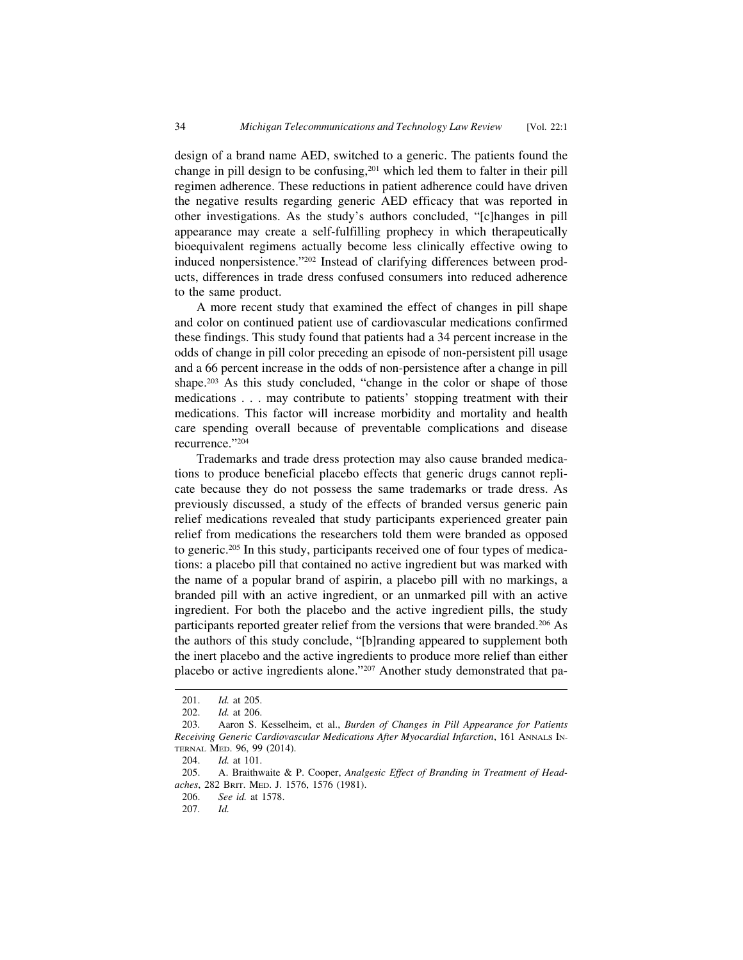design of a brand name AED, switched to a generic. The patients found the change in pill design to be confusing,<sup>201</sup> which led them to falter in their pill regimen adherence. These reductions in patient adherence could have driven the negative results regarding generic AED efficacy that was reported in other investigations. As the study's authors concluded, "[c]hanges in pill appearance may create a self-fulfilling prophecy in which therapeutically bioequivalent regimens actually become less clinically effective owing to induced nonpersistence."202 Instead of clarifying differences between products, differences in trade dress confused consumers into reduced adherence to the same product.

A more recent study that examined the effect of changes in pill shape and color on continued patient use of cardiovascular medications confirmed these findings. This study found that patients had a 34 percent increase in the odds of change in pill color preceding an episode of non-persistent pill usage and a 66 percent increase in the odds of non-persistence after a change in pill shape.203 As this study concluded, "change in the color or shape of those medications . . . may contribute to patients' stopping treatment with their medications. This factor will increase morbidity and mortality and health care spending overall because of preventable complications and disease recurrence."204

Trademarks and trade dress protection may also cause branded medications to produce beneficial placebo effects that generic drugs cannot replicate because they do not possess the same trademarks or trade dress. As previously discussed, a study of the effects of branded versus generic pain relief medications revealed that study participants experienced greater pain relief from medications the researchers told them were branded as opposed to generic.205 In this study, participants received one of four types of medications: a placebo pill that contained no active ingredient but was marked with the name of a popular brand of aspirin, a placebo pill with no markings, a branded pill with an active ingredient, or an unmarked pill with an active ingredient. For both the placebo and the active ingredient pills, the study participants reported greater relief from the versions that were branded.<sup>206</sup> As the authors of this study conclude, "[b]randing appeared to supplement both the inert placebo and the active ingredients to produce more relief than either placebo or active ingredients alone."207 Another study demonstrated that pa-

<sup>201.</sup> *Id.* at 205.

<sup>202.</sup> *Id.* at 206.

<sup>203.</sup> Aaron S. Kesselheim, et al., *Burden of Changes in Pill Appearance for Patients Receiving Generic Cardiovascular Medications After Myocardial Infarction*, 161 ANNALS IN-TERNAL MED. 96, 99 (2014).

<sup>204.</sup> *Id.* at 101.

<sup>205.</sup> A. Braithwaite & P. Cooper, *Analgesic Effect of Branding in Treatment of Headaches*, 282 BRIT. MED. J. 1576, 1576 (1981).

<sup>206.</sup> *See id.* at 1578.

<sup>207.</sup> *Id.*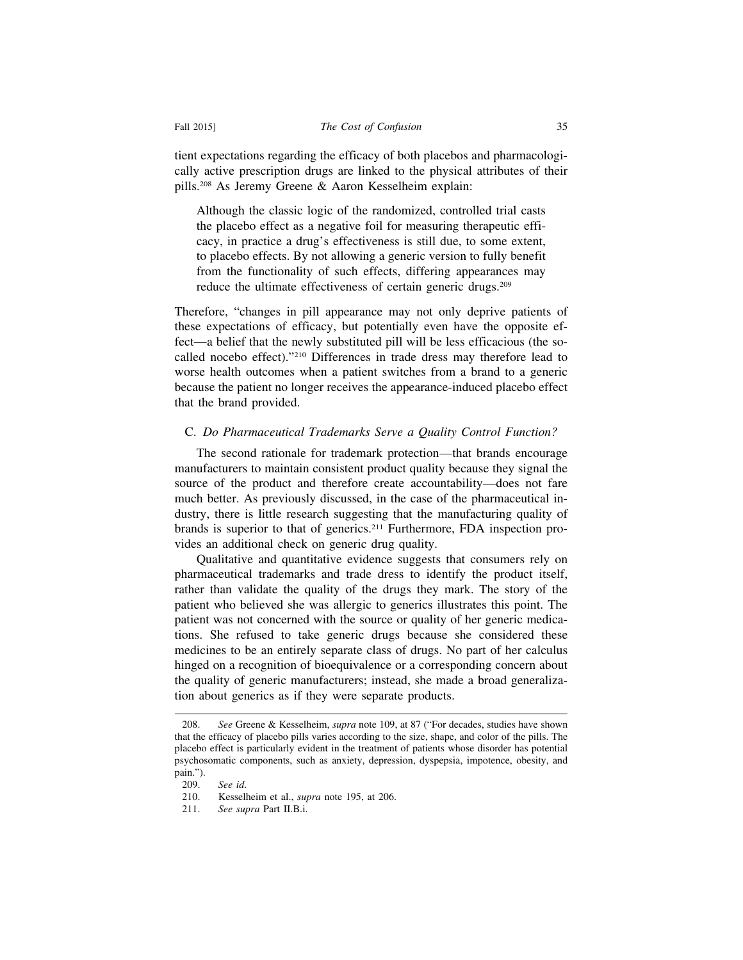tient expectations regarding the efficacy of both placebos and pharmacologically active prescription drugs are linked to the physical attributes of their pills.208 As Jeremy Greene & Aaron Kesselheim explain:

Although the classic logic of the randomized, controlled trial casts the placebo effect as a negative foil for measuring therapeutic efficacy, in practice a drug's effectiveness is still due, to some extent, to placebo effects. By not allowing a generic version to fully benefit from the functionality of such effects, differing appearances may reduce the ultimate effectiveness of certain generic drugs.209

Therefore, "changes in pill appearance may not only deprive patients of these expectations of efficacy, but potentially even have the opposite effect—a belief that the newly substituted pill will be less efficacious (the socalled nocebo effect)."210 Differences in trade dress may therefore lead to worse health outcomes when a patient switches from a brand to a generic because the patient no longer receives the appearance-induced placebo effect that the brand provided.

#### C. *Do Pharmaceutical Trademarks Serve a Quality Control Function?*

The second rationale for trademark protection—that brands encourage manufacturers to maintain consistent product quality because they signal the source of the product and therefore create accountability—does not fare much better. As previously discussed, in the case of the pharmaceutical industry, there is little research suggesting that the manufacturing quality of brands is superior to that of generics.211 Furthermore, FDA inspection provides an additional check on generic drug quality.

Qualitative and quantitative evidence suggests that consumers rely on pharmaceutical trademarks and trade dress to identify the product itself, rather than validate the quality of the drugs they mark. The story of the patient who believed she was allergic to generics illustrates this point. The patient was not concerned with the source or quality of her generic medications. She refused to take generic drugs because she considered these medicines to be an entirely separate class of drugs. No part of her calculus hinged on a recognition of bioequivalence or a corresponding concern about the quality of generic manufacturers; instead, she made a broad generalization about generics as if they were separate products.

<sup>208.</sup> *See* Greene & Kesselheim, *supra* note 109, at 87 ("For decades, studies have shown that the efficacy of placebo pills varies according to the size, shape, and color of the pills. The placebo effect is particularly evident in the treatment of patients whose disorder has potential psychosomatic components, such as anxiety, depression, dyspepsia, impotence, obesity, and pain.").

<sup>209.</sup> *See id*.

<sup>210.</sup> Kesselheim et al., *supra* note 195, at 206.

<sup>211.</sup> *See supra* Part II.B.i.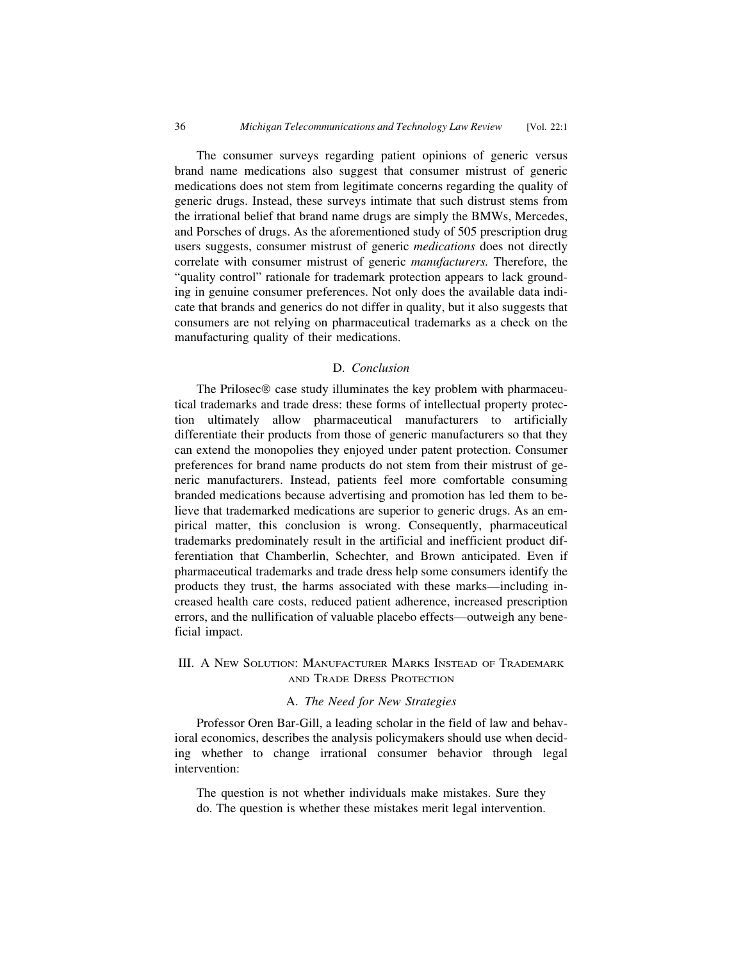The consumer surveys regarding patient opinions of generic versus brand name medications also suggest that consumer mistrust of generic medications does not stem from legitimate concerns regarding the quality of generic drugs. Instead, these surveys intimate that such distrust stems from the irrational belief that brand name drugs are simply the BMWs, Mercedes, and Porsches of drugs. As the aforementioned study of 505 prescription drug users suggests, consumer mistrust of generic *medications* does not directly correlate with consumer mistrust of generic *manufacturers.* Therefore, the "quality control" rationale for trademark protection appears to lack grounding in genuine consumer preferences. Not only does the available data indicate that brands and generics do not differ in quality, but it also suggests that consumers are not relying on pharmaceutical trademarks as a check on the manufacturing quality of their medications.

#### D. *Conclusion*

The Prilosec® case study illuminates the key problem with pharmaceutical trademarks and trade dress: these forms of intellectual property protection ultimately allow pharmaceutical manufacturers to artificially differentiate their products from those of generic manufacturers so that they can extend the monopolies they enjoyed under patent protection. Consumer preferences for brand name products do not stem from their mistrust of generic manufacturers. Instead, patients feel more comfortable consuming branded medications because advertising and promotion has led them to believe that trademarked medications are superior to generic drugs. As an empirical matter, this conclusion is wrong. Consequently, pharmaceutical trademarks predominately result in the artificial and inefficient product differentiation that Chamberlin, Schechter, and Brown anticipated. Even if pharmaceutical trademarks and trade dress help some consumers identify the products they trust, the harms associated with these marks—including increased health care costs, reduced patient adherence, increased prescription errors, and the nullification of valuable placebo effects—outweigh any beneficial impact.

#### III. A NEW SOLUTION: MANUFACTURER MARKS INSTEAD OF TRADEMARK AND TRADE DRESS PROTECTION

#### A. *The Need for New Strategies*

Professor Oren Bar-Gill, a leading scholar in the field of law and behavioral economics, describes the analysis policymakers should use when deciding whether to change irrational consumer behavior through legal intervention:

The question is not whether individuals make mistakes. Sure they do. The question is whether these mistakes merit legal intervention.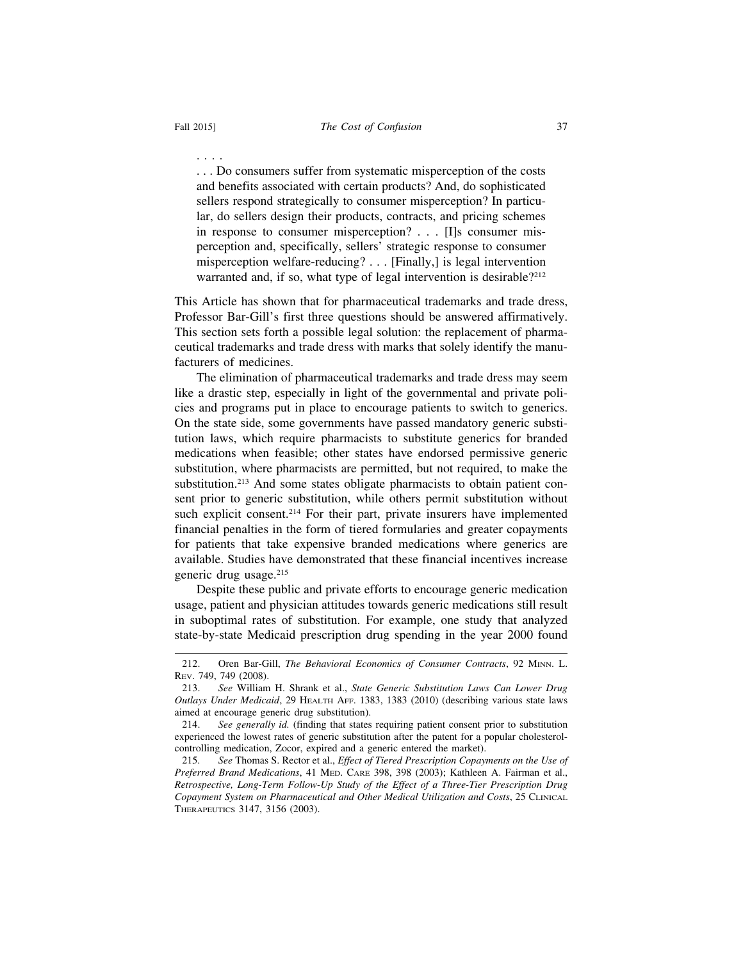. . . .

. . . Do consumers suffer from systematic misperception of the costs and benefits associated with certain products? And, do sophisticated sellers respond strategically to consumer misperception? In particular, do sellers design their products, contracts, and pricing schemes in response to consumer misperception? . . . [I]s consumer misperception and, specifically, sellers' strategic response to consumer misperception welfare-reducing? . . . [Finally,] is legal intervention warranted and, if so, what type of legal intervention is desirable?<sup>212</sup>

This Article has shown that for pharmaceutical trademarks and trade dress, Professor Bar-Gill's first three questions should be answered affirmatively. This section sets forth a possible legal solution: the replacement of pharmaceutical trademarks and trade dress with marks that solely identify the manufacturers of medicines.

The elimination of pharmaceutical trademarks and trade dress may seem like a drastic step, especially in light of the governmental and private policies and programs put in place to encourage patients to switch to generics. On the state side, some governments have passed mandatory generic substitution laws, which require pharmacists to substitute generics for branded medications when feasible; other states have endorsed permissive generic substitution, where pharmacists are permitted, but not required, to make the substitution.<sup>213</sup> And some states obligate pharmacists to obtain patient consent prior to generic substitution, while others permit substitution without such explicit consent.<sup>214</sup> For their part, private insurers have implemented financial penalties in the form of tiered formularies and greater copayments for patients that take expensive branded medications where generics are available. Studies have demonstrated that these financial incentives increase generic drug usage.215

Despite these public and private efforts to encourage generic medication usage, patient and physician attitudes towards generic medications still result in suboptimal rates of substitution. For example, one study that analyzed state-by-state Medicaid prescription drug spending in the year 2000 found

<sup>212.</sup> Oren Bar-Gill, *The Behavioral Economics of Consumer Contracts*, 92 MINN. L. REV. 749, 749 (2008).

<sup>213.</sup> *See* William H. Shrank et al., *State Generic Substitution Laws Can Lower Drug Outlays Under Medicaid*, 29 HEALTH AFF. 1383, 1383 (2010) (describing various state laws aimed at encourage generic drug substitution).

<sup>214.</sup> *See generally id.* (finding that states requiring patient consent prior to substitution experienced the lowest rates of generic substitution after the patent for a popular cholesterolcontrolling medication, Zocor, expired and a generic entered the market).

<sup>215.</sup> *See* Thomas S. Rector et al., *Effect of Tiered Prescription Copayments on the Use of Preferred Brand Medications*, 41 MED. CARE 398, 398 (2003); Kathleen A. Fairman et al., *Retrospective, Long-Term Follow-Up Study of the Effect of a Three-Tier Prescription Drug Copayment System on Pharmaceutical and Other Medical Utilization and Costs*, 25 CLINICAL THERAPEUTICS 3147, 3156 (2003).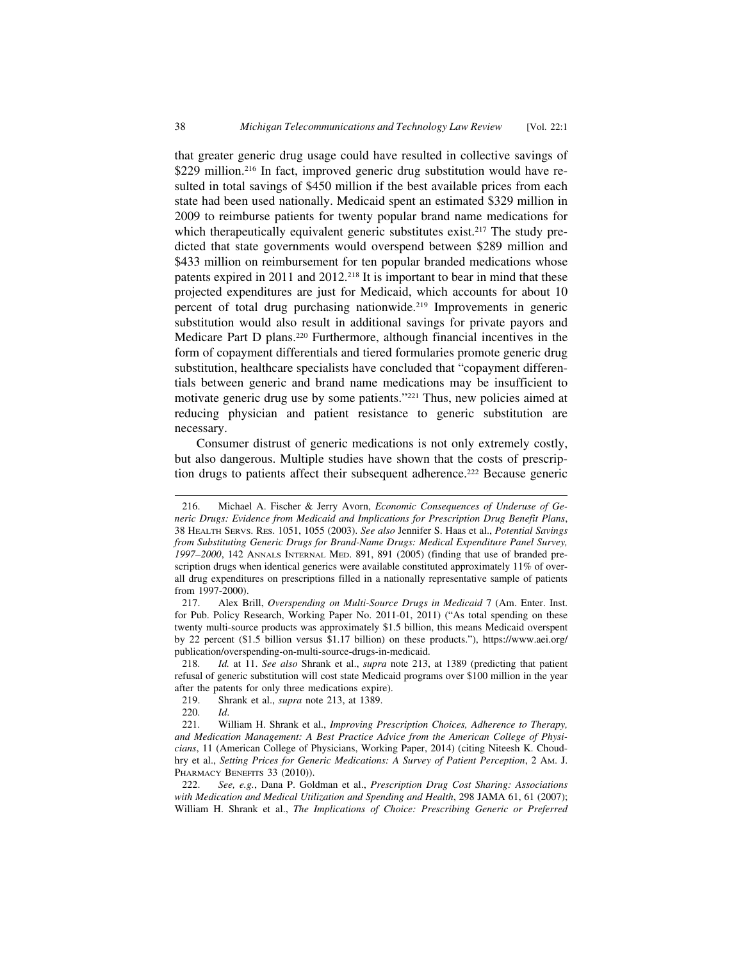that greater generic drug usage could have resulted in collective savings of \$229 million.<sup>216</sup> In fact, improved generic drug substitution would have resulted in total savings of \$450 million if the best available prices from each state had been used nationally. Medicaid spent an estimated \$329 million in 2009 to reimburse patients for twenty popular brand name medications for which therapeutically equivalent generic substitutes exist.<sup>217</sup> The study predicted that state governments would overspend between \$289 million and \$433 million on reimbursement for ten popular branded medications whose patents expired in 2011 and 2012.218 It is important to bear in mind that these projected expenditures are just for Medicaid, which accounts for about 10 percent of total drug purchasing nationwide.219 Improvements in generic substitution would also result in additional savings for private payors and Medicare Part D plans.220 Furthermore, although financial incentives in the form of copayment differentials and tiered formularies promote generic drug substitution, healthcare specialists have concluded that "copayment differentials between generic and brand name medications may be insufficient to motivate generic drug use by some patients."221 Thus, new policies aimed at reducing physician and patient resistance to generic substitution are necessary.

Consumer distrust of generic medications is not only extremely costly, but also dangerous. Multiple studies have shown that the costs of prescription drugs to patients affect their subsequent adherence.<sup>222</sup> Because generic

<sup>216.</sup> Michael A. Fischer & Jerry Avorn, *Economic Consequences of Underuse of Generic Drugs: Evidence from Medicaid and Implications for Prescription Drug Benefit Plans*, 38 HEALTH SERVS. RES. 1051, 1055 (2003). *See also* Jennifer S. Haas et al., *Potential Savings from Substituting Generic Drugs for Brand-Name Drugs: Medical Expenditure Panel Survey, 1997–2000*, 142 ANNALS INTERNAL MED. 891, 891 (2005) (finding that use of branded prescription drugs when identical generics were available constituted approximately 11% of overall drug expenditures on prescriptions filled in a nationally representative sample of patients from 1997-2000).

<sup>217.</sup> Alex Brill, *Overspending on Multi-Source Drugs in Medicaid* 7 (Am. Enter. Inst. for Pub. Policy Research, Working Paper No. 2011-01, 2011) ("As total spending on these twenty multi-source products was approximately \$1.5 billion, this means Medicaid overspent by 22 percent (\$1.5 billion versus \$1.17 billion) on these products."), https://www.aei.org/ publication/overspending-on-multi-source-drugs-in-medicaid.

<sup>218.</sup> *Id.* at 11. *See also* Shrank et al., *supra* note 213, at 1389 (predicting that patient refusal of generic substitution will cost state Medicaid programs over \$100 million in the year after the patents for only three medications expire).

<sup>219.</sup> Shrank et al., *supra* note 213, at 1389.

<sup>220.</sup> *Id*.

<sup>221.</sup> William H. Shrank et al., *Improving Prescription Choices, Adherence to Therapy, and Medication Management: A Best Practice Advice from the American College of Physicians*, 11 (American College of Physicians, Working Paper, 2014) (citing Niteesh K. Choudhry et al., *Setting Prices for Generic Medications: A Survey of Patient Perception*, 2 AM. J. PHARMACY BENEFITS 33 (2010)).

<sup>222.</sup> *See, e.g.*, Dana P. Goldman et al., *Prescription Drug Cost Sharing: Associations with Medication and Medical Utilization and Spending and Health*, 298 JAMA 61, 61 (2007); William H. Shrank et al., *The Implications of Choice: Prescribing Generic or Preferred*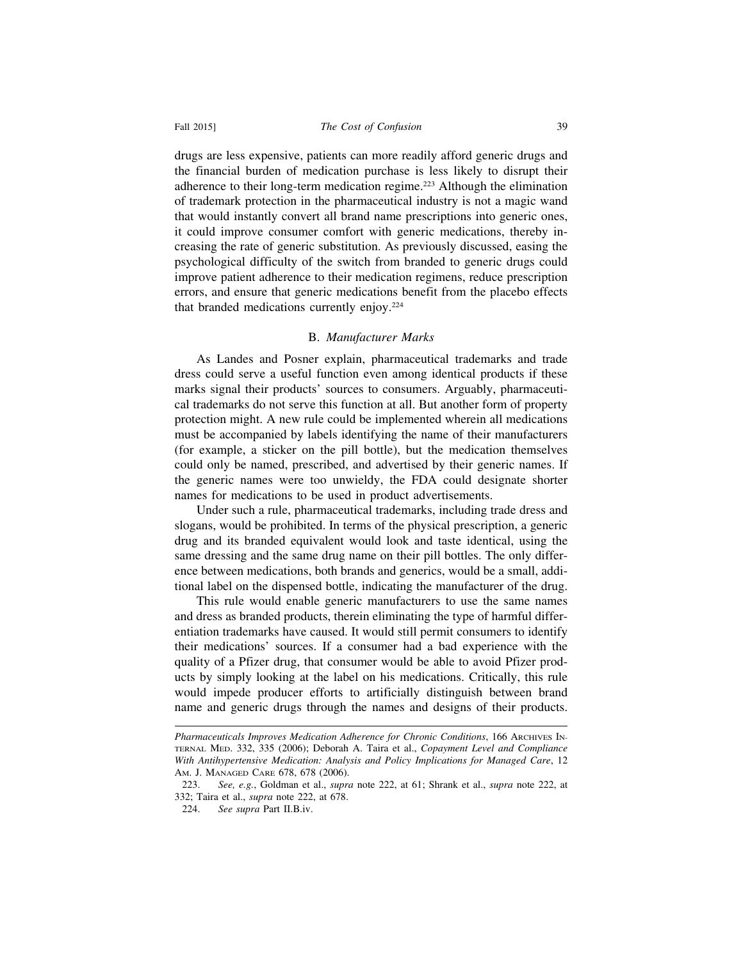#### Fall 2015] *The Cost of Confusion* 39

drugs are less expensive, patients can more readily afford generic drugs and the financial burden of medication purchase is less likely to disrupt their adherence to their long-term medication regime.<sup>223</sup> Although the elimination of trademark protection in the pharmaceutical industry is not a magic wand that would instantly convert all brand name prescriptions into generic ones, it could improve consumer comfort with generic medications, thereby increasing the rate of generic substitution. As previously discussed, easing the psychological difficulty of the switch from branded to generic drugs could improve patient adherence to their medication regimens, reduce prescription errors, and ensure that generic medications benefit from the placebo effects that branded medications currently enjoy.224

#### B. *Manufacturer Marks*

As Landes and Posner explain, pharmaceutical trademarks and trade dress could serve a useful function even among identical products if these marks signal their products' sources to consumers. Arguably, pharmaceutical trademarks do not serve this function at all. But another form of property protection might. A new rule could be implemented wherein all medications must be accompanied by labels identifying the name of their manufacturers (for example, a sticker on the pill bottle), but the medication themselves could only be named, prescribed, and advertised by their generic names. If the generic names were too unwieldy, the FDA could designate shorter names for medications to be used in product advertisements.

Under such a rule, pharmaceutical trademarks, including trade dress and slogans, would be prohibited. In terms of the physical prescription, a generic drug and its branded equivalent would look and taste identical, using the same dressing and the same drug name on their pill bottles. The only difference between medications, both brands and generics, would be a small, additional label on the dispensed bottle, indicating the manufacturer of the drug.

This rule would enable generic manufacturers to use the same names and dress as branded products, therein eliminating the type of harmful differentiation trademarks have caused. It would still permit consumers to identify their medications' sources. If a consumer had a bad experience with the quality of a Pfizer drug, that consumer would be able to avoid Pfizer products by simply looking at the label on his medications. Critically, this rule would impede producer efforts to artificially distinguish between brand name and generic drugs through the names and designs of their products.

*Pharmaceuticals Improves Medication Adherence for Chronic Conditions*, 166 ARCHIVES IN-TERNAL MED. 332, 335 (2006); Deborah A. Taira et al., *Copayment Level and Compliance With Antihypertensive Medication: Analysis and Policy Implications for Managed Care*, 12 AM. J. MANAGED CARE 678, 678 (2006).

<sup>223.</sup> *See, e.g.*, Goldman et al., *supra* note 222, at 61; Shrank et al., *supra* note 222, at 332; Taira et al., *supra* note 222, at 678.

<sup>224.</sup> *See supra* Part II.B.iv.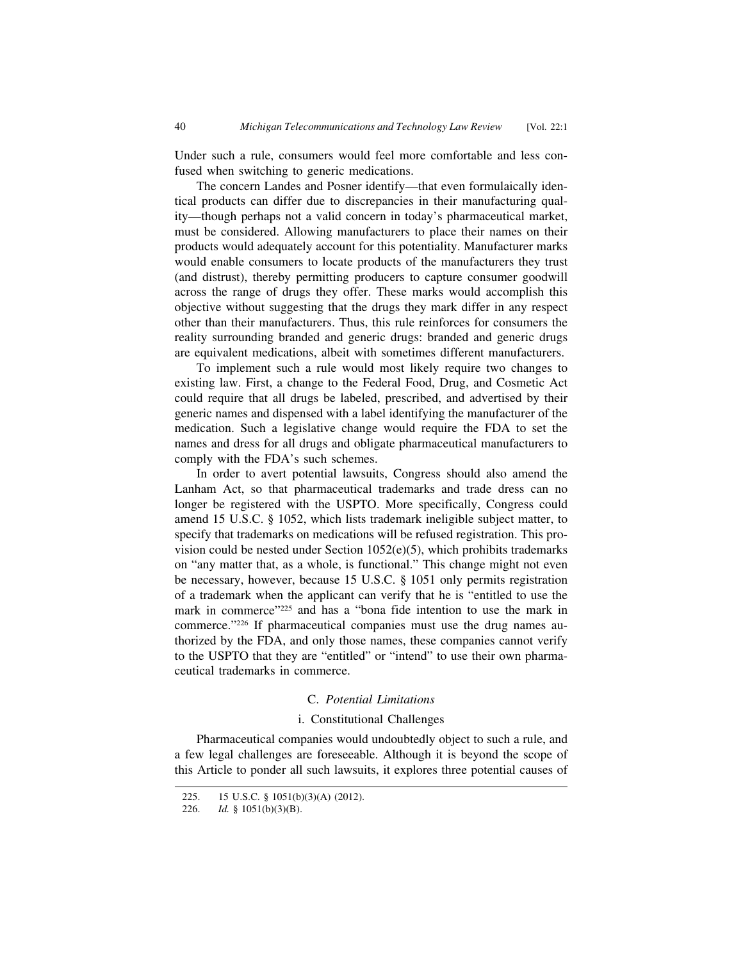Under such a rule, consumers would feel more comfortable and less confused when switching to generic medications.

The concern Landes and Posner identify—that even formulaically identical products can differ due to discrepancies in their manufacturing quality—though perhaps not a valid concern in today's pharmaceutical market, must be considered. Allowing manufacturers to place their names on their products would adequately account for this potentiality. Manufacturer marks would enable consumers to locate products of the manufacturers they trust (and distrust), thereby permitting producers to capture consumer goodwill across the range of drugs they offer. These marks would accomplish this objective without suggesting that the drugs they mark differ in any respect other than their manufacturers. Thus, this rule reinforces for consumers the reality surrounding branded and generic drugs: branded and generic drugs are equivalent medications, albeit with sometimes different manufacturers.

To implement such a rule would most likely require two changes to existing law. First, a change to the Federal Food, Drug, and Cosmetic Act could require that all drugs be labeled, prescribed, and advertised by their generic names and dispensed with a label identifying the manufacturer of the medication. Such a legislative change would require the FDA to set the names and dress for all drugs and obligate pharmaceutical manufacturers to comply with the FDA's such schemes.

In order to avert potential lawsuits, Congress should also amend the Lanham Act, so that pharmaceutical trademarks and trade dress can no longer be registered with the USPTO. More specifically, Congress could amend 15 U.S.C. § 1052, which lists trademark ineligible subject matter, to specify that trademarks on medications will be refused registration. This provision could be nested under Section  $1052(e)(5)$ , which prohibits trademarks on "any matter that, as a whole, is functional." This change might not even be necessary, however, because 15 U.S.C. § 1051 only permits registration of a trademark when the applicant can verify that he is "entitled to use the mark in commerce"<sup>225</sup> and has a "bona fide intention to use the mark in commerce."226 If pharmaceutical companies must use the drug names authorized by the FDA, and only those names, these companies cannot verify to the USPTO that they are "entitled" or "intend" to use their own pharmaceutical trademarks in commerce.

#### C. *Potential Limitations*

#### i. Constitutional Challenges

Pharmaceutical companies would undoubtedly object to such a rule, and a few legal challenges are foreseeable. Although it is beyond the scope of this Article to ponder all such lawsuits, it explores three potential causes of

<sup>225. 15</sup> U.S.C. § 1051(b)(3)(A) (2012).

<sup>226.</sup> *Id.* § 1051(b)(3)(B).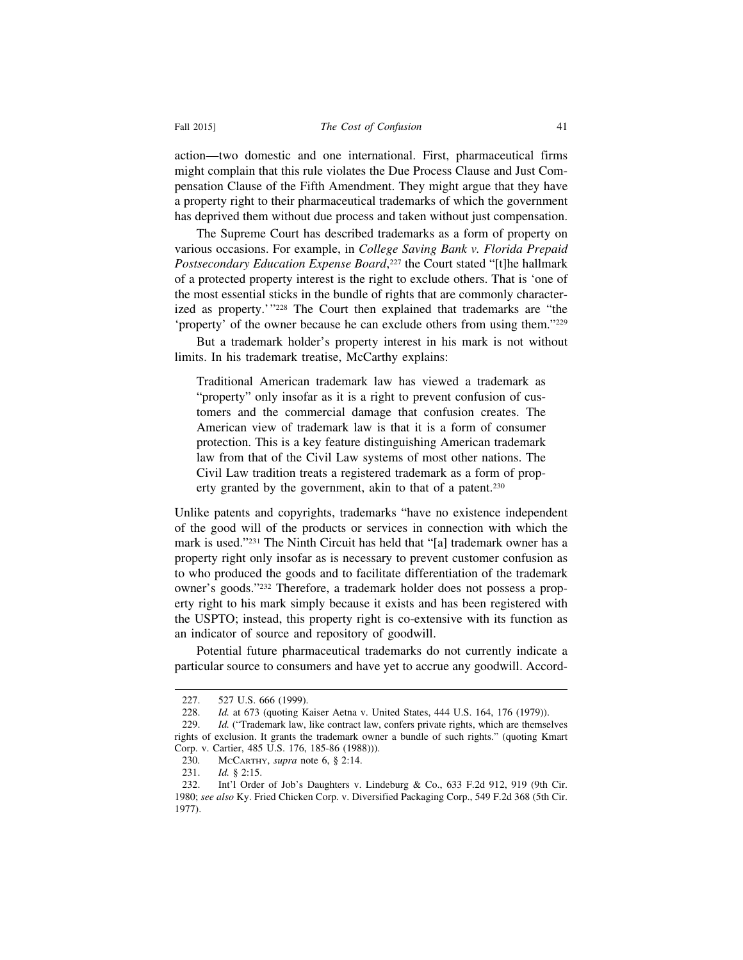action—two domestic and one international. First, pharmaceutical firms might complain that this rule violates the Due Process Clause and Just Compensation Clause of the Fifth Amendment. They might argue that they have a property right to their pharmaceutical trademarks of which the government has deprived them without due process and taken without just compensation.

The Supreme Court has described trademarks as a form of property on various occasions. For example, in *College Saving Bank v. Florida Prepaid Postsecondary Education Expense Board*, 227 the Court stated "[t]he hallmark of a protected property interest is the right to exclude others. That is 'one of the most essential sticks in the bundle of rights that are commonly characterized as property.'"228 The Court then explained that trademarks are "the 'property' of the owner because he can exclude others from using them."229

But a trademark holder's property interest in his mark is not without limits. In his trademark treatise, McCarthy explains:

Traditional American trademark law has viewed a trademark as "property" only insofar as it is a right to prevent confusion of customers and the commercial damage that confusion creates. The American view of trademark law is that it is a form of consumer protection. This is a key feature distinguishing American trademark law from that of the Civil Law systems of most other nations. The Civil Law tradition treats a registered trademark as a form of property granted by the government, akin to that of a patent.<sup>230</sup>

Unlike patents and copyrights, trademarks "have no existence independent of the good will of the products or services in connection with which the mark is used."231 The Ninth Circuit has held that "[a] trademark owner has a property right only insofar as is necessary to prevent customer confusion as to who produced the goods and to facilitate differentiation of the trademark owner's goods."232 Therefore, a trademark holder does not possess a property right to his mark simply because it exists and has been registered with the USPTO; instead, this property right is co-extensive with its function as an indicator of source and repository of goodwill.

Potential future pharmaceutical trademarks do not currently indicate a particular source to consumers and have yet to accrue any goodwill. Accord-

<sup>227. 527</sup> U.S. 666 (1999).<br>228. *Id.* at 673 (quoting K

Id. at 673 (quoting Kaiser Aetna v. United States, 444 U.S. 164, 176 (1979)).

<sup>229.</sup> *Id.* ("Trademark law, like contract law, confers private rights, which are themselves rights of exclusion. It grants the trademark owner a bundle of such rights." (quoting Kmart Corp. v. Cartier, 485 U.S. 176, 185-86 (1988))).

<sup>230.</sup> McCARTHY, *supra* note 6, § 2:14.<br>231. *Id.* § 2:15.

*Id.* § 2:15.

<sup>232.</sup> Int'l Order of Job's Daughters v. Lindeburg & Co., 633 F.2d 912, 919 (9th Cir. 1980; *see also* Ky. Fried Chicken Corp. v. Diversified Packaging Corp., 549 F.2d 368 (5th Cir. 1977).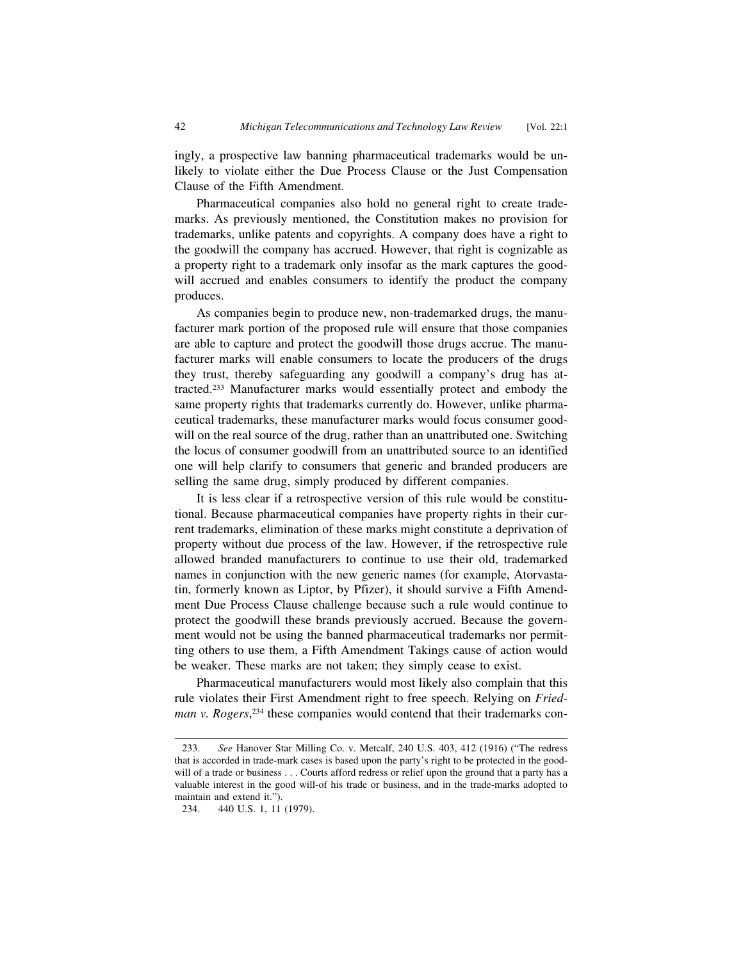ingly, a prospective law banning pharmaceutical trademarks would be unlikely to violate either the Due Process Clause or the Just Compensation Clause of the Fifth Amendment.

Pharmaceutical companies also hold no general right to create trademarks. As previously mentioned, the Constitution makes no provision for trademarks, unlike patents and copyrights. A company does have a right to the goodwill the company has accrued. However, that right is cognizable as a property right to a trademark only insofar as the mark captures the goodwill accrued and enables consumers to identify the product the company produces.

As companies begin to produce new, non-trademarked drugs, the manufacturer mark portion of the proposed rule will ensure that those companies are able to capture and protect the goodwill those drugs accrue. The manufacturer marks will enable consumers to locate the producers of the drugs they trust, thereby safeguarding any goodwill a company's drug has attracted.233 Manufacturer marks would essentially protect and embody the same property rights that trademarks currently do. However, unlike pharmaceutical trademarks, these manufacturer marks would focus consumer goodwill on the real source of the drug, rather than an unattributed one. Switching the locus of consumer goodwill from an unattributed source to an identified one will help clarify to consumers that generic and branded producers are selling the same drug, simply produced by different companies.

It is less clear if a retrospective version of this rule would be constitutional. Because pharmaceutical companies have property rights in their current trademarks, elimination of these marks might constitute a deprivation of property without due process of the law. However, if the retrospective rule allowed branded manufacturers to continue to use their old, trademarked names in conjunction with the new generic names (for example, Atorvastatin, formerly known as Liptor, by Pfizer), it should survive a Fifth Amendment Due Process Clause challenge because such a rule would continue to protect the goodwill these brands previously accrued. Because the government would not be using the banned pharmaceutical trademarks nor permitting others to use them, a Fifth Amendment Takings cause of action would be weaker. These marks are not taken; they simply cease to exist.

Pharmaceutical manufacturers would most likely also complain that this rule violates their First Amendment right to free speech. Relying on *Friedman v. Rogers*, 234 these companies would contend that their trademarks con-

<sup>233.</sup> *See* Hanover Star Milling Co. v. Metcalf, 240 U.S. 403, 412 (1916) ("The redress that is accorded in trade-mark cases is based upon the party's right to be protected in the goodwill of a trade or business . . . Courts afford redress or relief upon the ground that a party has a valuable interest in the good will-of his trade or business, and in the trade-marks adopted to maintain and extend it.").

<sup>234. 440</sup> U.S. 1, 11 (1979).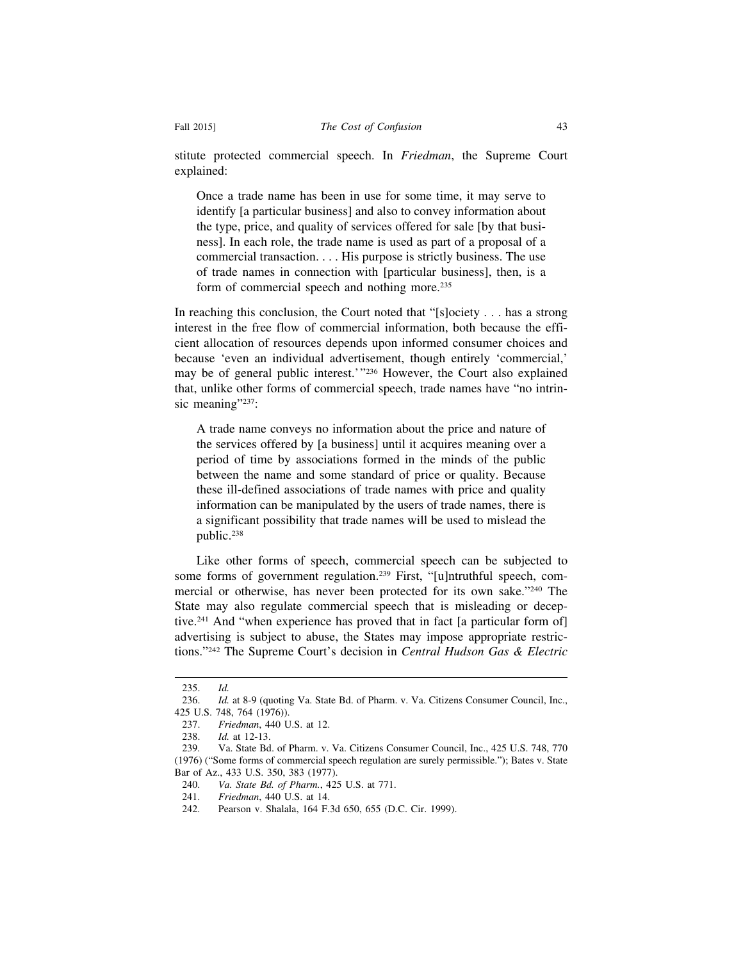stitute protected commercial speech. In *Friedman*, the Supreme Court explained:

Once a trade name has been in use for some time, it may serve to identify [a particular business] and also to convey information about the type, price, and quality of services offered for sale [by that business]. In each role, the trade name is used as part of a proposal of a commercial transaction. . . . His purpose is strictly business. The use of trade names in connection with [particular business], then, is a form of commercial speech and nothing more.<sup>235</sup>

In reaching this conclusion, the Court noted that "[s]ociety . . . has a strong interest in the free flow of commercial information, both because the efficient allocation of resources depends upon informed consumer choices and because 'even an individual advertisement, though entirely 'commercial,' may be of general public interest.'"236 However, the Court also explained that, unlike other forms of commercial speech, trade names have "no intrinsic meaning"<sup>237</sup>:

A trade name conveys no information about the price and nature of the services offered by [a business] until it acquires meaning over a period of time by associations formed in the minds of the public between the name and some standard of price or quality. Because these ill-defined associations of trade names with price and quality information can be manipulated by the users of trade names, there is a significant possibility that trade names will be used to mislead the public.238

Like other forms of speech, commercial speech can be subjected to some forms of government regulation.239 First, "[u]ntruthful speech, commercial or otherwise, has never been protected for its own sake."240 The State may also regulate commercial speech that is misleading or deceptive.241 And "when experience has proved that in fact [a particular form of] advertising is subject to abuse, the States may impose appropriate restrictions."242 The Supreme Court's decision in *Central Hudson Gas & Electric*

<sup>235.</sup> *Id.*

<sup>236.</sup> *Id.* at 8-9 (quoting Va. State Bd. of Pharm. v. Va. Citizens Consumer Council, Inc., 425 U.S. 748, 764 (1976)).

<sup>237.</sup> *Friedman*, 440 U.S. at 12.

<sup>238.</sup> *Id.* at 12-13.

<sup>239.</sup> Va. State Bd. of Pharm. v. Va. Citizens Consumer Council, Inc., 425 U.S. 748, 770 (1976) ("Some forms of commercial speech regulation are surely permissible."); Bates v. State Bar of Az., 433 U.S. 350, 383 (1977).

<sup>240.</sup> *Va. State Bd. of Pharm.*, 425 U.S. at 771.

<sup>241.</sup> *Friedman*, 440 U.S. at 14.

<sup>242.</sup> Pearson v. Shalala, 164 F.3d 650, 655 (D.C. Cir. 1999).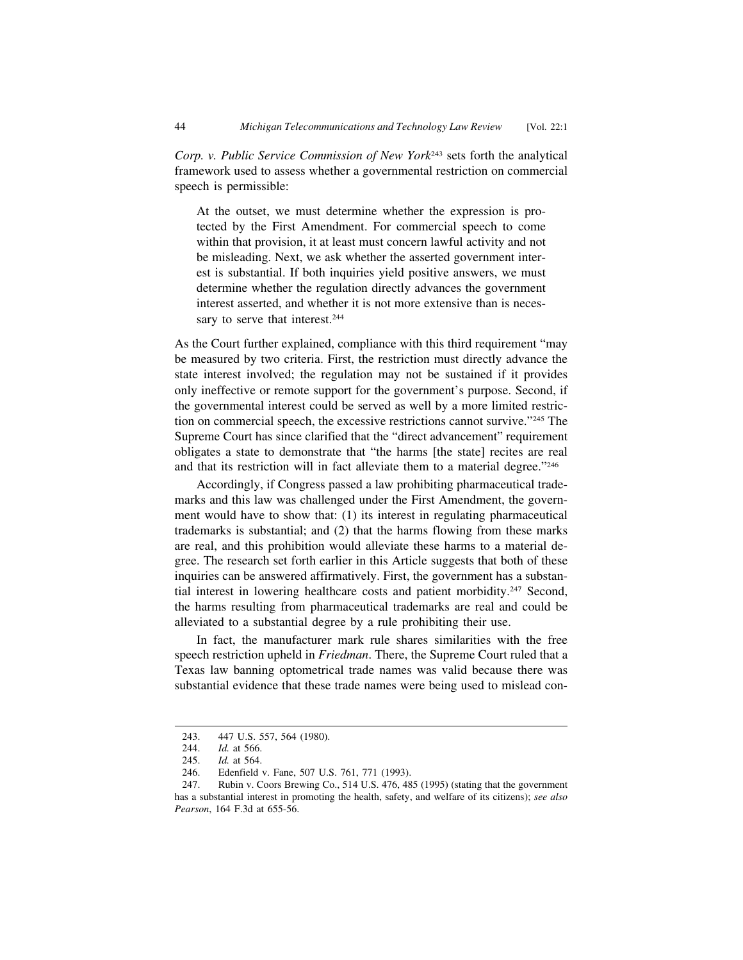*Corp. v. Public Service Commission of New York*243 sets forth the analytical framework used to assess whether a governmental restriction on commercial speech is permissible:

At the outset, we must determine whether the expression is protected by the First Amendment. For commercial speech to come within that provision, it at least must concern lawful activity and not be misleading. Next, we ask whether the asserted government interest is substantial. If both inquiries yield positive answers, we must determine whether the regulation directly advances the government interest asserted, and whether it is not more extensive than is necessary to serve that interest.<sup>244</sup>

As the Court further explained, compliance with this third requirement "may be measured by two criteria. First, the restriction must directly advance the state interest involved; the regulation may not be sustained if it provides only ineffective or remote support for the government's purpose. Second, if the governmental interest could be served as well by a more limited restriction on commercial speech, the excessive restrictions cannot survive."245 The Supreme Court has since clarified that the "direct advancement" requirement obligates a state to demonstrate that "the harms [the state] recites are real and that its restriction will in fact alleviate them to a material degree."246

Accordingly, if Congress passed a law prohibiting pharmaceutical trademarks and this law was challenged under the First Amendment, the government would have to show that: (1) its interest in regulating pharmaceutical trademarks is substantial; and (2) that the harms flowing from these marks are real, and this prohibition would alleviate these harms to a material degree. The research set forth earlier in this Article suggests that both of these inquiries can be answered affirmatively. First, the government has a substantial interest in lowering healthcare costs and patient morbidity.<sup>247</sup> Second, the harms resulting from pharmaceutical trademarks are real and could be alleviated to a substantial degree by a rule prohibiting their use.

In fact, the manufacturer mark rule shares similarities with the free speech restriction upheld in *Friedman*. There, the Supreme Court ruled that a Texas law banning optometrical trade names was valid because there was substantial evidence that these trade names were being used to mislead con-

<sup>243. 447</sup> U.S. 557, 564 (1980).

<sup>244.</sup> *Id.* at 566.

<sup>245.</sup> *Id.* at 564.

Edenfield v. Fane, 507 U.S. 761, 771 (1993).

<sup>247.</sup> Rubin v. Coors Brewing Co., 514 U.S. 476, 485 (1995) (stating that the government has a substantial interest in promoting the health, safety, and welfare of its citizens); *see also Pearson*, 164 F.3d at 655-56.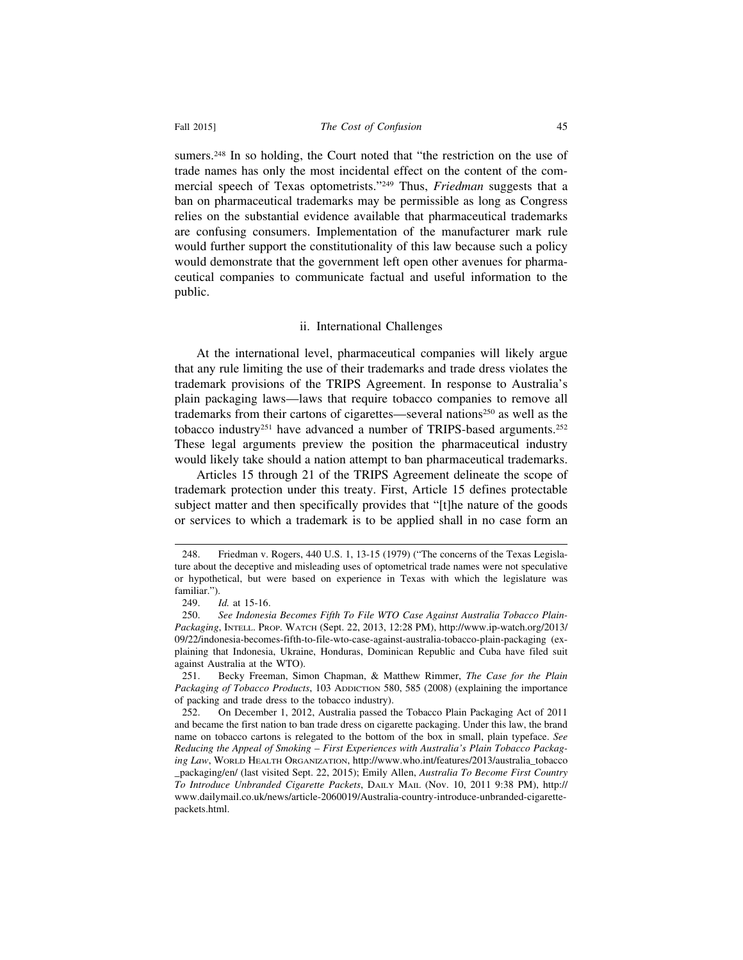sumers.<sup>248</sup> In so holding, the Court noted that "the restriction on the use of trade names has only the most incidental effect on the content of the commercial speech of Texas optometrists."249 Thus, *Friedman* suggests that a ban on pharmaceutical trademarks may be permissible as long as Congress relies on the substantial evidence available that pharmaceutical trademarks are confusing consumers. Implementation of the manufacturer mark rule would further support the constitutionality of this law because such a policy would demonstrate that the government left open other avenues for pharmaceutical companies to communicate factual and useful information to the public.

#### ii. International Challenges

At the international level, pharmaceutical companies will likely argue that any rule limiting the use of their trademarks and trade dress violates the trademark provisions of the TRIPS Agreement. In response to Australia's plain packaging laws—laws that require tobacco companies to remove all trademarks from their cartons of cigarettes—several nations<sup>250</sup> as well as the tobacco industry<sup>251</sup> have advanced a number of TRIPS-based arguments.<sup>252</sup> These legal arguments preview the position the pharmaceutical industry would likely take should a nation attempt to ban pharmaceutical trademarks.

Articles 15 through 21 of the TRIPS Agreement delineate the scope of trademark protection under this treaty. First, Article 15 defines protectable subject matter and then specifically provides that "[t]he nature of the goods or services to which a trademark is to be applied shall in no case form an

<sup>248.</sup> Friedman v. Rogers, 440 U.S. 1, 13-15 (1979) ("The concerns of the Texas Legislature about the deceptive and misleading uses of optometrical trade names were not speculative or hypothetical, but were based on experience in Texas with which the legislature was familiar.").

*Id.* at 15-16.

<sup>250.</sup> *See Indonesia Becomes Fifth To File WTO Case Against Australia Tobacco Plain-Packaging*, INTELL. PROP. WATCH (Sept. 22, 2013, 12:28 PM), http://www.ip-watch.org/2013/ 09/22/indonesia-becomes-fifth-to-file-wto-case-against-australia-tobacco-plain-packaging (explaining that Indonesia, Ukraine, Honduras, Dominican Republic and Cuba have filed suit against Australia at the WTO).<br>251. Becky Freeman, Sim

<sup>251.</sup> Becky Freeman, Simon Chapman, & Matthew Rimmer, *The Case for the Plain Packaging of Tobacco Products*, 103 ADDICTION 580, 585 (2008) (explaining the importance of packing and trade dress to the tobacco industry).

<sup>252.</sup> On December 1, 2012, Australia passed the Tobacco Plain Packaging Act of 2011 and became the first nation to ban trade dress on cigarette packaging. Under this law, the brand name on tobacco cartons is relegated to the bottom of the box in small, plain typeface. *See Reducing the Appeal of Smoking – First Experiences with Australia's Plain Tobacco Packaging Law*, WORLD HEALTH ORGANIZATION, http://www.who.int/features/2013/australia\_tobacco \_packaging/en/ (last visited Sept. 22, 2015); Emily Allen, *Australia To Become First Country To Introduce Unbranded Cigarette Packets*, DAILY MAIL (Nov. 10, 2011 9:38 PM), http:// www.dailymail.co.uk/news/article-2060019/Australia-country-introduce-unbranded-cigarettepackets.html.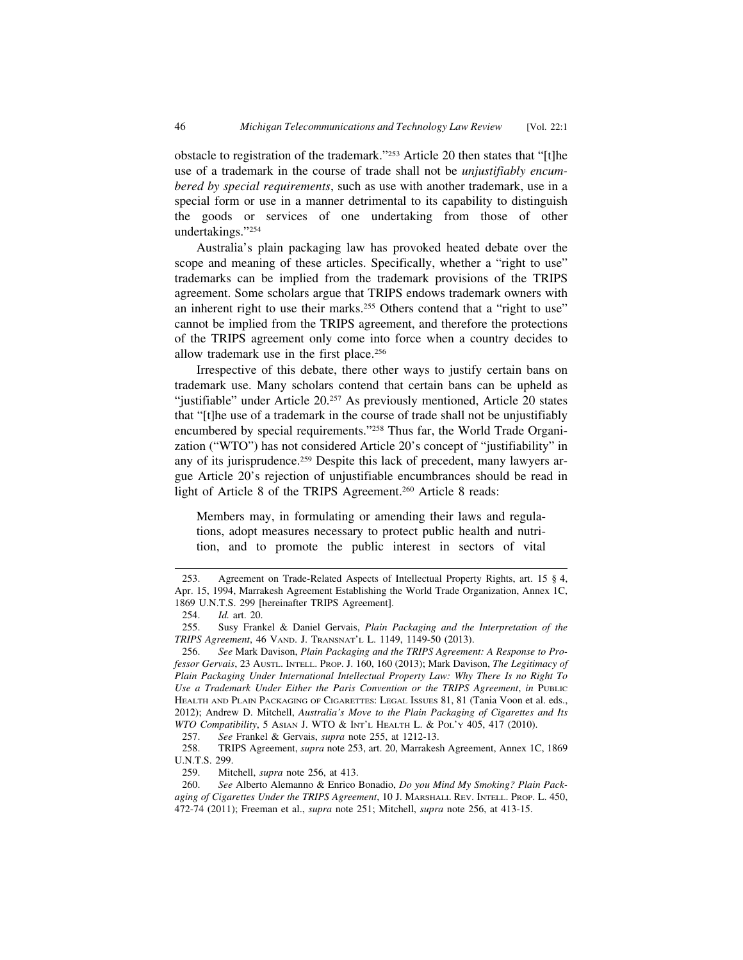obstacle to registration of the trademark."253 Article 20 then states that "[t]he use of a trademark in the course of trade shall not be *unjustifiably encumbered by special requirements*, such as use with another trademark, use in a special form or use in a manner detrimental to its capability to distinguish the goods or services of one undertaking from those of other undertakings."254

Australia's plain packaging law has provoked heated debate over the scope and meaning of these articles. Specifically, whether a "right to use" trademarks can be implied from the trademark provisions of the TRIPS agreement. Some scholars argue that TRIPS endows trademark owners with an inherent right to use their marks.<sup>255</sup> Others contend that a "right to use" cannot be implied from the TRIPS agreement, and therefore the protections of the TRIPS agreement only come into force when a country decides to allow trademark use in the first place.256

Irrespective of this debate, there other ways to justify certain bans on trademark use. Many scholars contend that certain bans can be upheld as "justifiable" under Article 20.257 As previously mentioned, Article 20 states that "[t]he use of a trademark in the course of trade shall not be unjustifiably encumbered by special requirements."258 Thus far, the World Trade Organization ("WTO") has not considered Article 20's concept of "justifiability" in any of its jurisprudence.<sup>259</sup> Despite this lack of precedent, many lawyers argue Article 20's rejection of unjustifiable encumbrances should be read in light of Article 8 of the TRIPS Agreement.260 Article 8 reads:

Members may, in formulating or amending their laws and regulations, adopt measures necessary to protect public health and nutrition, and to promote the public interest in sectors of vital

<sup>253.</sup> Agreement on Trade-Related Aspects of Intellectual Property Rights, art. 15 § 4, Apr. 15, 1994, Marrakesh Agreement Establishing the World Trade Organization, Annex 1C, 1869 U.N.T.S. 299 [hereinafter TRIPS Agreement].

<sup>254.</sup> *Id.* art. 20.

<sup>255.</sup> Susy Frankel & Daniel Gervais, *Plain Packaging and the Interpretation of the TRIPS Agreement*, 46 VAND. J. TRANSNAT'L L. 1149, 1149-50 (2013).

<sup>256.</sup> *See* Mark Davison, *Plain Packaging and the TRIPS Agreement: A Response to Professor Gervais*, 23 AUSTL. INTELL. PROP. J. 160, 160 (2013); Mark Davison, *The Legitimacy of Plain Packaging Under International Intellectual Property Law: Why There Is no Right To Use a Trademark Under Either the Paris Convention or the TRIPS Agreement*, *in* PUBLIC HEALTH AND PLAIN PACKAGING OF CIGARETTES: LEGAL ISSUES 81, 81 (Tania Voon et al. eds., 2012); Andrew D. Mitchell, *Australia's Move to the Plain Packaging of Cigarettes and Its WTO Compatibility*, 5 ASIAN J. WTO & INT'L HEALTH L. & POL'Y 405, 417 (2010).

<sup>257.</sup> *See* Frankel & Gervais, *supra* note 255, at 1212-13.

<sup>258.</sup> TRIPS Agreement, *supra* note 253, art. 20, Marrakesh Agreement, Annex 1C, 1869 U.N.T.S. 299.<br>259 Mit.

<sup>259.</sup> Mitchell, *supra* note 256, at 413.

<sup>260.</sup> *See* Alberto Alemanno & Enrico Bonadio, *Do you Mind My Smoking? Plain Packaging of Cigarettes Under the TRIPS Agreement*, 10 J. MARSHALL REV. INTELL. PROP. L. 450, 472-74 (2011); Freeman et al., *supra* note 251; Mitchell, *supra* note 256, at 413-15.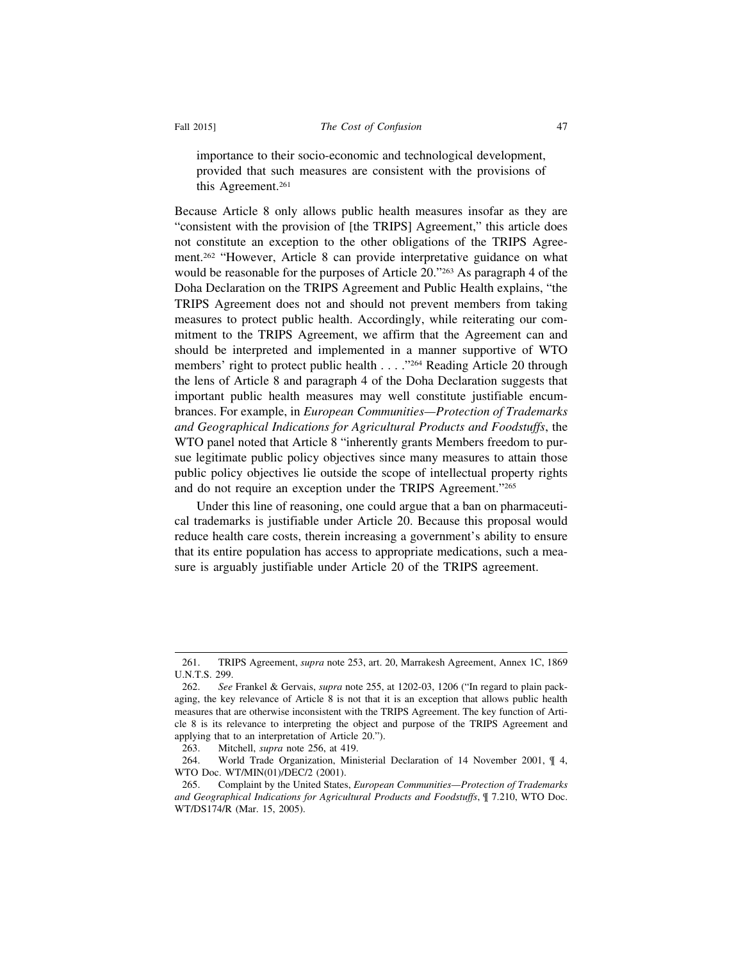importance to their socio-economic and technological development, provided that such measures are consistent with the provisions of this Agreement.<sup>261</sup>

Because Article 8 only allows public health measures insofar as they are "consistent with the provision of [the TRIPS] Agreement," this article does not constitute an exception to the other obligations of the TRIPS Agreement.262 "However, Article 8 can provide interpretative guidance on what would be reasonable for the purposes of Article 20."263 As paragraph 4 of the Doha Declaration on the TRIPS Agreement and Public Health explains, "the TRIPS Agreement does not and should not prevent members from taking measures to protect public health. Accordingly, while reiterating our commitment to the TRIPS Agreement, we affirm that the Agreement can and should be interpreted and implemented in a manner supportive of WTO members' right to protect public health . . . ."264 Reading Article 20 through the lens of Article 8 and paragraph 4 of the Doha Declaration suggests that important public health measures may well constitute justifiable encumbrances. For example, in *European Communities—Protection of Trademarks and Geographical Indications for Agricultural Products and Foodstuffs*, the WTO panel noted that Article 8 "inherently grants Members freedom to pursue legitimate public policy objectives since many measures to attain those public policy objectives lie outside the scope of intellectual property rights and do not require an exception under the TRIPS Agreement."265

Under this line of reasoning, one could argue that a ban on pharmaceutical trademarks is justifiable under Article 20. Because this proposal would reduce health care costs, therein increasing a government's ability to ensure that its entire population has access to appropriate medications, such a measure is arguably justifiable under Article 20 of the TRIPS agreement.

<sup>261.</sup> TRIPS Agreement, *supra* note 253, art. 20, Marrakesh Agreement, Annex 1C, 1869 U.N.T.S. 299.

<sup>262.</sup> *See* Frankel & Gervais, *supra* note 255, at 1202-03, 1206 ("In regard to plain packaging, the key relevance of Article 8 is not that it is an exception that allows public health measures that are otherwise inconsistent with the TRIPS Agreement. The key function of Article 8 is its relevance to interpreting the object and purpose of the TRIPS Agreement and applying that to an interpretation of Article 20.").

<sup>263.</sup> Mitchell, *supra* note 256, at 419.

<sup>264.</sup> World Trade Organization, Ministerial Declaration of 14 November 2001, ¶ 4, WTO Doc. WT/MIN(01)/DEC/2 (2001).

<sup>265.</sup> Complaint by the United States, *European Communities—Protection of Trademarks and Geographical Indications for Agricultural Products and Foodstuffs*, ¶ 7.210, WTO Doc. WT/DS174/R (Mar. 15, 2005).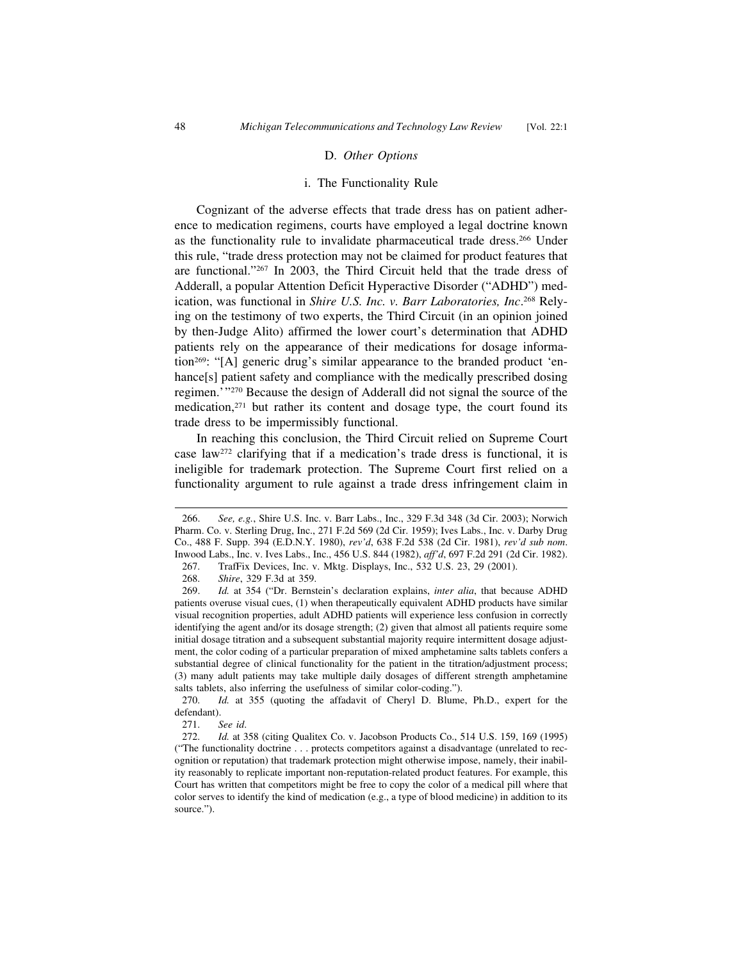#### D. *Other Options*

#### i. The Functionality Rule

Cognizant of the adverse effects that trade dress has on patient adherence to medication regimens, courts have employed a legal doctrine known as the functionality rule to invalidate pharmaceutical trade dress.266 Under this rule, "trade dress protection may not be claimed for product features that are functional."267 In 2003, the Third Circuit held that the trade dress of Adderall, a popular Attention Deficit Hyperactive Disorder ("ADHD") medication, was functional in *Shire U.S. Inc. v. Barr Laboratories, Inc*. 268 Relying on the testimony of two experts, the Third Circuit (in an opinion joined by then-Judge Alito) affirmed the lower court's determination that ADHD patients rely on the appearance of their medications for dosage information269: "[A] generic drug's similar appearance to the branded product 'enhance[s] patient safety and compliance with the medically prescribed dosing regimen.'"270 Because the design of Adderall did not signal the source of the medication,<sup>271</sup> but rather its content and dosage type, the court found its trade dress to be impermissibly functional.

In reaching this conclusion, the Third Circuit relied on Supreme Court case law272 clarifying that if a medication's trade dress is functional, it is ineligible for trademark protection. The Supreme Court first relied on a functionality argument to rule against a trade dress infringement claim in

<sup>266.</sup> *See, e.g.*, Shire U.S. Inc. v. Barr Labs., Inc., 329 F.3d 348 (3d Cir. 2003); Norwich Pharm. Co. v. Sterling Drug, Inc., 271 F.2d 569 (2d Cir. 1959); Ives Labs., Inc. v. Darby Drug Co., 488 F. Supp. 394 (E.D.N.Y. 1980), *rev'd*, 638 F.2d 538 (2d Cir. 1981), *rev'd sub nom*. Inwood Labs., Inc. v. Ives Labs., Inc., 456 U.S. 844 (1982), *aff'd*, 697 F.2d 291 (2d Cir. 1982).

<sup>267.</sup> TrafFix Devices, Inc. v. Mktg. Displays, Inc., 532 U.S. 23, 29 (2001).

<sup>268.</sup> *Shire*, 329 F.3d at 359.

<sup>269.</sup> *Id.* at 354 ("Dr. Bernstein's declaration explains, *inter alia*, that because ADHD patients overuse visual cues, (1) when therapeutically equivalent ADHD products have similar visual recognition properties, adult ADHD patients will experience less confusion in correctly identifying the agent and/or its dosage strength; (2) given that almost all patients require some initial dosage titration and a subsequent substantial majority require intermittent dosage adjustment, the color coding of a particular preparation of mixed amphetamine salts tablets confers a substantial degree of clinical functionality for the patient in the titration/adjustment process; (3) many adult patients may take multiple daily dosages of different strength amphetamine salts tablets, also inferring the usefulness of similar color-coding.").

<sup>270.</sup> *Id.* at 355 (quoting the affadavit of Cheryl D. Blume, Ph.D., expert for the defendant).

<sup>271.</sup> *See id*.

<sup>272.</sup> *Id.* at 358 (citing Qualitex Co. v. Jacobson Products Co., 514 U.S. 159, 169 (1995) ("The functionality doctrine . . . protects competitors against a disadvantage (unrelated to recognition or reputation) that trademark protection might otherwise impose, namely, their inability reasonably to replicate important non-reputation-related product features. For example, this Court has written that competitors might be free to copy the color of a medical pill where that color serves to identify the kind of medication (e.g., a type of blood medicine) in addition to its source.").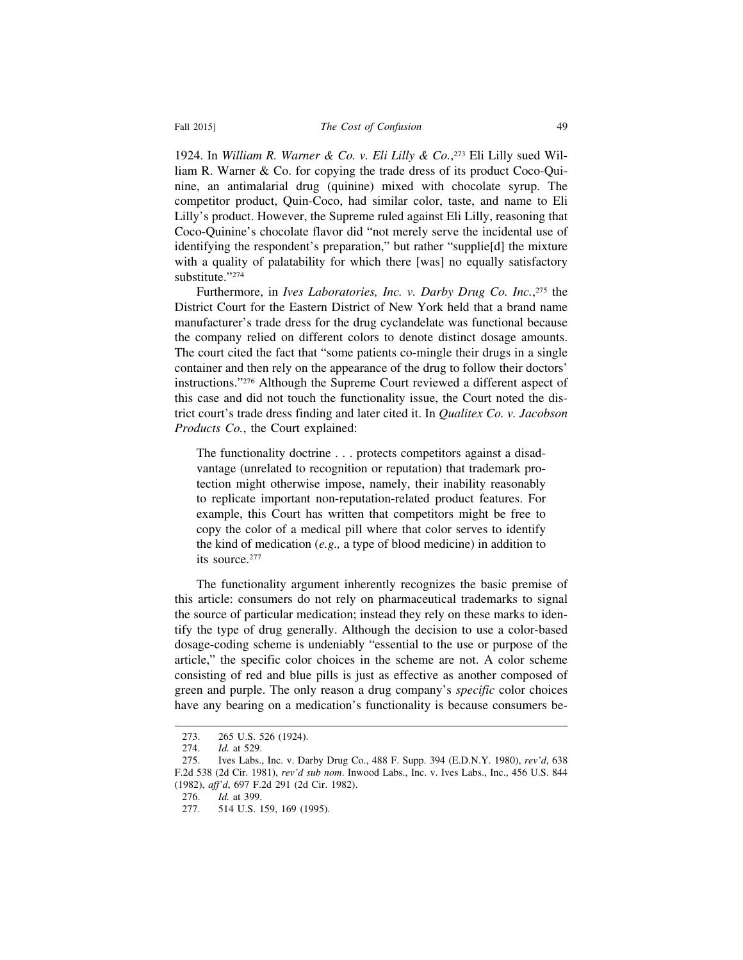1924. In *William R. Warner & Co. v. Eli Lilly & Co.*, 273 Eli Lilly sued William R. Warner & Co. for copying the trade dress of its product Coco-Quinine, an antimalarial drug (quinine) mixed with chocolate syrup. The competitor product, Quin-Coco, had similar color, taste, and name to Eli Lilly's product. However, the Supreme ruled against Eli Lilly, reasoning that Coco-Quinine's chocolate flavor did "not merely serve the incidental use of identifying the respondent's preparation," but rather "supplie[d] the mixture with a quality of palatability for which there [was] no equally satisfactory substitute."274

Furthermore, in *Ives Laboratories, Inc. v. Darby Drug Co. Inc.*, 275 the District Court for the Eastern District of New York held that a brand name manufacturer's trade dress for the drug cyclandelate was functional because the company relied on different colors to denote distinct dosage amounts. The court cited the fact that "some patients co-mingle their drugs in a single container and then rely on the appearance of the drug to follow their doctors' instructions."276 Although the Supreme Court reviewed a different aspect of this case and did not touch the functionality issue, the Court noted the district court's trade dress finding and later cited it. In *Qualitex Co. v. Jacobson Products Co.*, the Court explained:

The functionality doctrine . . . protects competitors against a disadvantage (unrelated to recognition or reputation) that trademark protection might otherwise impose, namely, their inability reasonably to replicate important non-reputation-related product features. For example, this Court has written that competitors might be free to copy the color of a medical pill where that color serves to identify the kind of medication (*e.g.,* a type of blood medicine) in addition to its source.277

The functionality argument inherently recognizes the basic premise of this article: consumers do not rely on pharmaceutical trademarks to signal the source of particular medication; instead they rely on these marks to identify the type of drug generally. Although the decision to use a color-based dosage-coding scheme is undeniably "essential to the use or purpose of the article," the specific color choices in the scheme are not. A color scheme consisting of red and blue pills is just as effective as another composed of green and purple. The only reason a drug company's *specific* color choices have any bearing on a medication's functionality is because consumers be-

<sup>273. 265</sup> U.S. 526 (1924).

<sup>274.</sup> *Id.* at 529.

<sup>275.</sup> Ives Labs., Inc. v. Darby Drug Co., 488 F. Supp. 394 (E.D.N.Y. 1980), *rev'd*, 638 F.2d 538 (2d Cir. 1981), *rev'd sub nom*. Inwood Labs., Inc. v. Ives Labs., Inc., 456 U.S. 844 (1982), *aff'd*, 697 F.2d 291 (2d Cir. 1982).

<sup>276.</sup> *Id.* at 399.

<sup>277. 514</sup> U.S. 159, 169 (1995).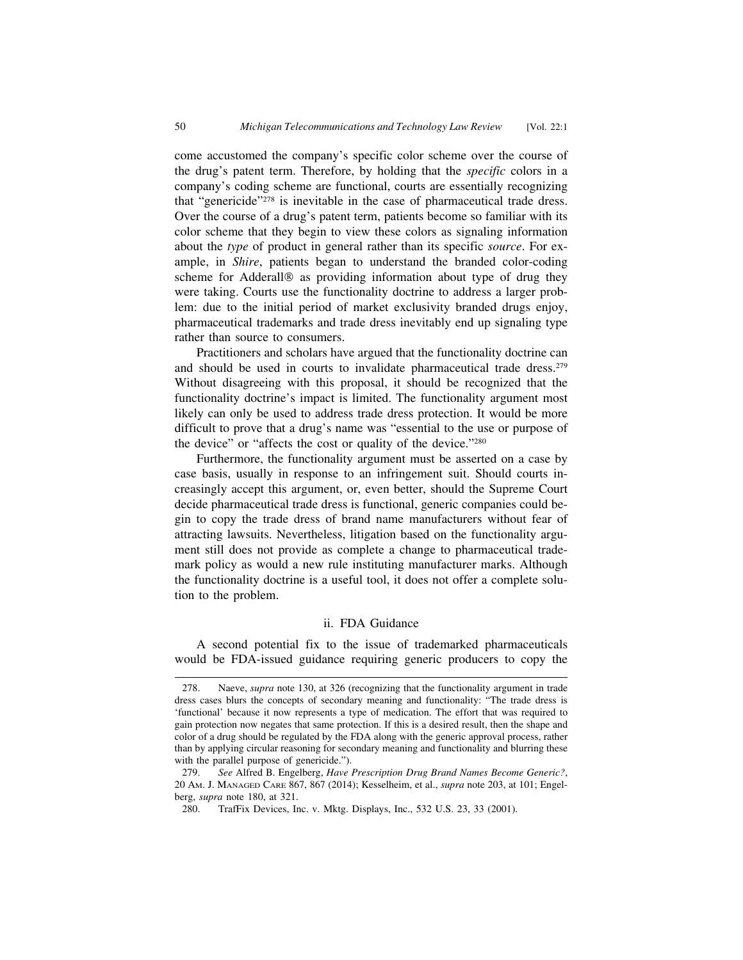come accustomed the company's specific color scheme over the course of the drug's patent term. Therefore, by holding that the *specific* colors in a company's coding scheme are functional, courts are essentially recognizing that "genericide"278 is inevitable in the case of pharmaceutical trade dress. Over the course of a drug's patent term, patients become so familiar with its color scheme that they begin to view these colors as signaling information about the *type* of product in general rather than its specific *source*. For example, in *Shire*, patients began to understand the branded color-coding scheme for Adderall® as providing information about type of drug they were taking. Courts use the functionality doctrine to address a larger problem: due to the initial period of market exclusivity branded drugs enjoy, pharmaceutical trademarks and trade dress inevitably end up signaling type rather than source to consumers.

Practitioners and scholars have argued that the functionality doctrine can and should be used in courts to invalidate pharmaceutical trade dress.279 Without disagreeing with this proposal, it should be recognized that the functionality doctrine's impact is limited. The functionality argument most likely can only be used to address trade dress protection. It would be more difficult to prove that a drug's name was "essential to the use or purpose of the device" or "affects the cost or quality of the device."280

Furthermore, the functionality argument must be asserted on a case by case basis, usually in response to an infringement suit. Should courts increasingly accept this argument, or, even better, should the Supreme Court decide pharmaceutical trade dress is functional, generic companies could begin to copy the trade dress of brand name manufacturers without fear of attracting lawsuits. Nevertheless, litigation based on the functionality argument still does not provide as complete a change to pharmaceutical trademark policy as would a new rule instituting manufacturer marks. Although the functionality doctrine is a useful tool, it does not offer a complete solution to the problem.

#### ii. FDA Guidance

A second potential fix to the issue of trademarked pharmaceuticals would be FDA-issued guidance requiring generic producers to copy the

<sup>278.</sup> Naeve, *supra* note 130, at 326 (recognizing that the functionality argument in trade dress cases blurs the concepts of secondary meaning and functionality: "The trade dress is 'functional' because it now represents a type of medication. The effort that was required to gain protection now negates that same protection. If this is a desired result, then the shape and color of a drug should be regulated by the FDA along with the generic approval process, rather than by applying circular reasoning for secondary meaning and functionality and blurring these with the parallel purpose of genericide.").

<sup>279.</sup> *See* Alfred B. Engelberg, *Have Prescription Drug Brand Names Become Generic?*, 20 AM. J. MANAGED CARE 867, 867 (2014); Kesselheim, et al., *supra* note 203, at 101; Engelberg, *supra* note 180, at 321.

<sup>280.</sup> TrafFix Devices, Inc. v. Mktg. Displays, Inc., 532 U.S. 23, 33 (2001).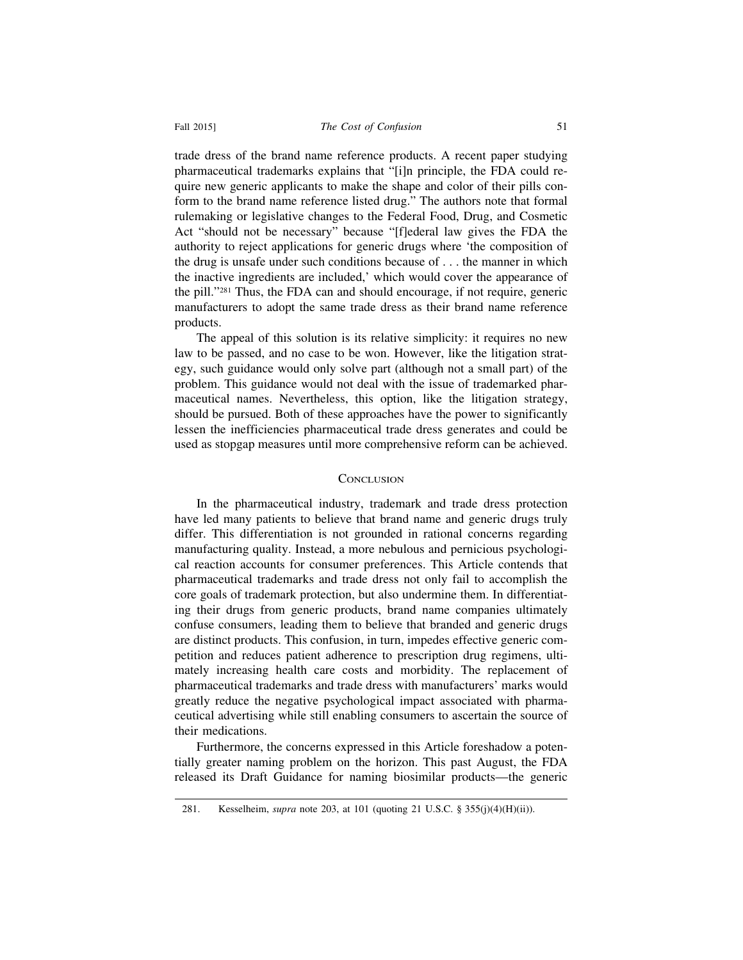trade dress of the brand name reference products. A recent paper studying pharmaceutical trademarks explains that "[i]n principle, the FDA could require new generic applicants to make the shape and color of their pills conform to the brand name reference listed drug." The authors note that formal rulemaking or legislative changes to the Federal Food, Drug, and Cosmetic Act "should not be necessary" because "[f]ederal law gives the FDA the authority to reject applications for generic drugs where 'the composition of the drug is unsafe under such conditions because of . . . the manner in which the inactive ingredients are included,' which would cover the appearance of the pill."281 Thus, the FDA can and should encourage, if not require, generic manufacturers to adopt the same trade dress as their brand name reference products.

The appeal of this solution is its relative simplicity: it requires no new law to be passed, and no case to be won. However, like the litigation strategy, such guidance would only solve part (although not a small part) of the problem. This guidance would not deal with the issue of trademarked pharmaceutical names. Nevertheless, this option, like the litigation strategy, should be pursued. Both of these approaches have the power to significantly lessen the inefficiencies pharmaceutical trade dress generates and could be used as stopgap measures until more comprehensive reform can be achieved.

#### **CONCLUSION**

In the pharmaceutical industry, trademark and trade dress protection have led many patients to believe that brand name and generic drugs truly differ. This differentiation is not grounded in rational concerns regarding manufacturing quality. Instead, a more nebulous and pernicious psychological reaction accounts for consumer preferences. This Article contends that pharmaceutical trademarks and trade dress not only fail to accomplish the core goals of trademark protection, but also undermine them. In differentiating their drugs from generic products, brand name companies ultimately confuse consumers, leading them to believe that branded and generic drugs are distinct products. This confusion, in turn, impedes effective generic competition and reduces patient adherence to prescription drug regimens, ultimately increasing health care costs and morbidity. The replacement of pharmaceutical trademarks and trade dress with manufacturers' marks would greatly reduce the negative psychological impact associated with pharmaceutical advertising while still enabling consumers to ascertain the source of their medications.

Furthermore, the concerns expressed in this Article foreshadow a potentially greater naming problem on the horizon. This past August, the FDA released its Draft Guidance for naming biosimilar products—the generic

<sup>281.</sup> Kesselheim, *supra* note 203, at 101 (quoting 21 U.S.C. § 355(j)(4)(H)(ii)).